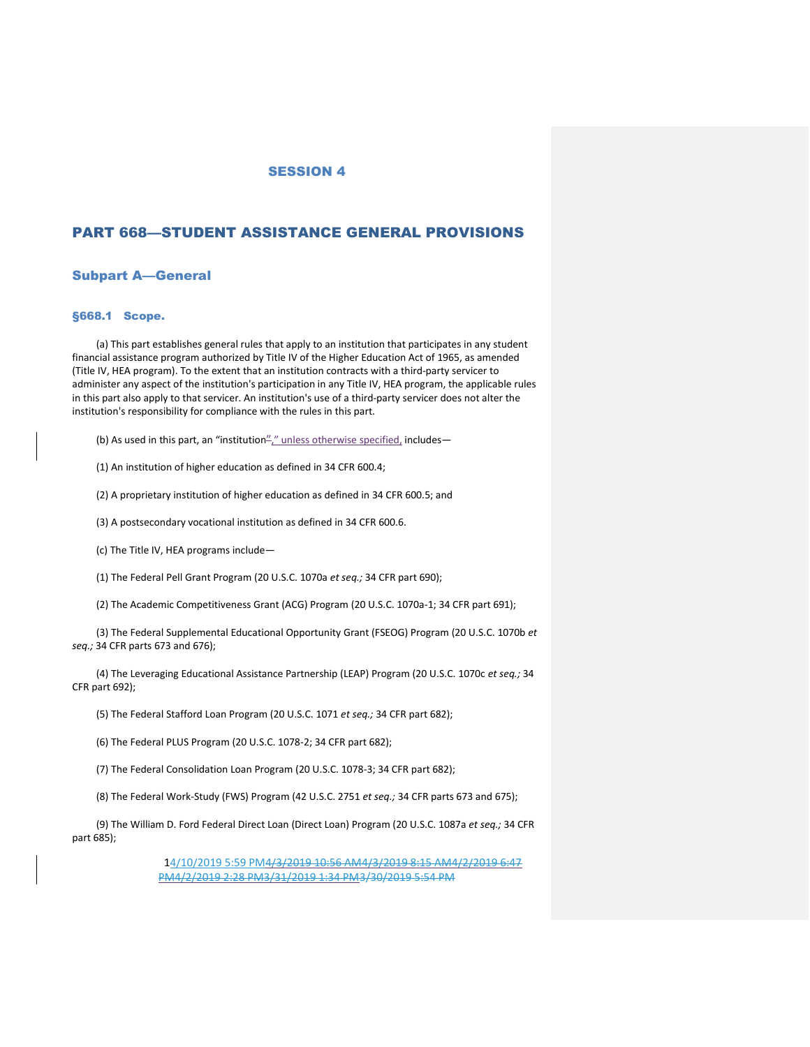# PART 668—STUDENT ASSISTANCE GENERAL PROVISIONS

# Subpart A—General

#### §668.1 Scope.

(a) This part establishes general rules that apply to an institution that participates in any student financial assistance program authorized by Title IV of the Higher Education Act of 1965, as amended (Title IV, HEA program). To the extent that an institution contracts with a third-party servicer to administer any aspect of the institution's participation in any Title IV, HEA program, the applicable rules in this part also apply to that servicer. An institution's use of a third-party servicer does not alter the institution's responsibility for compliance with the rules in this part.

(b) As used in this part, an "institution"," unless otherwise specified, includes-

(1) An institution of higher education as defined in 34 CFR 600.4;

(2) A proprietary institution of higher education as defined in 34 CFR 600.5; and

(3) A postsecondary vocational institution as defined in 34 CFR 600.6.

(c) The Title IV, HEA programs include—

(1) The Federal Pell Grant Program (20 U.S.C. 1070a *et seq.;* 34 CFR part 690);

(2) The Academic Competitiveness Grant (ACG) Program (20 U.S.C. 1070a-1; 34 CFR part 691);

(3) The Federal Supplemental Educational Opportunity Grant (FSEOG) Program (20 U.S.C. 1070b *et seq.;* 34 CFR parts 673 and 676);

(4) The Leveraging Educational Assistance Partnership (LEAP) Program (20 U.S.C. 1070c *et seq.;* 34 CFR part 692);

(5) The Federal Stafford Loan Program (20 U.S.C. 1071 *et seq.;* 34 CFR part 682);

(6) The Federal PLUS Program (20 U.S.C. 1078-2; 34 CFR part 682);

(7) The Federal Consolidation Loan Program (20 U.S.C. 1078-3; 34 CFR part 682);

(8) The Federal Work-Study (FWS) Program (42 U.S.C. 2751 *et seq.;* 34 CFR parts 673 and 675);

(9) The William D. Ford Federal Direct Loan (Direct Loan) Program (20 U.S.C. 1087a *et seq.;* 34 CFR part 685);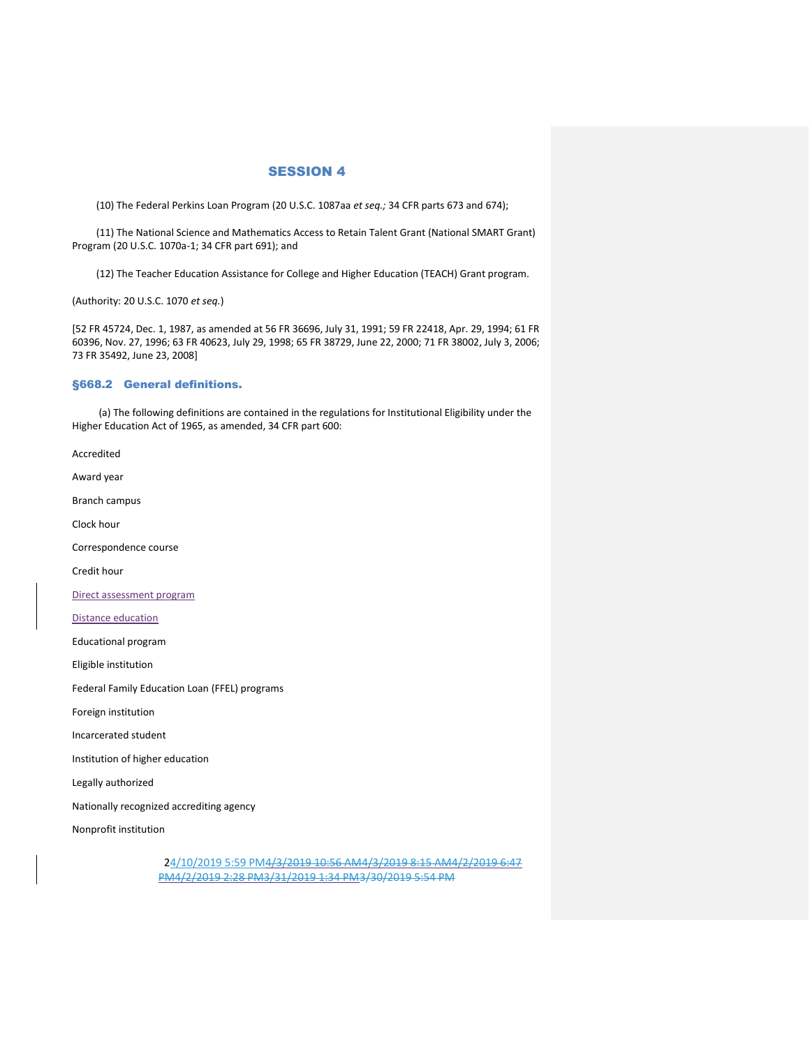(10) The Federal Perkins Loan Program (20 U.S.C. 1087aa *et seq.;* 34 CFR parts 673 and 674);

(11) The National Science and Mathematics Access to Retain Talent Grant (National SMART Grant) Program (20 U.S.C. 1070a-1; 34 CFR part 691); and

(12) The Teacher Education Assistance for College and Higher Education (TEACH) Grant program.

(Authority: 20 U.S.C. 1070 *et seq.*)

[52 FR 45724, Dec. 1, 1987, as amended at 56 FR 36696, July 31, 1991; 59 FR 22418, Apr. 29, 1994; 61 FR 60396, Nov. 27, 1996; 63 FR 40623, July 29, 1998; 65 FR 38729, June 22, 2000; 71 FR 38002, July 3, 2006; 73 FR 35492, June 23, 2008]

#### §668.2 General definitions.

(a) The following definitions are contained in the regulations for Institutional Eligibility under the Higher Education Act of 1965, as amended, 34 CFR part 600:

Accredited Award year Branch campus Clock hour Correspondence course Credit hour Direct assessment program Distance education Educational program Eligible institution Federal Family Education Loan (FFEL) programs Foreign institution Incarcerated student Institution of higher education Legally authorized Nationally recognized accrediting agency Nonprofit institution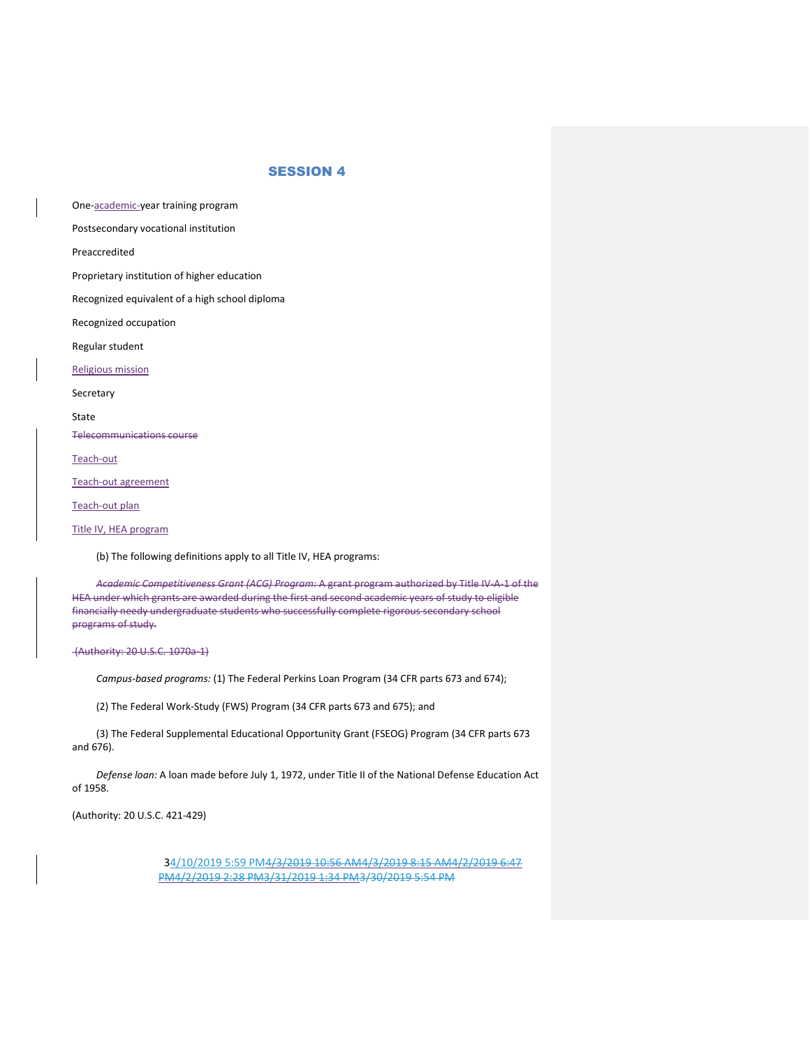Postsecondary vocational institution Preaccredited Proprietary institution of higher education Recognized equivalent of a high school diploma Recognized occupation Regular student Religious mission Secretary State Telecommunications course Teach-out Teach-out agreement Teach-out plan

One-academic-year training program

Title IV, HEA program

(b) The following definitions apply to all Title IV, HEA programs:

*Academic Competitiveness Grant (ACG) Program*: A grant program authorized by Title IV-A-1 of the HEA under which grants are awarded during the first and second academic years of study to eligible financially needy undergraduate students who successfully complete rigorous secondary school programs of study.

(Authority: 20 U.S.C. 1070a-1)

*Campus-based programs:* (1) The Federal Perkins Loan Program (34 CFR parts 673 and 674);

(2) The Federal Work-Study (FWS) Program (34 CFR parts 673 and 675); and

(3) The Federal Supplemental Educational Opportunity Grant (FSEOG) Program (34 CFR parts 673 and 676).

*Defense loan:* A loan made before July 1, 1972, under Title II of the National Defense Education Act of 1958.

(Authority: 20 U.S.C. 421-429)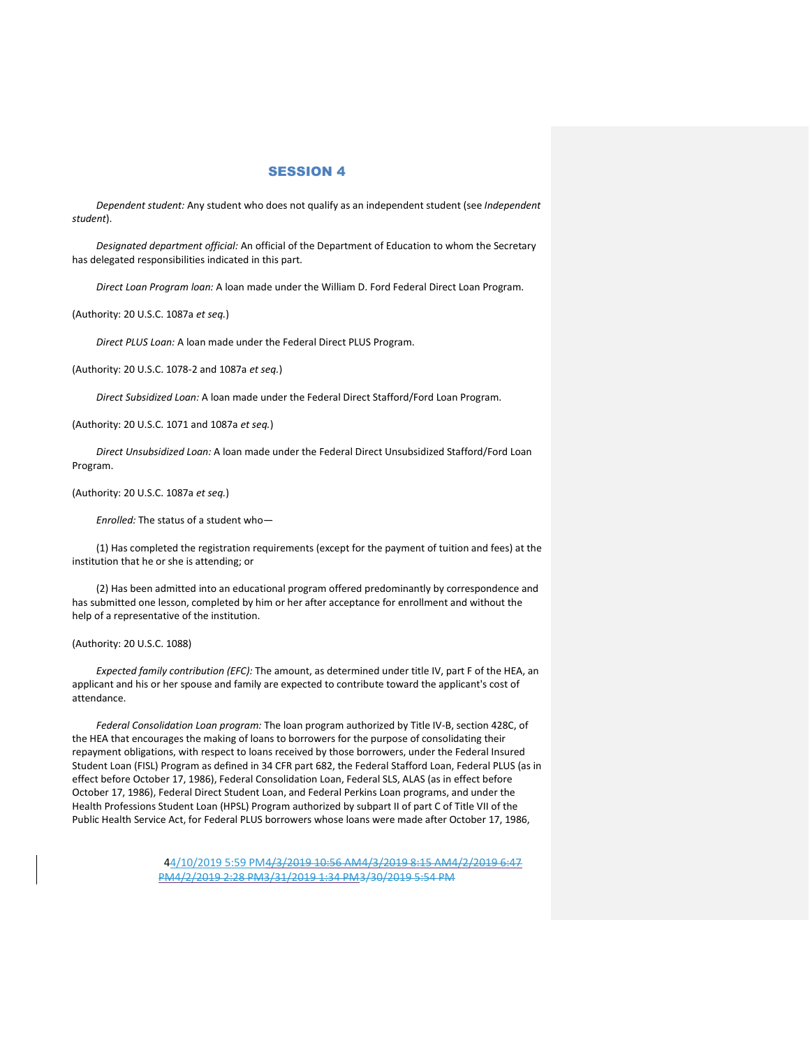*Dependent student:* Any student who does not qualify as an independent student (see *Independent student*).

*Designated department official:* An official of the Department of Education to whom the Secretary has delegated responsibilities indicated in this part.

*Direct Loan Program loan:* A loan made under the William D. Ford Federal Direct Loan Program.

(Authority: 20 U.S.C. 1087a *et seq.*)

*Direct PLUS Loan:* A loan made under the Federal Direct PLUS Program.

(Authority: 20 U.S.C. 1078-2 and 1087a *et seq.*)

*Direct Subsidized Loan:* A loan made under the Federal Direct Stafford/Ford Loan Program.

(Authority: 20 U.S.C. 1071 and 1087a *et seq.*)

*Direct Unsubsidized Loan:* A loan made under the Federal Direct Unsubsidized Stafford/Ford Loan Program.

(Authority: 20 U.S.C. 1087a *et seq.*)

*Enrolled:* The status of a student who—

(1) Has completed the registration requirements (except for the payment of tuition and fees) at the institution that he or she is attending; or

(2) Has been admitted into an educational program offered predominantly by correspondence and has submitted one lesson, completed by him or her after acceptance for enrollment and without the help of a representative of the institution.

#### (Authority: 20 U.S.C. 1088)

*Expected family contribution (EFC):* The amount, as determined under title IV, part F of the HEA, an applicant and his or her spouse and family are expected to contribute toward the applicant's cost of attendance.

*Federal Consolidation Loan program:* The loan program authorized by Title IV-B, section 428C, of the HEA that encourages the making of loans to borrowers for the purpose of consolidating their repayment obligations, with respect to loans received by those borrowers, under the Federal Insured Student Loan (FISL) Program as defined in 34 CFR part 682, the Federal Stafford Loan, Federal PLUS (as in effect before October 17, 1986), Federal Consolidation Loan, Federal SLS, ALAS (as in effect before October 17, 1986), Federal Direct Student Loan, and Federal Perkins Loan programs, and under the Health Professions Student Loan (HPSL) Program authorized by subpart II of part C of Title VII of the Public Health Service Act, for Federal PLUS borrowers whose loans were made after October 17, 1986,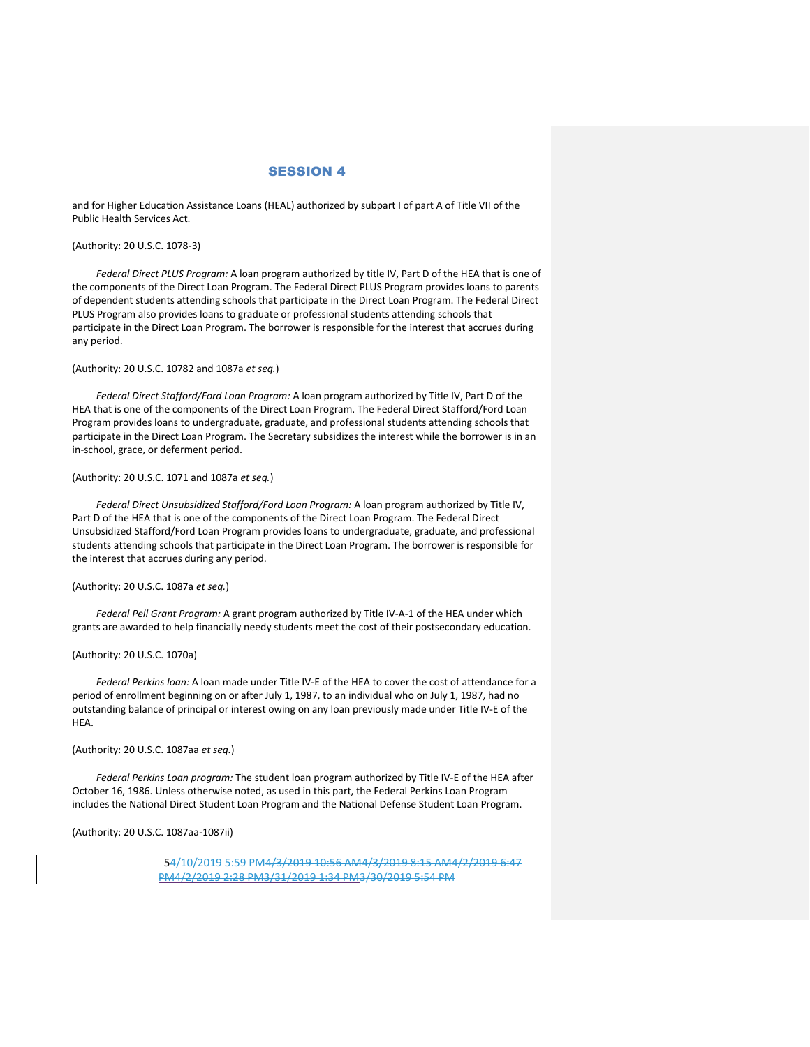and for Higher Education Assistance Loans (HEAL) authorized by subpart I of part A of Title VII of the Public Health Services Act.

(Authority: 20 U.S.C. 1078-3)

*Federal Direct PLUS Program:* A loan program authorized by title IV, Part D of the HEA that is one of the components of the Direct Loan Program. The Federal Direct PLUS Program provides loans to parents of dependent students attending schools that participate in the Direct Loan Program. The Federal Direct PLUS Program also provides loans to graduate or professional students attending schools that participate in the Direct Loan Program. The borrower is responsible for the interest that accrues during any period.

#### (Authority: 20 U.S.C. 10782 and 1087a *et seq.*)

*Federal Direct Stafford/Ford Loan Program:* A loan program authorized by Title IV, Part D of the HEA that is one of the components of the Direct Loan Program. The Federal Direct Stafford/Ford Loan Program provides loans to undergraduate, graduate, and professional students attending schools that participate in the Direct Loan Program. The Secretary subsidizes the interest while the borrower is in an in-school, grace, or deferment period.

#### (Authority: 20 U.S.C. 1071 and 1087a *et seq.*)

*Federal Direct Unsubsidized Stafford/Ford Loan Program:* A loan program authorized by Title IV, Part D of the HEA that is one of the components of the Direct Loan Program. The Federal Direct Unsubsidized Stafford/Ford Loan Program provides loans to undergraduate, graduate, and professional students attending schools that participate in the Direct Loan Program. The borrower is responsible for the interest that accrues during any period.

#### (Authority: 20 U.S.C. 1087a *et seq.*)

*Federal Pell Grant Program:* A grant program authorized by Title IV-A-1 of the HEA under which grants are awarded to help financially needy students meet the cost of their postsecondary education.

#### (Authority: 20 U.S.C. 1070a)

*Federal Perkins loan:* A loan made under Title IV-E of the HEA to cover the cost of attendance for a period of enrollment beginning on or after July 1, 1987, to an individual who on July 1, 1987, had no outstanding balance of principal or interest owing on any loan previously made under Title IV-E of the HEA.

#### (Authority: 20 U.S.C. 1087aa *et seq.*)

*Federal Perkins Loan program:* The student loan program authorized by Title IV-E of the HEA after October 16, 1986. Unless otherwise noted, as used in this part, the Federal Perkins Loan Program includes the National Direct Student Loan Program and the National Defense Student Loan Program.

(Authority: 20 U.S.C. 1087aa-1087ii)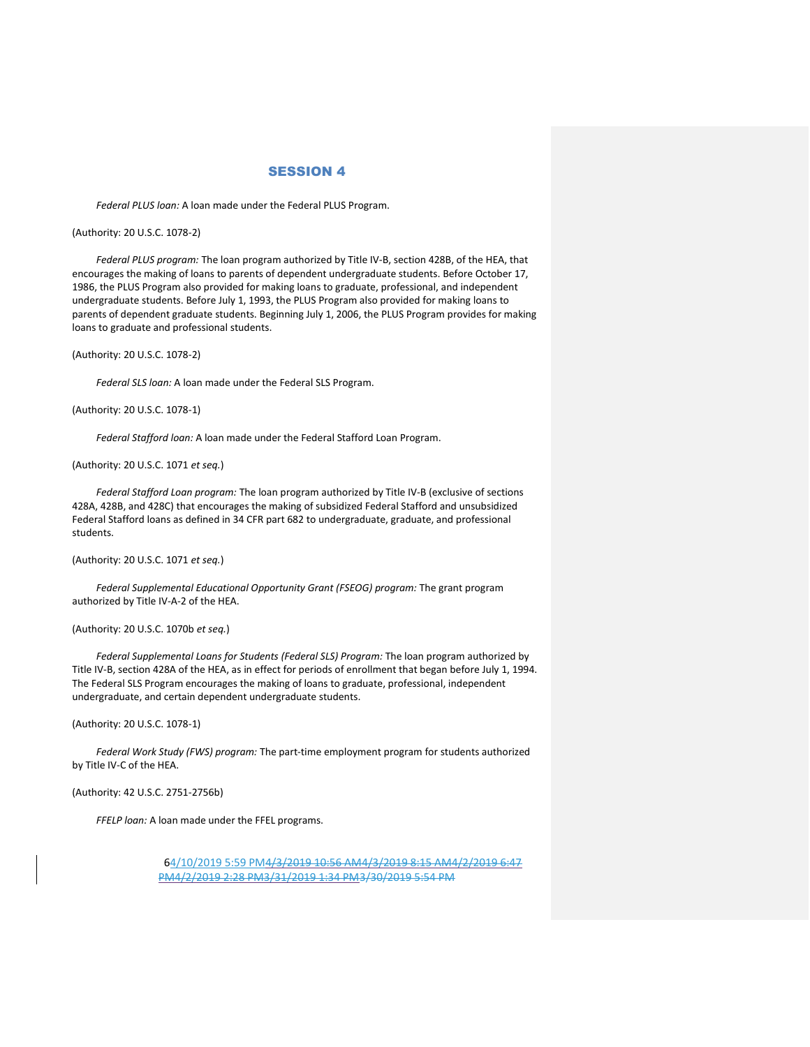*Federal PLUS loan:* A loan made under the Federal PLUS Program.

(Authority: 20 U.S.C. 1078-2)

*Federal PLUS program:* The loan program authorized by Title IV-B, section 428B, of the HEA, that encourages the making of loans to parents of dependent undergraduate students. Before October 17, 1986, the PLUS Program also provided for making loans to graduate, professional, and independent undergraduate students. Before July 1, 1993, the PLUS Program also provided for making loans to parents of dependent graduate students. Beginning July 1, 2006, the PLUS Program provides for making loans to graduate and professional students.

(Authority: 20 U.S.C. 1078-2)

*Federal SLS loan:* A loan made under the Federal SLS Program.

(Authority: 20 U.S.C. 1078-1)

*Federal Stafford loan:* A loan made under the Federal Stafford Loan Program.

(Authority: 20 U.S.C. 1071 *et seq.*)

*Federal Stafford Loan program:* The loan program authorized by Title IV-B (exclusive of sections 428A, 428B, and 428C) that encourages the making of subsidized Federal Stafford and unsubsidized Federal Stafford loans as defined in 34 CFR part 682 to undergraduate, graduate, and professional students.

(Authority: 20 U.S.C. 1071 *et seq.*)

*Federal Supplemental Educational Opportunity Grant (FSEOG) program:* The grant program authorized by Title IV-A-2 of the HEA.

#### (Authority: 20 U.S.C. 1070b *et seq.*)

*Federal Supplemental Loans for Students (Federal SLS) Program:* The loan program authorized by Title IV-B, section 428A of the HEA, as in effect for periods of enrollment that began before July 1, 1994. The Federal SLS Program encourages the making of loans to graduate, professional, independent undergraduate, and certain dependent undergraduate students.

(Authority: 20 U.S.C. 1078-1)

*Federal Work Study (FWS) program:* The part-time employment program for students authorized by Title IV-C of the HEA.

(Authority: 42 U.S.C. 2751-2756b)

*FFELP loan:* A loan made under the FFEL programs.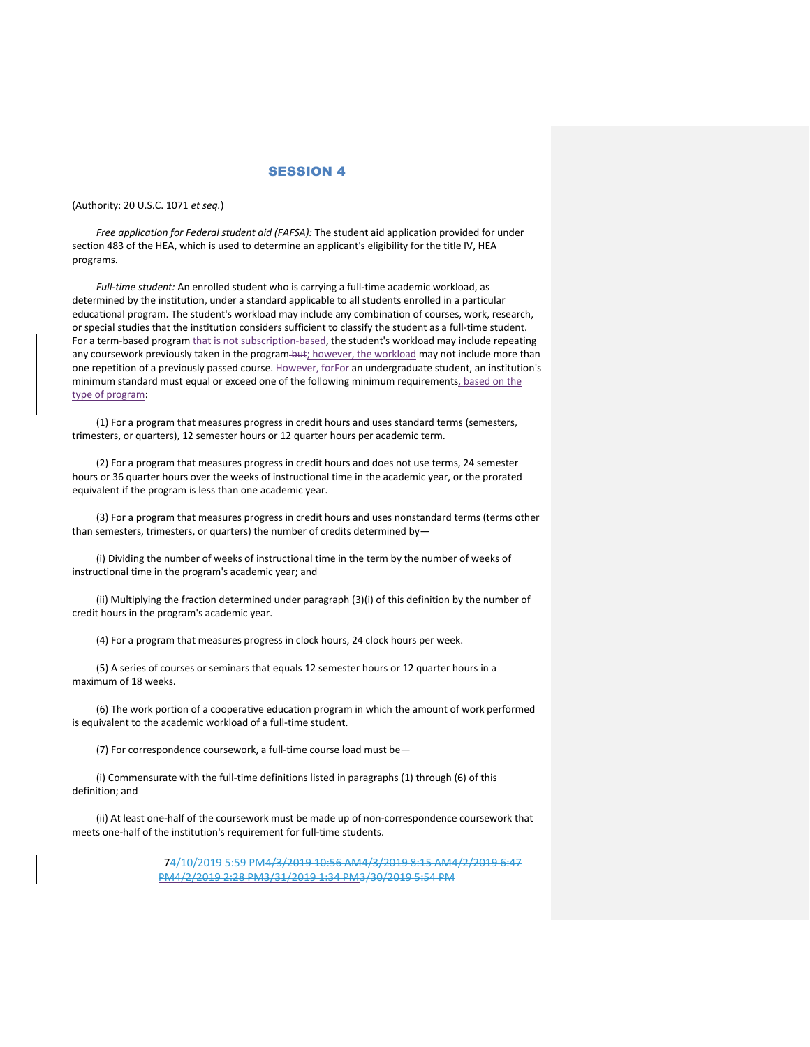(Authority: 20 U.S.C. 1071 *et seq.*)

*Free application for Federal student aid (FAFSA):* The student aid application provided for under section 483 of the HEA, which is used to determine an applicant's eligibility for the title IV, HEA programs.

*Full-time student:* An enrolled student who is carrying a full-time academic workload, as determined by the institution, under a standard applicable to all students enrolled in a particular educational program. The student's workload may include any combination of courses, work, research, or special studies that the institution considers sufficient to classify the student as a full-time student. For a term-based program that is not subscription-based, the student's workload may include repeating any coursework previously taken in the program-but; however, the workload may not include more than one repetition of a previously passed course. However, for For an undergraduate student, an institution's minimum standard must equal or exceed one of the following minimum requirements, based on the type of program:

(1) For a program that measures progress in credit hours and uses standard terms (semesters, trimesters, or quarters), 12 semester hours or 12 quarter hours per academic term.

(2) For a program that measures progress in credit hours and does not use terms, 24 semester hours or 36 quarter hours over the weeks of instructional time in the academic year, or the prorated equivalent if the program is less than one academic year.

(3) For a program that measures progress in credit hours and uses nonstandard terms (terms other than semesters, trimesters, or quarters) the number of credits determined by—

(i) Dividing the number of weeks of instructional time in the term by the number of weeks of instructional time in the program's academic year; and

(ii) Multiplying the fraction determined under paragraph (3)(i) of this definition by the number of credit hours in the program's academic year.

(4) For a program that measures progress in clock hours, 24 clock hours per week.

(5) A series of courses or seminars that equals 12 semester hours or 12 quarter hours in a maximum of 18 weeks.

(6) The work portion of a cooperative education program in which the amount of work performed is equivalent to the academic workload of a full-time student.

(7) For correspondence coursework, a full-time course load must be—

(i) Commensurate with the full-time definitions listed in paragraphs (1) through (6) of this definition; and

(ii) At least one-half of the coursework must be made up of non-correspondence coursework that meets one-half of the institution's requirement for full-time students.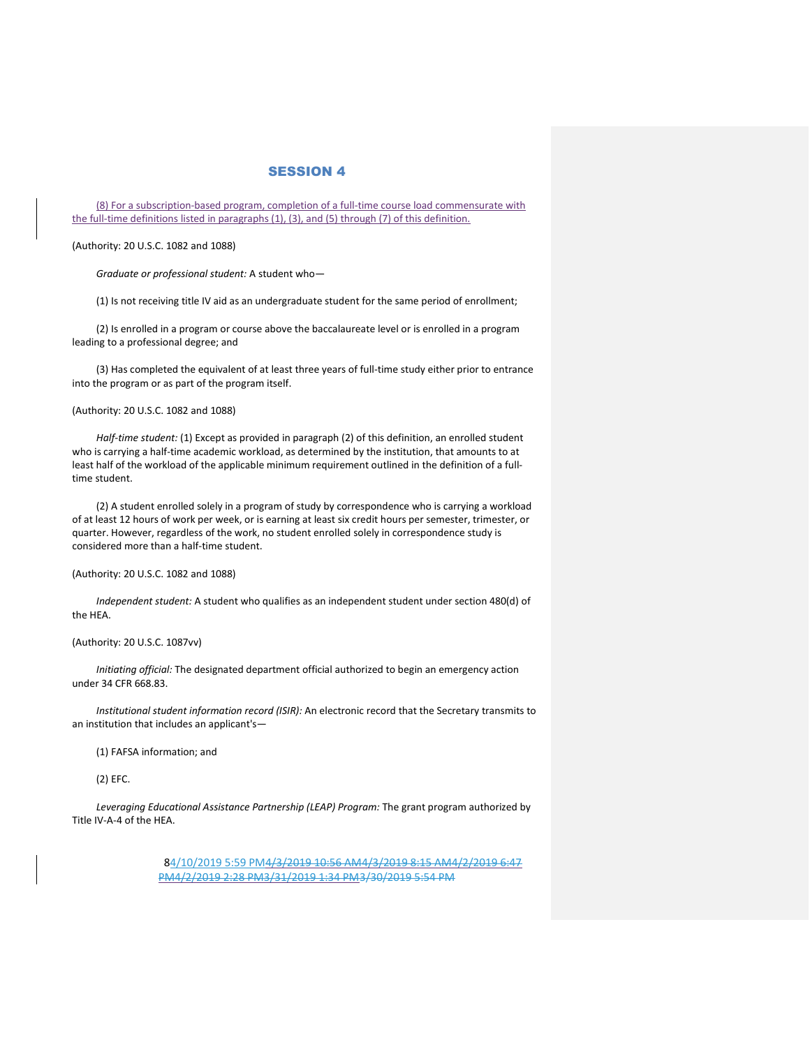(8) For a subscription-based program, completion of a full-time course load commensurate with the full-time definitions listed in paragraphs (1), (3), and (5) through (7) of this definition.

(Authority: 20 U.S.C. 1082 and 1088)

*Graduate or professional student:* A student who—

(1) Is not receiving title IV aid as an undergraduate student for the same period of enrollment;

(2) Is enrolled in a program or course above the baccalaureate level or is enrolled in a program leading to a professional degree; and

(3) Has completed the equivalent of at least three years of full-time study either prior to entrance into the program or as part of the program itself.

(Authority: 20 U.S.C. 1082 and 1088)

*Half-time student:* (1) Except as provided in paragraph (2) of this definition, an enrolled student who is carrying a half-time academic workload, as determined by the institution, that amounts to at least half of the workload of the applicable minimum requirement outlined in the definition of a fulltime student.

(2) A student enrolled solely in a program of study by correspondence who is carrying a workload of at least 12 hours of work per week, or is earning at least six credit hours per semester, trimester, or quarter. However, regardless of the work, no student enrolled solely in correspondence study is considered more than a half-time student.

### (Authority: 20 U.S.C. 1082 and 1088)

*Independent student:* A student who qualifies as an independent student under section 480(d) of the HEA.

#### (Authority: 20 U.S.C. 1087vv)

*Initiating official:* The designated department official authorized to begin an emergency action under 34 CFR 668.83.

*Institutional student information record (ISIR):* An electronic record that the Secretary transmits to an institution that includes an applicant's—

(1) FAFSA information; and

(2) EFC.

*Leveraging Educational Assistance Partnership (LEAP) Program:* The grant program authorized by Title IV-A-4 of the HEA.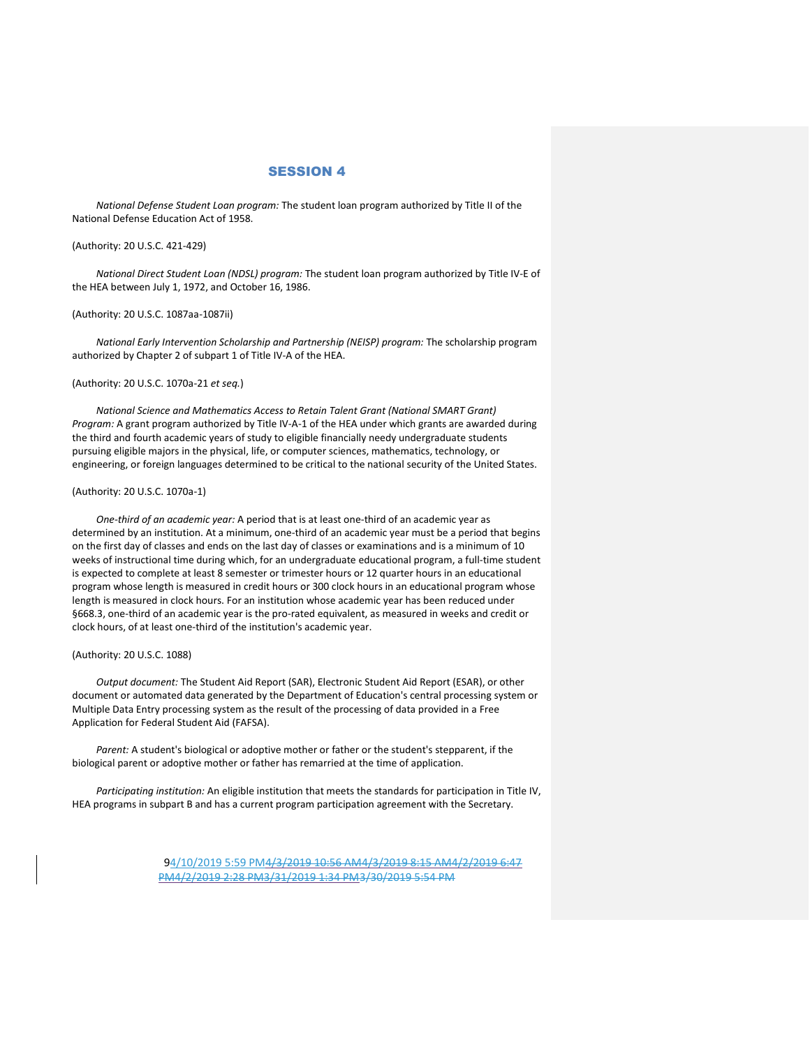*National Defense Student Loan program:* The student loan program authorized by Title II of the National Defense Education Act of 1958.

(Authority: 20 U.S.C. 421-429)

*National Direct Student Loan (NDSL) program:* The student loan program authorized by Title IV-E of the HEA between July 1, 1972, and October 16, 1986.

(Authority: 20 U.S.C. 1087aa-1087ii)

*National Early Intervention Scholarship and Partnership (NEISP) program:* The scholarship program authorized by Chapter 2 of subpart 1 of Title IV-A of the HEA.

#### (Authority: 20 U.S.C. 1070a-21 *et seq.*)

*National Science and Mathematics Access to Retain Talent Grant (National SMART Grant) Program:* A grant program authorized by Title IV-A-1 of the HEA under which grants are awarded during the third and fourth academic years of study to eligible financially needy undergraduate students pursuing eligible majors in the physical, life, or computer sciences, mathematics, technology, or engineering, or foreign languages determined to be critical to the national security of the United States.

#### (Authority: 20 U.S.C. 1070a-1)

*One-third of an academic year:* A period that is at least one-third of an academic year as determined by an institution. At a minimum, one-third of an academic year must be a period that begins on the first day of classes and ends on the last day of classes or examinations and is a minimum of 10 weeks of instructional time during which, for an undergraduate educational program, a full-time student is expected to complete at least 8 semester or trimester hours or 12 quarter hours in an educational program whose length is measured in credit hours or 300 clock hours in an educational program whose length is measured in clock hours. For an institution whose academic year has been reduced under §668.3, one-third of an academic year is the pro-rated equivalent, as measured in weeks and credit or clock hours, of at least one-third of the institution's academic year.

#### (Authority: 20 U.S.C. 1088)

*Output document:* The Student Aid Report (SAR), Electronic Student Aid Report (ESAR), or other document or automated data generated by the Department of Education's central processing system or Multiple Data Entry processing system as the result of the processing of data provided in a Free Application for Federal Student Aid (FAFSA).

*Parent:* A student's biological or adoptive mother or father or the student's stepparent, if the biological parent or adoptive mother or father has remarried at the time of application.

*Participating institution:* An eligible institution that meets the standards for participation in Title IV, HEA programs in subpart B and has a current program participation agreement with the Secretary.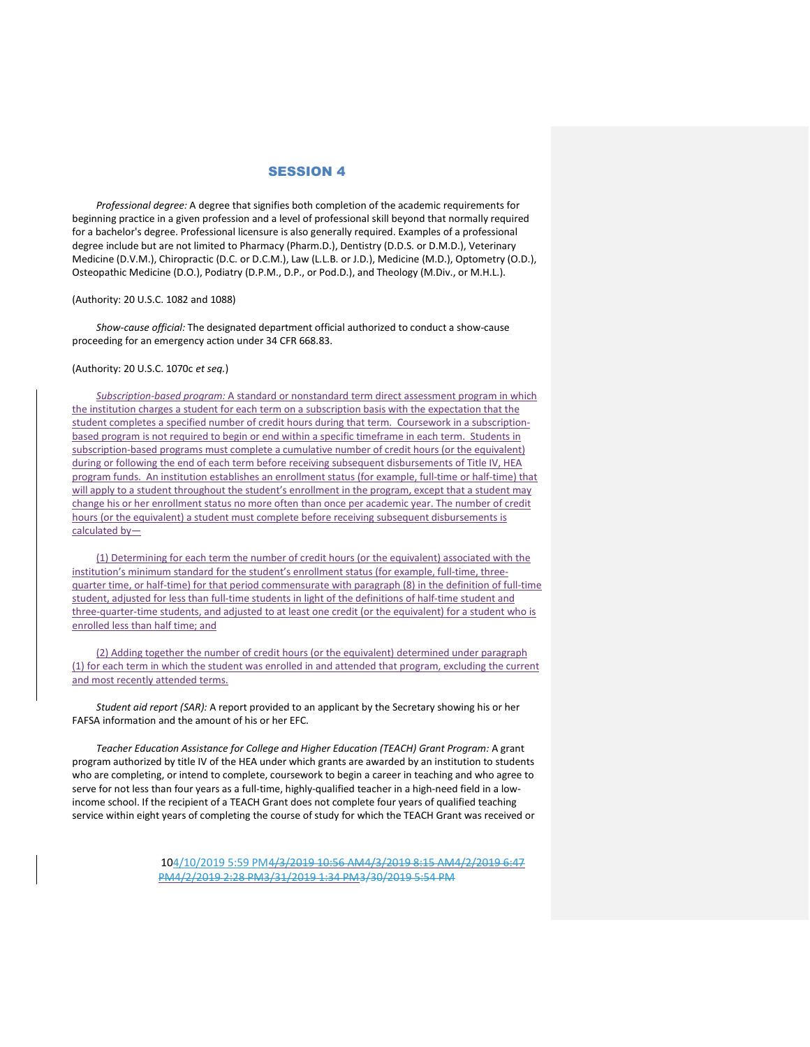*Professional degree:* A degree that signifies both completion of the academic requirements for beginning practice in a given profession and a level of professional skill beyond that normally required for a bachelor's degree. Professional licensure is also generally required. Examples of a professional degree include but are not limited to Pharmacy (Pharm.D.), Dentistry (D.D.S. or D.M.D.), Veterinary Medicine (D.V.M.), Chiropractic (D.C. or D.C.M.), Law (L.L.B. or J.D.), Medicine (M.D.), Optometry (O.D.), Osteopathic Medicine (D.O.), Podiatry (D.P.M., D.P., or Pod.D.), and Theology (M.Div., or M.H.L.).

#### (Authority: 20 U.S.C. 1082 and 1088)

*Show-cause official:* The designated department official authorized to conduct a show-cause proceeding for an emergency action under 34 CFR 668.83.

#### (Authority: 20 U.S.C. 1070c *et seq.*)

*Subscription-based program:* A standard or nonstandard term direct assessment program in which the institution charges a student for each term on a subscription basis with the expectation that the student completes a specified number of credit hours during that term. Coursework in a subscriptionbased program is not required to begin or end within a specific timeframe in each term. Students in subscription-based programs must complete a cumulative number of credit hours (or the equivalent) during or following the end of each term before receiving subsequent disbursements of Title IV, HEA program funds. An institution establishes an enrollment status (for example, full-time or half-time) that will apply to a student throughout the student's enrollment in the program, except that a student may change his or her enrollment status no more often than once per academic year. The number of credit hours (or the equivalent) a student must complete before receiving subsequent disbursements is calculated by—

(1) Determining for each term the number of credit hours (or the equivalent) associated with the institution's minimum standard for the student's enrollment status (for example, full-time, threequarter time, or half-time) for that period commensurate with paragraph (8) in the definition of full-time student, adjusted for less than full-time students in light of the definitions of half-time student and three-quarter-time students, and adjusted to at least one credit (or the equivalent) for a student who is enrolled less than half time; and

(2) Adding together the number of credit hours (or the equivalent) determined under paragraph (1) for each term in which the student was enrolled in and attended that program, excluding the current and most recently attended terms.

*Student aid report (SAR):* A report provided to an applicant by the Secretary showing his or her FAFSA information and the amount of his or her EFC.

*Teacher Education Assistance for College and Higher Education (TEACH) Grant Program:* A grant program authorized by title IV of the HEA under which grants are awarded by an institution to students who are completing, or intend to complete, coursework to begin a career in teaching and who agree to serve for not less than four years as a full-time, highly-qualified teacher in a high-need field in a lowincome school. If the recipient of a TEACH Grant does not complete four years of qualified teaching service within eight years of completing the course of study for which the TEACH Grant was received or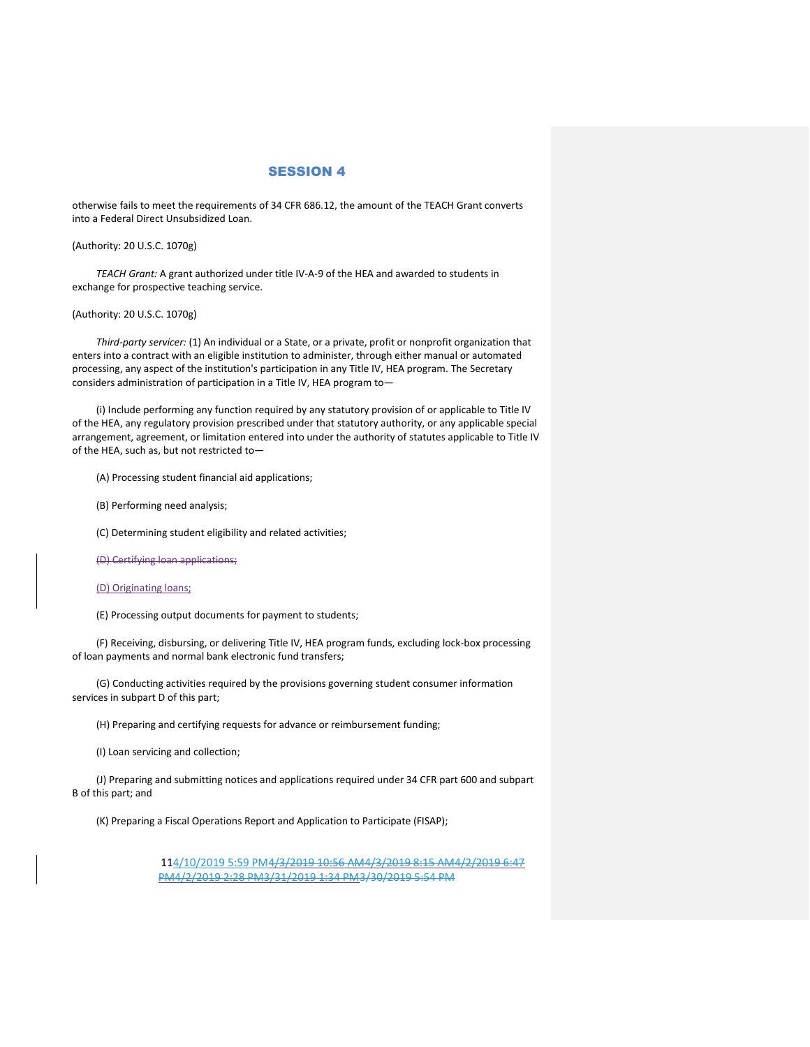otherwise fails to meet the requirements of 34 CFR 686.12, the amount of the TEACH Grant converts into a Federal Direct Unsubsidized Loan.

(Authority: 20 U.S.C. 1070g)

*TEACH Grant:* A grant authorized under title IV-A-9 of the HEA and awarded to students in exchange for prospective teaching service.

(Authority: 20 U.S.C. 1070g)

*Third-party servicer:* (1) An individual or a State, or a private, profit or nonprofit organization that enters into a contract with an eligible institution to administer, through either manual or automated processing, any aspect of the institution's participation in any Title IV, HEA program. The Secretary considers administration of participation in a Title IV, HEA program to—

(i) Include performing any function required by any statutory provision of or applicable to Title IV of the HEA, any regulatory provision prescribed under that statutory authority, or any applicable special arrangement, agreement, or limitation entered into under the authority of statutes applicable to Title IV of the HEA, such as, but not restricted to—

(A) Processing student financial aid applications;

(B) Performing need analysis;

(C) Determining student eligibility and related activities;

(D) Certifying loan applications;

(D) Originating loans;

(E) Processing output documents for payment to students;

(F) Receiving, disbursing, or delivering Title IV, HEA program funds, excluding lock-box processing of loan payments and normal bank electronic fund transfers;

(G) Conducting activities required by the provisions governing student consumer information services in subpart D of this part;

(H) Preparing and certifying requests for advance or reimbursement funding;

(I) Loan servicing and collection;

(J) Preparing and submitting notices and applications required under 34 CFR part 600 and subpart B of this part; and

(K) Preparing a Fiscal Operations Report and Application to Participate (FISAP);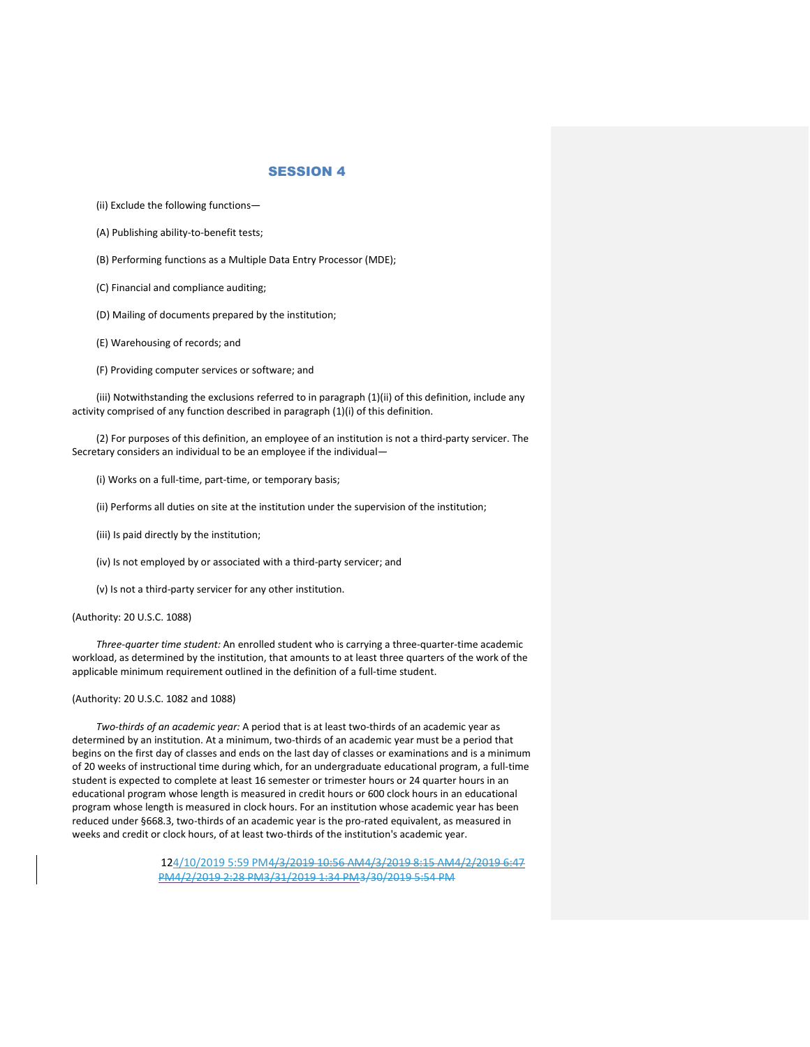(ii) Exclude the following functions—

(A) Publishing ability-to-benefit tests;

(B) Performing functions as a Multiple Data Entry Processor (MDE);

(C) Financial and compliance auditing;

(D) Mailing of documents prepared by the institution;

(E) Warehousing of records; and

(F) Providing computer services or software; and

(iii) Notwithstanding the exclusions referred to in paragraph (1)(ii) of this definition, include any activity comprised of any function described in paragraph (1)(i) of this definition.

(2) For purposes of this definition, an employee of an institution is not a third-party servicer. The Secretary considers an individual to be an employee if the individual—

(i) Works on a full-time, part-time, or temporary basis;

(ii) Performs all duties on site at the institution under the supervision of the institution;

(iii) Is paid directly by the institution;

(iv) Is not employed by or associated with a third-party servicer; and

(v) Is not a third-party servicer for any other institution.

(Authority: 20 U.S.C. 1088)

*Three-quarter time student:* An enrolled student who is carrying a three-quarter-time academic workload, as determined by the institution, that amounts to at least three quarters of the work of the applicable minimum requirement outlined in the definition of a full-time student.

#### (Authority: 20 U.S.C. 1082 and 1088)

*Two-thirds of an academic year:* A period that is at least two-thirds of an academic year as determined by an institution. At a minimum, two-thirds of an academic year must be a period that begins on the first day of classes and ends on the last day of classes or examinations and is a minimum of 20 weeks of instructional time during which, for an undergraduate educational program, a full-time student is expected to complete at least 16 semester or trimester hours or 24 quarter hours in an educational program whose length is measured in credit hours or 600 clock hours in an educational program whose length is measured in clock hours. For an institution whose academic year has been reduced under §668.3, two-thirds of an academic year is the pro-rated equivalent, as measured in weeks and credit or clock hours, of at least two-thirds of the institution's academic year.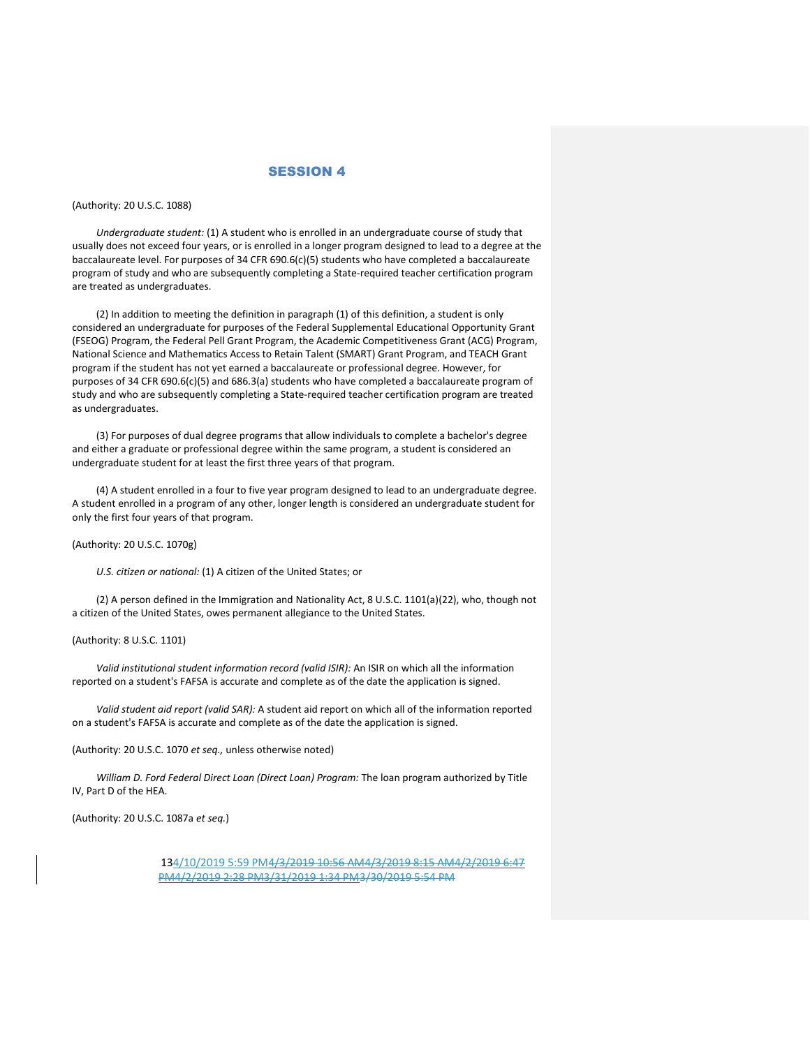(Authority: 20 U.S.C. 1088)

*Undergraduate student:* (1) A student who is enrolled in an undergraduate course of study that usually does not exceed four years, or is enrolled in a longer program designed to lead to a degree at the baccalaureate level. For purposes of 34 CFR 690.6(c)(5) students who have completed a baccalaureate program of study and who are subsequently completing a State-required teacher certification program are treated as undergraduates.

(2) In addition to meeting the definition in paragraph (1) of this definition, a student is only considered an undergraduate for purposes of the Federal Supplemental Educational Opportunity Grant (FSEOG) Program, the Federal Pell Grant Program, the Academic Competitiveness Grant (ACG) Program, National Science and Mathematics Access to Retain Talent (SMART) Grant Program, and TEACH Grant program if the student has not yet earned a baccalaureate or professional degree. However, for purposes of 34 CFR 690.6(c)(5) and 686.3(a) students who have completed a baccalaureate program of study and who are subsequently completing a State-required teacher certification program are treated as undergraduates.

(3) For purposes of dual degree programs that allow individuals to complete a bachelor's degree and either a graduate or professional degree within the same program, a student is considered an undergraduate student for at least the first three years of that program.

(4) A student enrolled in a four to five year program designed to lead to an undergraduate degree. A student enrolled in a program of any other, longer length is considered an undergraduate student for only the first four years of that program.

(Authority: 20 U.S.C. 1070g)

*U.S. citizen or national:* (1) A citizen of the United States; or

(2) A person defined in the Immigration and Nationality Act, 8 U.S.C. 1101(a)(22), who, though not a citizen of the United States, owes permanent allegiance to the United States.

(Authority: 8 U.S.C. 1101)

*Valid institutional student information record (valid ISIR):* An ISIR on which all the information reported on a student's FAFSA is accurate and complete as of the date the application is signed.

*Valid student aid report (valid SAR):* A student aid report on which all of the information reported on a student's FAFSA is accurate and complete as of the date the application is signed.

(Authority: 20 U.S.C. 1070 *et seq.,* unless otherwise noted)

*William D. Ford Federal Direct Loan (Direct Loan) Program:* The loan program authorized by Title IV, Part D of the HEA.

(Authority: 20 U.S.C. 1087a *et seq.*)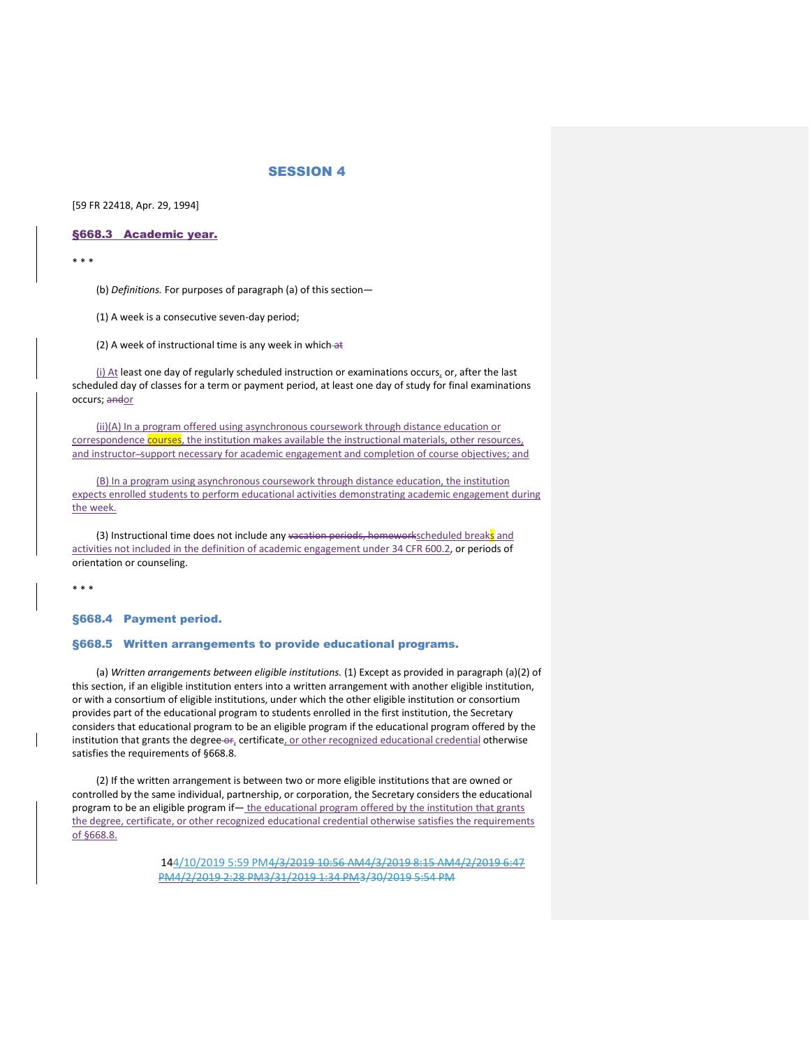[59 FR 22418, Apr. 29, 1994]

#### §668.3 Academic year.

\* \* \*

(b) *Definitions.* For purposes of paragraph (a) of this section—

(1) A week is a consecutive seven-day period;

(2) A week of instructional time is any week in which  $at$ 

 $(i)$  At least one day of regularly scheduled instruction or examinations occurs, or, after the last scheduled day of classes for a term or payment period, at least one day of study for final examinations occurs; andor

(ii)(A) In a program offered using asynchronous coursework through distance education or correspondence courses, the institution makes available the instructional materials, other resources, and instructor-support necessary for academic engagement and completion of course objectives; and

(B) In a program using asynchronous coursework through distance education, the institution expects enrolled students to perform educational activities demonstrating academic engagement during the week.

(3) Instructional time does not include any vacation periods, homeworkscheduled breaks and activities not included in the definition of academic engagement under 34 CFR 600.2, or periods of orientation or counseling.

\* \* \*

§668.4 Payment period.

#### §668.5 Written arrangements to provide educational programs.

(a) *Written arrangements between eligible institutions.* (1) Except as provided in paragraph (a)(2) of this section, if an eligible institution enters into a written arrangement with another eligible institution, or with a consortium of eligible institutions, under which the other eligible institution or consortium provides part of the educational program to students enrolled in the first institution, the Secretary considers that educational program to be an eligible program if the educational program offered by the institution that grants the degree-or, certificate, or other recognized educational credential otherwise satisfies the requirements of §668.8.

(2) If the written arrangement is between two or more eligible institutions that are owned or controlled by the same individual, partnership, or corporation, the Secretary considers the educational program to be an eligible program if— the educational program offered by the institution that grants the degree, certificate, or other recognized educational credential otherwise satisfies the requirements of §668.8.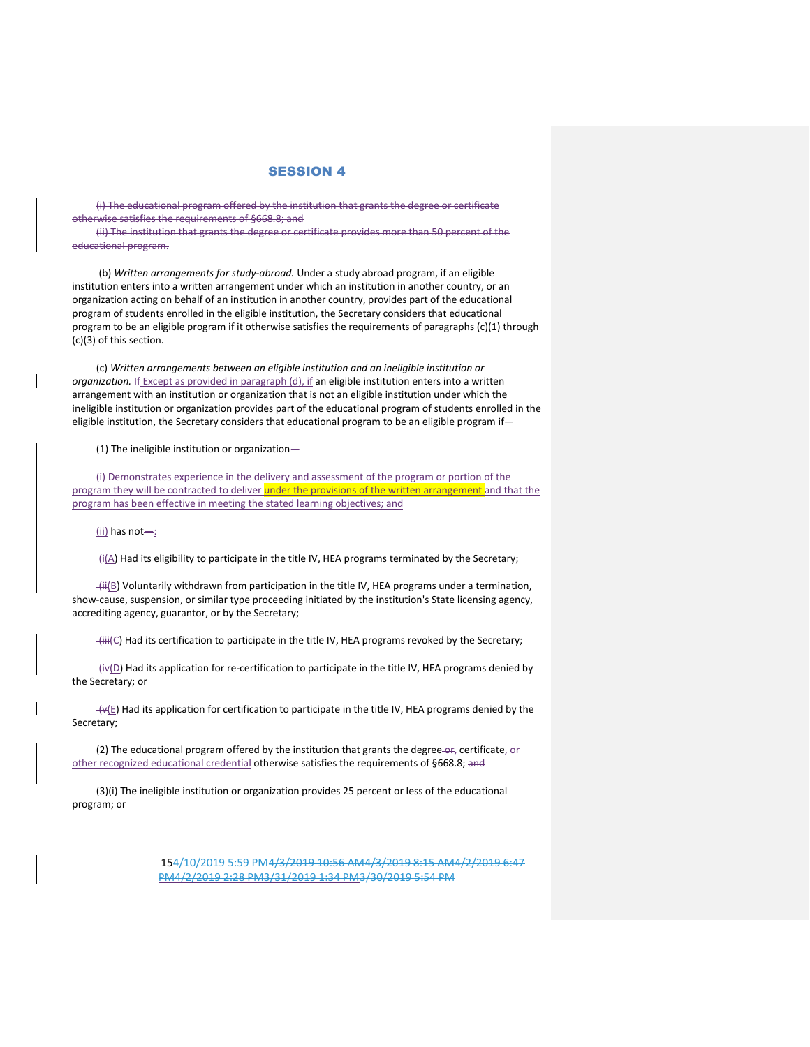(i) The educational program offered by the institution that grants the degree or certificate otherwise satisfies the requirements of §668.8; and

(ii) The institution that grants the degree or certificate provides more than 50 percent of the educational program.

(b) *Written arrangements for study-abroad.* Under a study abroad program, if an eligible institution enters into a written arrangement under which an institution in another country, or an organization acting on behalf of an institution in another country, provides part of the educational program of students enrolled in the eligible institution, the Secretary considers that educational program to be an eligible program if it otherwise satisfies the requirements of paragraphs (c)(1) through (c)(3) of this section.

(c) *Written arrangements between an eligible institution and an ineligible institution or*  organization. + Except as provided in paragraph (d), if an eligible institution enters into a written arrangement with an institution or organization that is not an eligible institution under which the ineligible institution or organization provides part of the educational program of students enrolled in the eligible institution, the Secretary considers that educational program to be an eligible program if—

(1) The ineligible institution or organization $-$ 

(i) Demonstrates experience in the delivery and assessment of the program or portion of the program they will be contracted to deliver under the provisions of the written arrangement and that the program has been effective in meeting the stated learning objectives; and

(ii) has not—:

 $H(A)$  Had its eligibility to participate in the title IV, HEA programs terminated by the Secretary;

 $+iii(B)$  Voluntarily withdrawn from participation in the title IV, HEA programs under a termination, show-cause, suspension, or similar type proceeding initiated by the institution's State licensing agency, accrediting agency, guarantor, or by the Secretary;

(iii(C) Had its certification to participate in the title IV, HEA programs revoked by the Secretary;

(iv(D) Had its application for re-certification to participate in the title IV, HEA programs denied by the Secretary; or

 $+\psi$ (E) Had its application for certification to participate in the title IV, HEA programs denied by the Secretary;

(2) The educational program offered by the institution that grants the degree- $\theta$ <sub>r</sub> certificate, or other recognized educational credential otherwise satisfies the requirements of §668.8; and

(3)(i) The ineligible institution or organization provides 25 percent or less of the educational program; or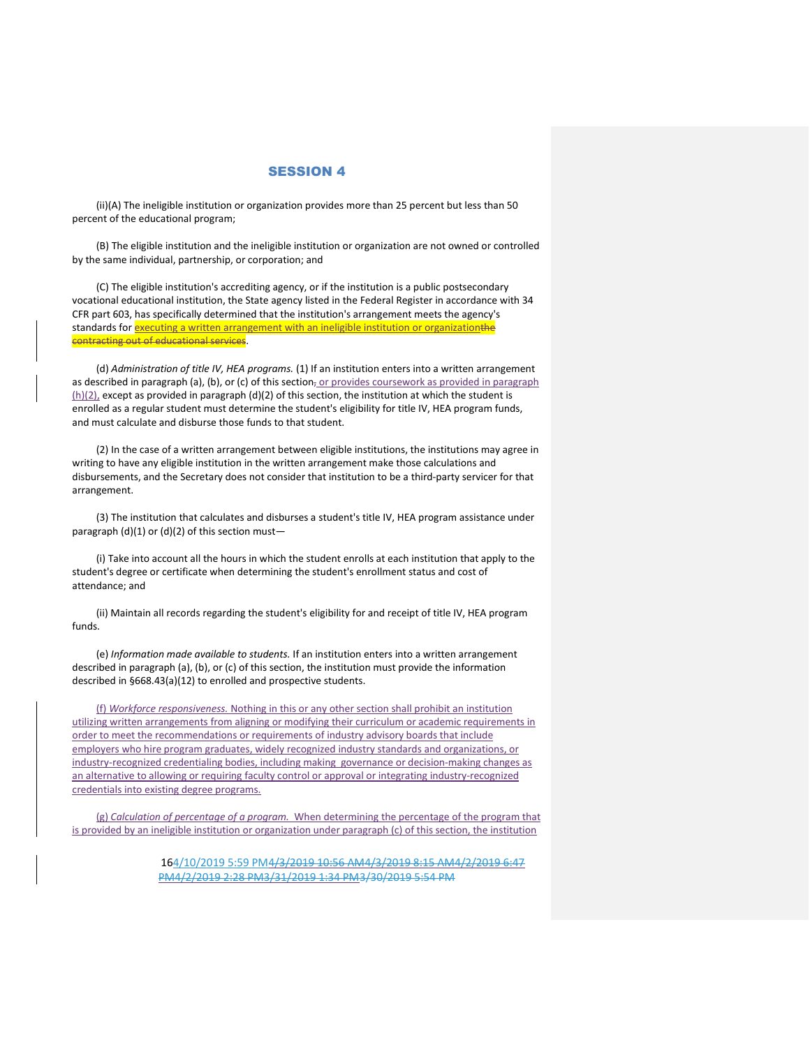(ii)(A) The ineligible institution or organization provides more than 25 percent but less than 50 percent of the educational program;

(B) The eligible institution and the ineligible institution or organization are not owned or controlled by the same individual, partnership, or corporation; and

(C) The eligible institution's accrediting agency, or if the institution is a public postsecondary vocational educational institution, the State agency listed in the Federal Register in accordance with 34 CFR part 603, has specifically determined that the institution's arrangement meets the agency's standards for **executing a written arrangement with an ineligible institution or organizationthe** contracting out of educational services.

(d) *Administration of title IV, HEA programs.* (1) If an institution enters into a written arrangement as described in paragraph (a), (b), or (c) of this section, or provides coursework as provided in paragraph  $(h)(2)$ , except as provided in paragraph (d)(2) of this section, the institution at which the student is enrolled as a regular student must determine the student's eligibility for title IV, HEA program funds, and must calculate and disburse those funds to that student.

(2) In the case of a written arrangement between eligible institutions, the institutions may agree in writing to have any eligible institution in the written arrangement make those calculations and disbursements, and the Secretary does not consider that institution to be a third-party servicer for that arrangement.

(3) The institution that calculates and disburses a student's title IV, HEA program assistance under paragraph  $(d)(1)$  or  $(d)(2)$  of this section must-

(i) Take into account all the hours in which the student enrolls at each institution that apply to the student's degree or certificate when determining the student's enrollment status and cost of attendance; and

(ii) Maintain all records regarding the student's eligibility for and receipt of title IV, HEA program funds.

(e) *Information made available to students.* If an institution enters into a written arrangement described in paragraph (a), (b), or (c) of this section, the institution must provide the information described in §668.43(a)(12) to enrolled and prospective students.

(f) *Workforce responsiveness.* Nothing in this or any other section shall prohibit an institution utilizing written arrangements from aligning or modifying their curriculum or academic requirements in order to meet the recommendations or requirements of industry advisory boards that include employers who hire program graduates, widely recognized industry standards and organizations, or industry-recognized credentialing bodies, including making governance or decision-making changes as an alternative to allowing or requiring faculty control or approval or integrating industry-recognized credentials into existing degree programs.

(g) *Calculation of percentage of a program.* When determining the percentage of the program that is provided by an ineligible institution or organization under paragraph (c) of this section, the institution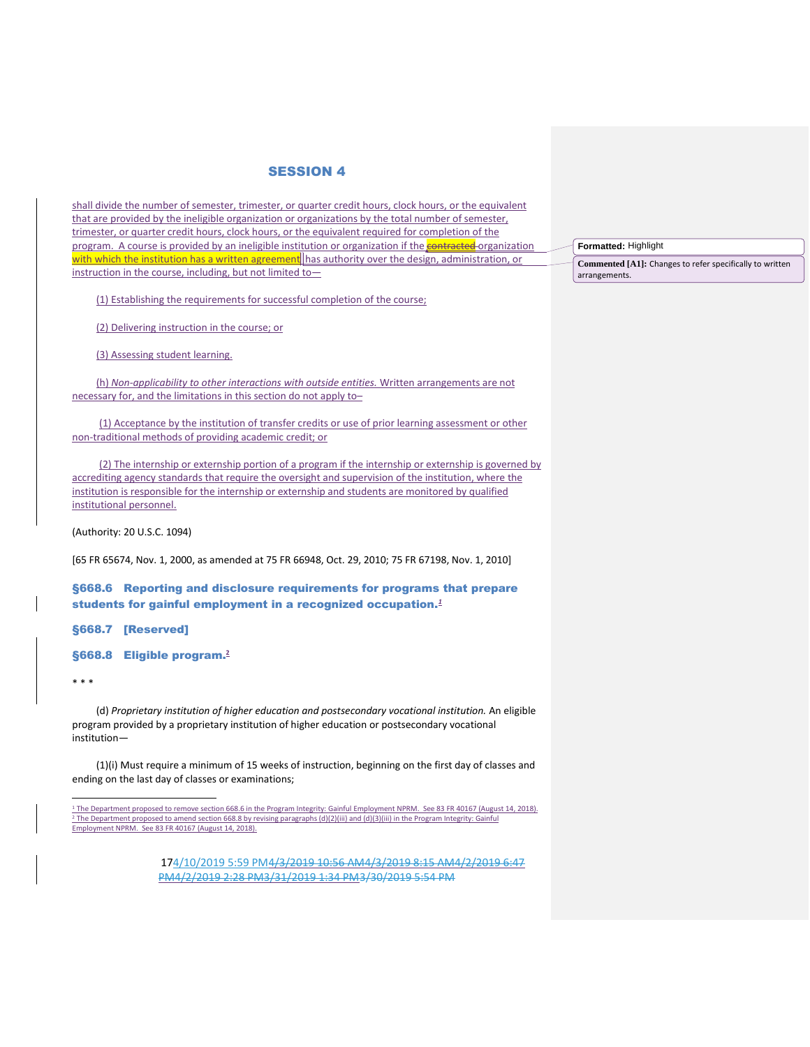shall divide the number of semester, trimester, or quarter credit hours, clock hours, or the equivalent that are provided by the ineligible organization or organizations by the total number of semester, trimester, or quarter credit hours, clock hours, or the equivalent required for completion of the program. A course is provided by an ineligible institution or organization if the **contracted** organization with which the institution has a written agreement has authority over the design, administration, or instruction in the course, including, but not limited to—

(1) Establishing the requirements for successful completion of the course;

(2) Delivering instruction in the course; or

(3) Assessing student learning.

(h) *Non-applicability to other interactions with outside entities.* Written arrangements are not necessary for, and the limitations in this section do not apply to–

(1) Acceptance by the institution of transfer credits or use of prior learning assessment or other non-traditional methods of providing academic credit; or

(2) The internship or externship portion of a program if the internship or externship is governed by accrediting agency standards that require the oversight and supervision of the institution, where the institution is responsible for the internship or externship and students are monitored by qualified institutional personnel.

(Authority: 20 U.S.C. 1094)

[65 FR 65674, Nov. 1, 2000, as amended at 75 FR 66948, Oct. 29, 2010; 75 FR 67198, Nov. 1, 2010]

§668.6 Reporting and disclosure requirements for programs that prepare students for gainful employment in a recognized occupation.*<sup>1</sup>*

§668.7 [Reserved]

§668.8 Eligible program.**<sup>2</sup>**

\* \* \*

j

(d) *Proprietary institution of higher education and postsecondary vocational institution.* An eligible program provided by a proprietary institution of higher education or postsecondary vocational institution—

(1)(i) Must require a minimum of 15 weeks of instruction, beginning on the first day of classes and ending on the last day of classes or examinations;

<sup>1</sup> The Department proposed to remove section 668.6 in the Program Integrity: Gainful Employment NPRM. See 83 FR 40167 (August 14, 2018). <sup>2</sup> The Department proposed to amend section 668.8 by revising paragraphs  $(d)(2)(iii)$  and  $(d)(3)(iii)$  in the Program Integrity: Gainful Employment NPRM. See 83 FR 40167 (August 14, 2018).

> 174/10/2019 5:59 PM4/3/2019 10:56 AM4/3/2019 8:15 AM4/2/2019 6:47 PM4/2/2019 2:28 PM3/31/2019 1:34 PM3/30/2019 5:54 PM

**Formatted:** Highlight

**Commented [A1]:** Changes to refer specifically to written arrangements.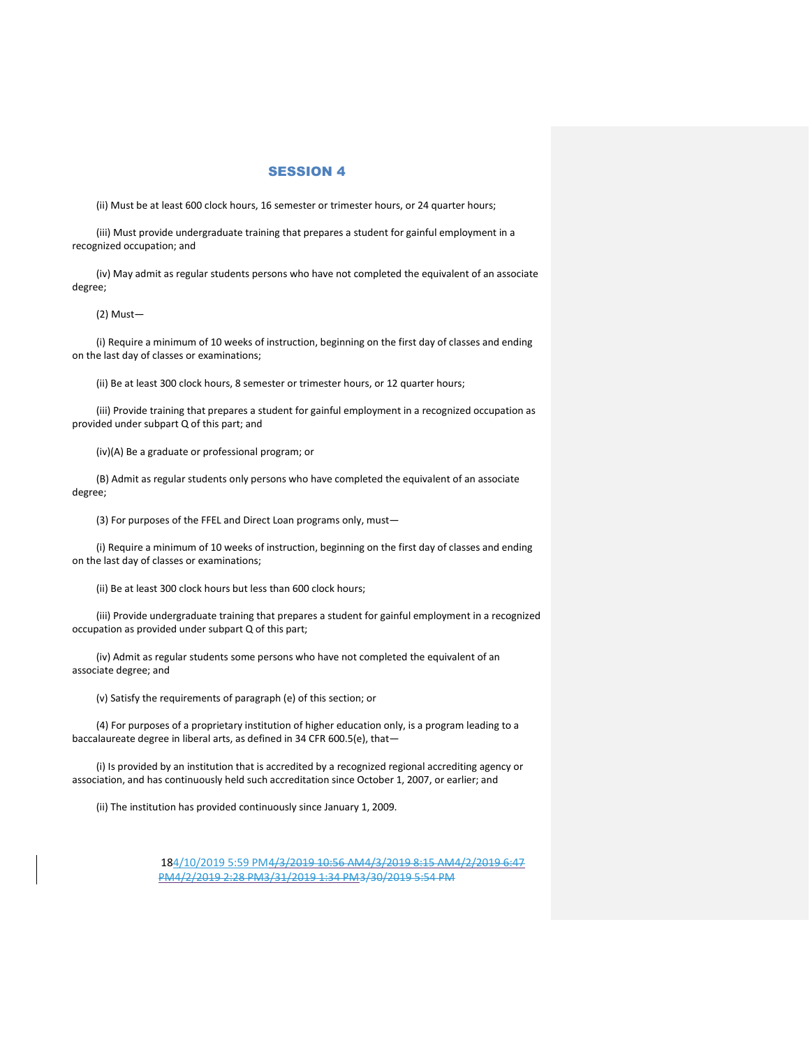(ii) Must be at least 600 clock hours, 16 semester or trimester hours, or 24 quarter hours;

(iii) Must provide undergraduate training that prepares a student for gainful employment in a recognized occupation; and

(iv) May admit as regular students persons who have not completed the equivalent of an associate degree;

(2) Must—

(i) Require a minimum of 10 weeks of instruction, beginning on the first day of classes and ending on the last day of classes or examinations;

(ii) Be at least 300 clock hours, 8 semester or trimester hours, or 12 quarter hours;

(iii) Provide training that prepares a student for gainful employment in a recognized occupation as provided under subpart Q of this part; and

(iv)(A) Be a graduate or professional program; or

(B) Admit as regular students only persons who have completed the equivalent of an associate degree;

(3) For purposes of the FFEL and Direct Loan programs only, must—

(i) Require a minimum of 10 weeks of instruction, beginning on the first day of classes and ending on the last day of classes or examinations;

(ii) Be at least 300 clock hours but less than 600 clock hours;

(iii) Provide undergraduate training that prepares a student for gainful employment in a recognized occupation as provided under subpart Q of this part;

(iv) Admit as regular students some persons who have not completed the equivalent of an associate degree; and

(v) Satisfy the requirements of paragraph (e) of this section; or

(4) For purposes of a proprietary institution of higher education only, is a program leading to a baccalaureate degree in liberal arts, as defined in 34 CFR 600.5(e), that—

(i) Is provided by an institution that is accredited by a recognized regional accrediting agency or association, and has continuously held such accreditation since October 1, 2007, or earlier; and

(ii) The institution has provided continuously since January 1, 2009.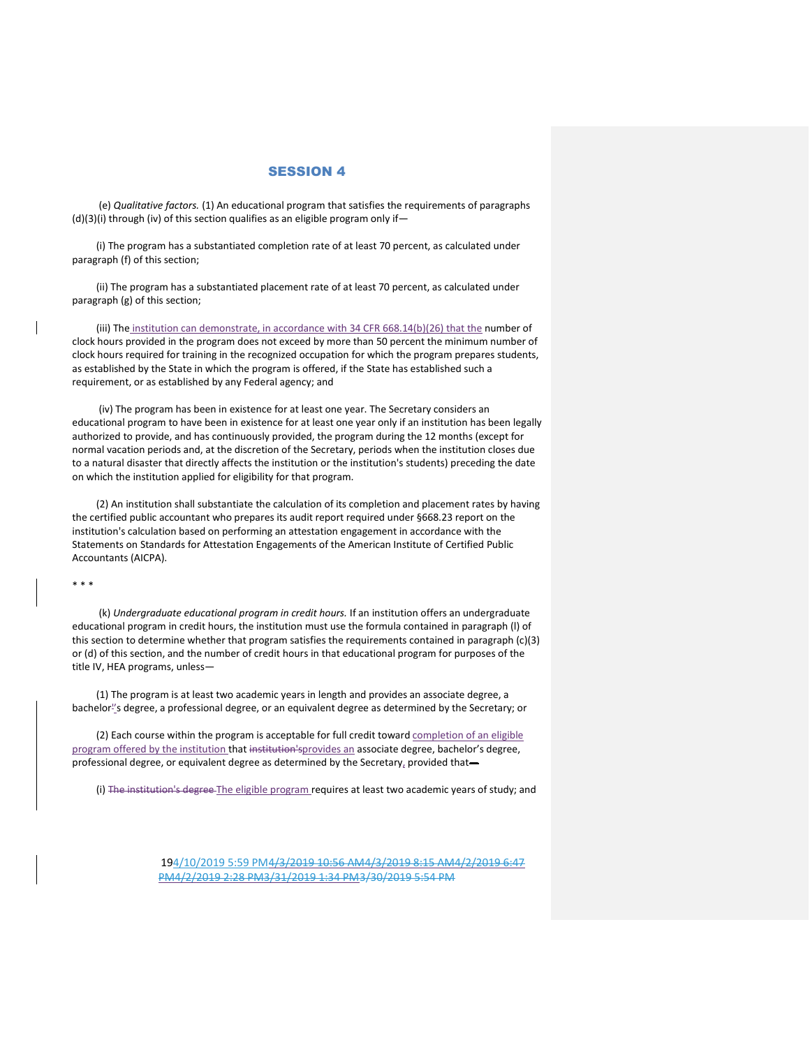(e) *Qualitative factors.* (1) An educational program that satisfies the requirements of paragraphs (d)(3)(i) through (iv) of this section qualifies as an eligible program only if—

(i) The program has a substantiated completion rate of at least 70 percent, as calculated under paragraph (f) of this section;

(ii) The program has a substantiated placement rate of at least 70 percent, as calculated under paragraph (g) of this section;

(iii) The institution can demonstrate, in accordance with 34 CFR 668.14(b)(26) that the number of clock hours provided in the program does not exceed by more than 50 percent the minimum number of clock hours required for training in the recognized occupation for which the program prepares students, as established by the State in which the program is offered, if the State has established such a requirement, or as established by any Federal agency; and

(iv) The program has been in existence for at least one year. The Secretary considers an educational program to have been in existence for at least one year only if an institution has been legally authorized to provide, and has continuously provided, the program during the 12 months (except for normal vacation periods and, at the discretion of the Secretary, periods when the institution closes due to a natural disaster that directly affects the institution or the institution's students) preceding the date on which the institution applied for eligibility for that program.

(2) An institution shall substantiate the calculation of its completion and placement rates by having the certified public accountant who prepares its audit report required under §668.23 report on the institution's calculation based on performing an attestation engagement in accordance with the Statements on Standards for Attestation Engagements of the American Institute of Certified Public Accountants (AICPA).

\* \* \*

(k) *Undergraduate educational program in credit hours.* If an institution offers an undergraduate educational program in credit hours, the institution must use the formula contained in paragraph (l) of this section to determine whether that program satisfies the requirements contained in paragraph (c)(3) or (d) of this section, and the number of credit hours in that educational program for purposes of the title IV, HEA programs, unless—

(1) The program is at least two academic years in length and provides an associate degree, a bachelor''s degree, a professional degree, or an equivalent degree as determined by the Secretary; or

(2) Each course within the program is acceptable for full credit toward completion of an eligible program offered by the institution that institution'sprovides an associate degree, bachelor's degree, professional degree, or equivalent degree as determined by the Secretary, provided that-

(i) The institution's degree The eligible program requires at least two academic years of study; and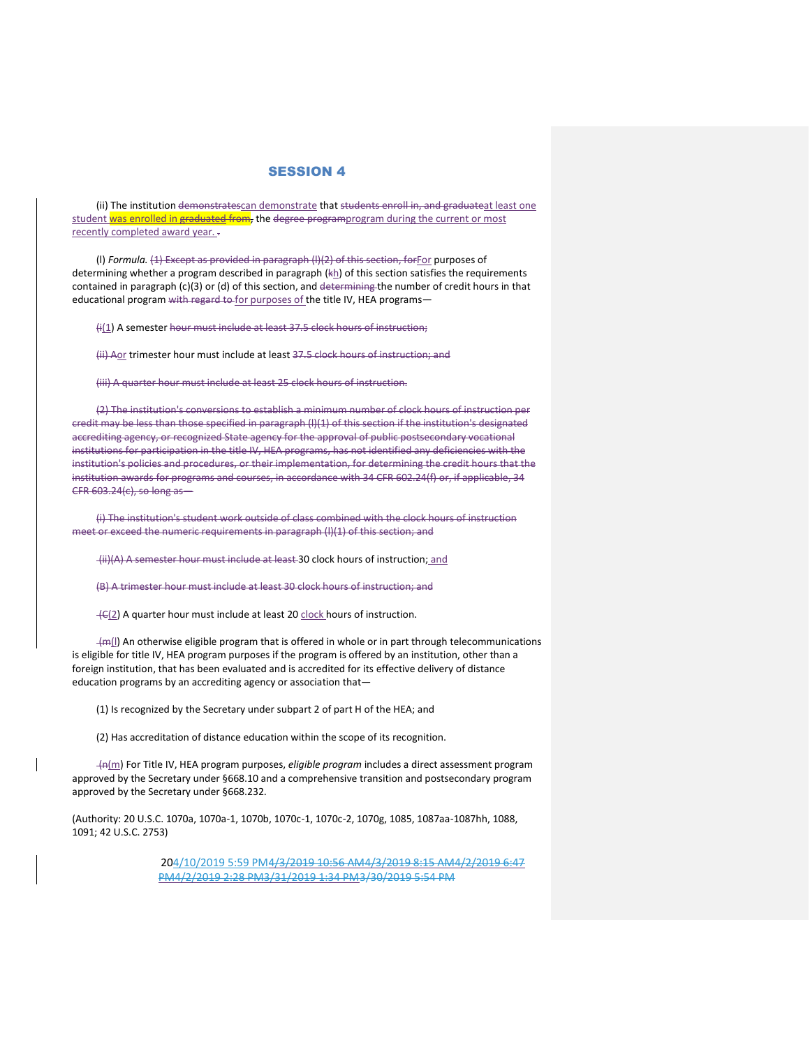(ii) The institution demonstratescan demonstrate that students enroll in, and graduateat least one student was enrolled in graduated from, the degree programprogram during the current or most recently completed award year. .

(l) *Formula.* (1) Except as provided in paragraph (l)(2) of this section, forFor purposes of determining whether a program described in paragraph  $(k_1)$  of this section satisfies the requirements contained in paragraph (c)(3) or (d) of this section, and determining the number of credit hours in that educational program with regard to for purposes of the title IV, HEA programs-

 $(i(1)$  A semester hour must include at least 37.5 clock hours of instruction;

(ii) Aor trimester hour must include at least 37.5 clock hours of instruction; and

(iii) A quarter hour must include at least 25 clock hours of instruction.

(2) The institution's conversions to establish a minimum number of clock hours of instruction per credit may be less than those specified in paragraph (l)(1) of this section if the institution's designated accrediting agency, or recognized State agency for the approval of public postsecondary vocational institutions for participation in the title IV, HEA programs, has not identified any deficiencies with the institution's policies and procedures, or their implementation, for determining the credit hours that the institution awards for programs and courses, in accordance with 34 CFR 602.24(f) or, if applicable, 34 CFR 603.24(c), so long as—

(i) The institution's student work outside of class combined with the clock hours of instruction meet or exceed the numeric requirements in paragraph (l)(1) of this section; and

(ii)(A) A semester hour must include at least 30 clock hours of instruction; and

(B) A trimester hour must include at least 30 clock hours of instruction; and

(C(2) A quarter hour must include at least 20 clock hours of instruction.

(m(l) An otherwise eligible program that is offered in whole or in part through telecommunications is eligible for title IV, HEA program purposes if the program is offered by an institution, other than a foreign institution, that has been evaluated and is accredited for its effective delivery of distance education programs by an accrediting agency or association that—

(1) Is recognized by the Secretary under subpart 2 of part H of the HEA; and

(2) Has accreditation of distance education within the scope of its recognition.

(n(m) For Title IV, HEA program purposes, *eligible program* includes a direct assessment program approved by the Secretary under §668.10 and a comprehensive transition and postsecondary program approved by the Secretary under §668.232.

(Authority: 20 U.S.C. 1070a, 1070a-1, 1070b, 1070c-1, 1070c-2, 1070g, 1085, 1087aa-1087hh, 1088, 1091; 42 U.S.C. 2753)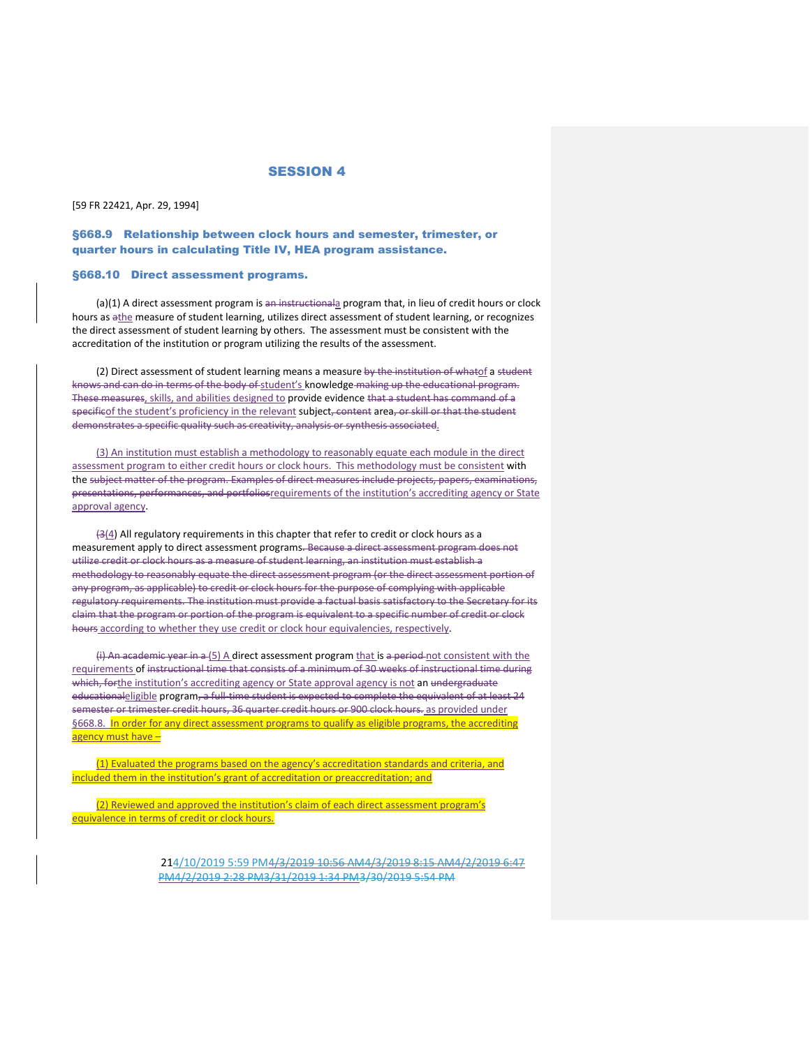[59 FR 22421, Apr. 29, 1994]

§668.9 Relationship between clock hours and semester, trimester, or quarter hours in calculating Title IV, HEA program assistance.

#### §668.10 Direct assessment programs.

(a)(1) A direct assessment program is an instructionala program that, in lieu of credit hours or clock hours as athe measure of student learning, utilizes direct assessment of student learning, or recognizes the direct assessment of student learning by others. The assessment must be consistent with the accreditation of the institution or program utilizing the results of the assessment.

(2) Direct assessment of student learning means a measure by the institution of whatof a student knows and can do in terms of the body of student's knowledge making up the educational program. These measures, skills, and abilities designed to provide evidence that a student has command of a specificof the student's proficiency in the relevant subject, content area, or skill or that the student demonstrates a specific quality such as creativity, analysis or synthesis associated.

(3) An institution must establish a methodology to reasonably equate each module in the direct assessment program to either credit hours or clock hours. This methodology must be consistent with the subject matter of the program. Examples of direct measures include projects, papers, examinations, presentations, performances, and portfoliosrequirements of the institution's accrediting agency or State approval agency.

(3(4) All regulatory requirements in this chapter that refer to credit or clock hours as a measurement apply to direct assessment programs. Because a direct assessment program does not utilize credit or clock hours as a measure of student learning, an institution must establish a methodology to reasonably equate the direct assessment program (or the direct assessment portion of any program, as applicable) to credit or clock hours for the purpose of complying with applicable regulatory requirements. The institution must provide a factual basis satisfactory to the Secretary for its claim that the program or portion of the program is equivalent to a specific number of credit or clock hours according to whether they use credit or clock hour equivalencies, respectively.

(i) An academic year in a (5) A direct assessment program that is a period not consistent with the requirements of instructional time that consists of a minimum of 30 weeks of instructional time during which, forthe institution's accrediting agency or State approval agency is not an undergraduate educationaleligible program, a full-time student is expected to complete the equivalent of at least 24 semester or trimester credit hours, 36 quarter credit hours or 900 clock hours. as provided under §668.8. In order for any direct assessment programs to qualify as eligible programs, the accrediting agency must have –

(1) Evaluated the programs based on the agency's accreditation standards and criteria, and included them in the institution's grant of accreditation or preaccreditation; and

(2) Reviewed and approved the institution's claim of each direct assessment program's equivalence in terms of credit or clock hours.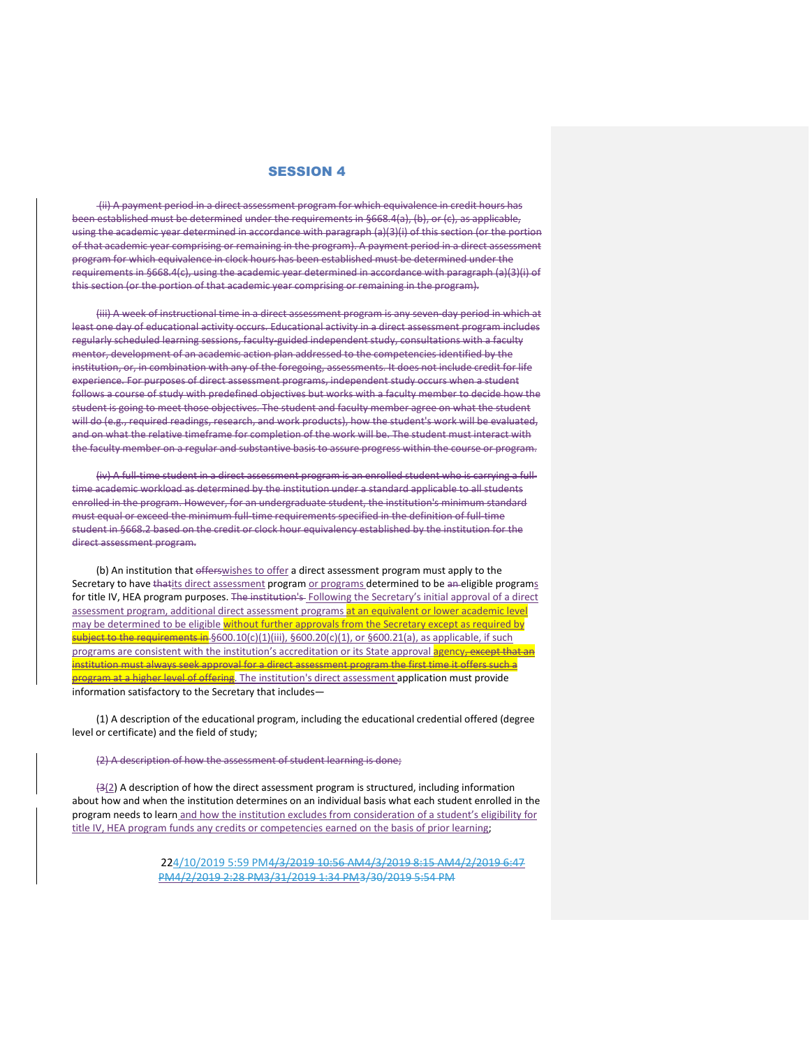(ii) A payment period in a direct assessment program for which equivalence in credit hours has been established must be determined under the requirements in §668.4(a), (b), or (c), as applicable, using the academic year determined in accordance with paragraph (a)(3)(i) of this section (or the portion of that academic year comprising or remaining in the program). A payment period in a direct assessment program for which equivalence in clock hours has been established must be determined under the requirements in §668.4(c), using the academic year determined in accordance with paragraph (a)(3)(i) of this section (or the portion of that academic year comprising or remaining in the program).

(iii) A week of instructional time in a direct assessment program is any seven-day period in which at least one day of educational activity occurs. Educational activity in a direct assessment program includes regularly scheduled learning sessions, faculty-guided independent study, consultations with a faculty mentor, development of an academic action plan addressed to the competencies identified by the institution, or, in combination with any of the foregoing, assessments. It does not include credit for life experience. For purposes of direct assessment programs, independent study occurs when a student follows a course of study with predefined objectives but works with a faculty member to decide how the student is going to meet those objectives. The student and faculty member agree on what the student will do (e.g., required readings, research, and work products), how the student's work will be evaluated, and on what the relative timeframe for completion of the work will be. The student must interact with the faculty member on a regular and substantive basis to assure progress within the course or program.

(iv) A full-time student in a direct assessment program is an enrolled student who is carrying a fulltime academic workload as determined by the institution under a standard applicable to all students enrolled in the program. However, for an undergraduate student, the institution's minimum standard must equal or exceed the minimum full-time requirements specified in the definition of full-time student in §668.2 based on the credit or clock hour equivalency established by the institution for the direct assessment program.

(b) An institution that efferswishes to offer a direct assessment program must apply to the Secretary to have thatits direct assessment program or programs determined to be an eligible programs for title IV, HEA program purposes. The institution's Following the Secretary's initial approval of a direct assessment program, additional direct assessment programs at an equivalent or lower academic level may be determined to be eligible without further approvals from the Secretary except as required by subject to the requirements in §600.10(c)(1)(iii), §600.20(c)(1), or §600.21(a), as applicable, if such programs are consistent with the institution's accreditation or its State approval **agency<del>, except that an</del>** institution must always seek approval for a direct assessment program the first time it offers such a program at a higher level of offering. The institution's direct assessment application must provide information satisfactory to the Secretary that includes—

(1) A description of the educational program, including the educational credential offered (degree level or certificate) and the field of study;

(2) A description of how the assessment of student learning is done;

 $(3(2)$  A description of how the direct assessment program is structured, including information about how and when the institution determines on an individual basis what each student enrolled in the program needs to learn and how the institution excludes from consideration of a student's eligibility for title IV, HEA program funds any credits or competencies earned on the basis of prior learning;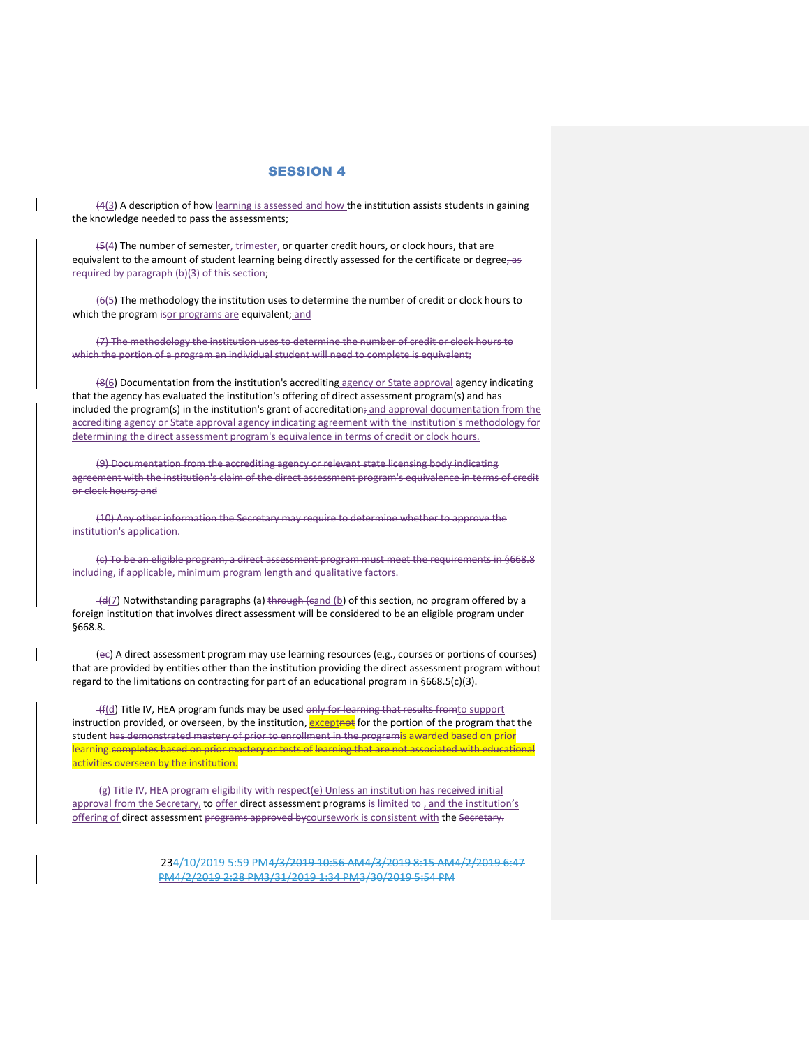(4(3) A description of how learning is assessed and how the institution assists students in gaining the knowledge needed to pass the assessments;

 $\frac{15(4)}{2}$  The number of semester, trimester, or quarter credit hours, or clock hours, that are equivalent to the amount of student learning being directly assessed for the certificate or degree, as required by paragraph (b)(3) of this section;

(6(5) The methodology the institution uses to determine the number of credit or clock hours to which the program isor programs are equivalent; and

(7) The methodology the institution uses to determine the number of credit or clock hours to which the portion of a program an individual student will need to complete is equivalent;

(8(6) Documentation from the institution's accrediting agency or State approval agency indicating that the agency has evaluated the institution's offering of direct assessment program(s) and has included the program(s) in the institution's grant of accreditation; and approval documentation from the accrediting agency or State approval agency indicating agreement with the institution's methodology for determining the direct assessment program's equivalence in terms of credit or clock hours.

(9) Documentation from the accrediting agency or relevant state licensing body indicating agreement with the institution's claim of the direct assessment program's equivalence in terms of credit or clock hours; and

(10) Any other information the Secretary may require to determine whether to approve the institution's application.

(c) To be an eligible program, a direct assessment program must meet the requirements in §668.8 including, if applicable, minimum program length and qualitative factors.

 $\pm$ d(7) Notwithstanding paragraphs (a) through (cand (b) of this section, no program offered by a foreign institution that involves direct assessment will be considered to be an eligible program under §668.8.

(ec) A direct assessment program may use learning resources (e.g., courses or portions of courses) that are provided by entities other than the institution providing the direct assessment program without regard to the limitations on contracting for part of an educational program in §668.5(c)(3).

(f(d) Title IV, HEA program funds may be used only for learning that results fromto support instruction provided, or overseen, by the institution, exceptnot for the portion of the program that the student has demonstrated mastery of prior to enrollment in the programis awarded based on prior learning.completes based on prior mastery or tests of learning that are not associated with educational activities overseen by the institution.

(g) Title IV, HEA program eligibility with respect(e) Unless an institution has received initial approval from the Secretary, to offer direct assessment programs is limited to , and the institution's offering of direct assessment programs approved bycoursework is consistent with the Secretary.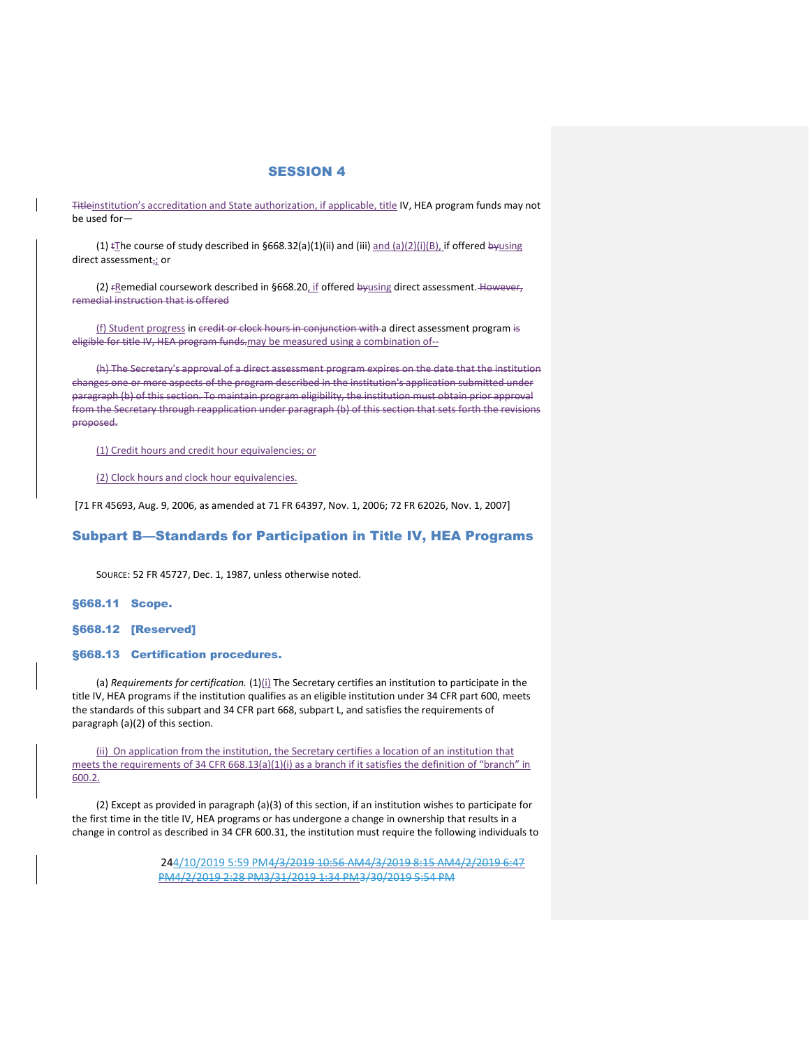Titleinstitution's accreditation and State authorization, if applicable, title IV, HEA program funds may not be used for—

(1)  $EThe course of study described in §668.32(a)(1)(ii) and (iii) and (a)(2)(i)(B), if offered by using$ direct assessment<sub>7</sub>; or

(2) FRemedial coursework described in §668.20, if offered by using direct assessment. However, remedial instruction that is offered

(f) Student progress in credit or clock hours in conjunction with a direct assessment program is eligible for title IV, HEA program funds.may be measured using a combination of--

(h) The Secretary's approval of a direct assessment program expires on the date that the institution changes one or more aspects of the program described in the institution's application submitted under paragraph (b) of this section. To maintain program eligibility, the institution must obtain prior approval from the Secretary through reapplication under paragraph (b) of this section that sets forth the revisions proposed.

(1) Credit hours and credit hour equivalencies; or

(2) Clock hours and clock hour equivalencies.

[71 FR 45693, Aug. 9, 2006, as amended at 71 FR 64397, Nov. 1, 2006; 72 FR 62026, Nov. 1, 2007]

# Subpart B—Standards for Participation in Title IV, HEA Programs

SOURCE: 52 FR 45727, Dec. 1, 1987, unless otherwise noted.

§668.11 Scope.

§668.12 [Reserved]

§668.13 Certification procedures.

(a) *Requirements for certification.* (1)(i) The Secretary certifies an institution to participate in the title IV, HEA programs if the institution qualifies as an eligible institution under 34 CFR part 600, meets the standards of this subpart and 34 CFR part 668, subpart L, and satisfies the requirements of paragraph (a)(2) of this section.

(ii) On application from the institution, the Secretary certifies a location of an institution that meets the requirements of 34 CFR 668.13(a)(1)(i) as a branch if it satisfies the definition of "branch" in 600.2.

(2) Except as provided in paragraph (a)(3) of this section, if an institution wishes to participate for the first time in the title IV, HEA programs or has undergone a change in ownership that results in a change in control as described in 34 CFR 600.31, the institution must require the following individuals to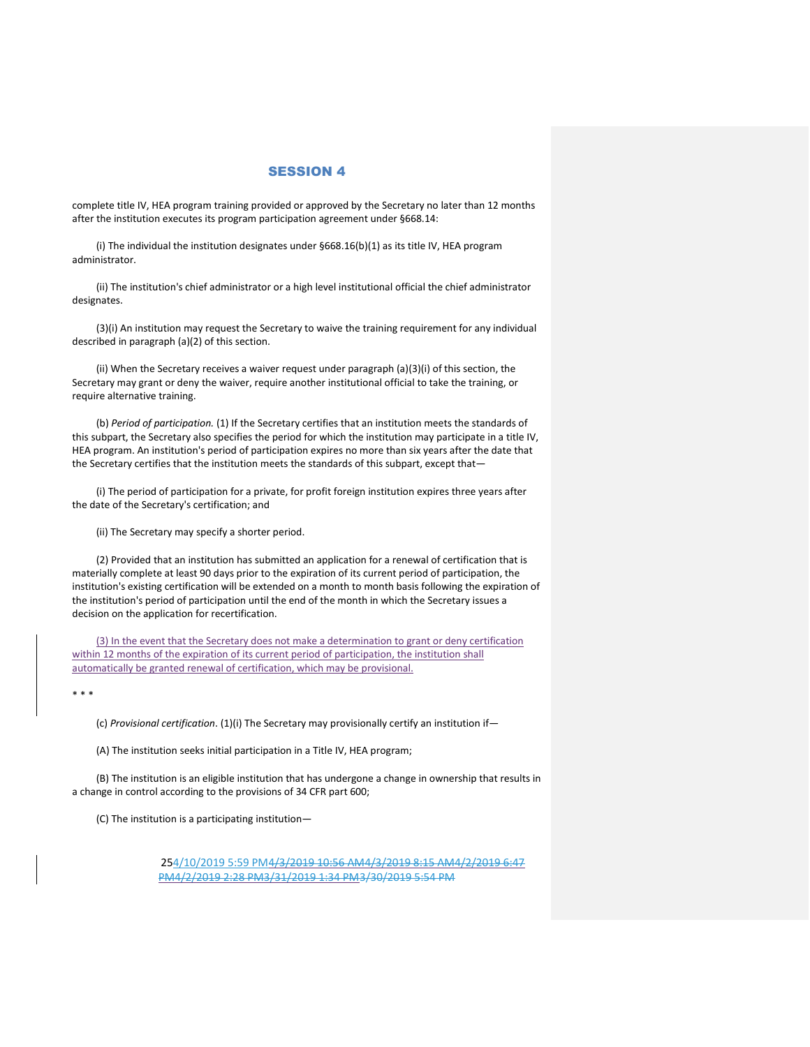complete title IV, HEA program training provided or approved by the Secretary no later than 12 months after the institution executes its program participation agreement under §668.14:

(i) The individual the institution designates under §668.16(b)(1) as its title IV, HEA program administrator.

(ii) The institution's chief administrator or a high level institutional official the chief administrator designates.

(3)(i) An institution may request the Secretary to waive the training requirement for any individual described in paragraph (a)(2) of this section.

(ii) When the Secretary receives a waiver request under paragraph (a)(3)(i) of this section, the Secretary may grant or deny the waiver, require another institutional official to take the training, or require alternative training.

(b) *Period of participation.* (1) If the Secretary certifies that an institution meets the standards of this subpart, the Secretary also specifies the period for which the institution may participate in a title IV, HEA program. An institution's period of participation expires no more than six years after the date that the Secretary certifies that the institution meets the standards of this subpart, except that—

(i) The period of participation for a private, for profit foreign institution expires three years after the date of the Secretary's certification; and

(ii) The Secretary may specify a shorter period.

(2) Provided that an institution has submitted an application for a renewal of certification that is materially complete at least 90 days prior to the expiration of its current period of participation, the institution's existing certification will be extended on a month to month basis following the expiration of the institution's period of participation until the end of the month in which the Secretary issues a decision on the application for recertification.

(3) In the event that the Secretary does not make a determination to grant or deny certification within 12 months of the expiration of its current period of participation, the institution shall automatically be granted renewal of certification, which may be provisional.

\* \* \*

(c) *Provisional certification*. (1)(i) The Secretary may provisionally certify an institution if—

(A) The institution seeks initial participation in a Title IV, HEA program;

(B) The institution is an eligible institution that has undergone a change in ownership that results in a change in control according to the provisions of 34 CFR part 600;

(C) The institution is a participating institution—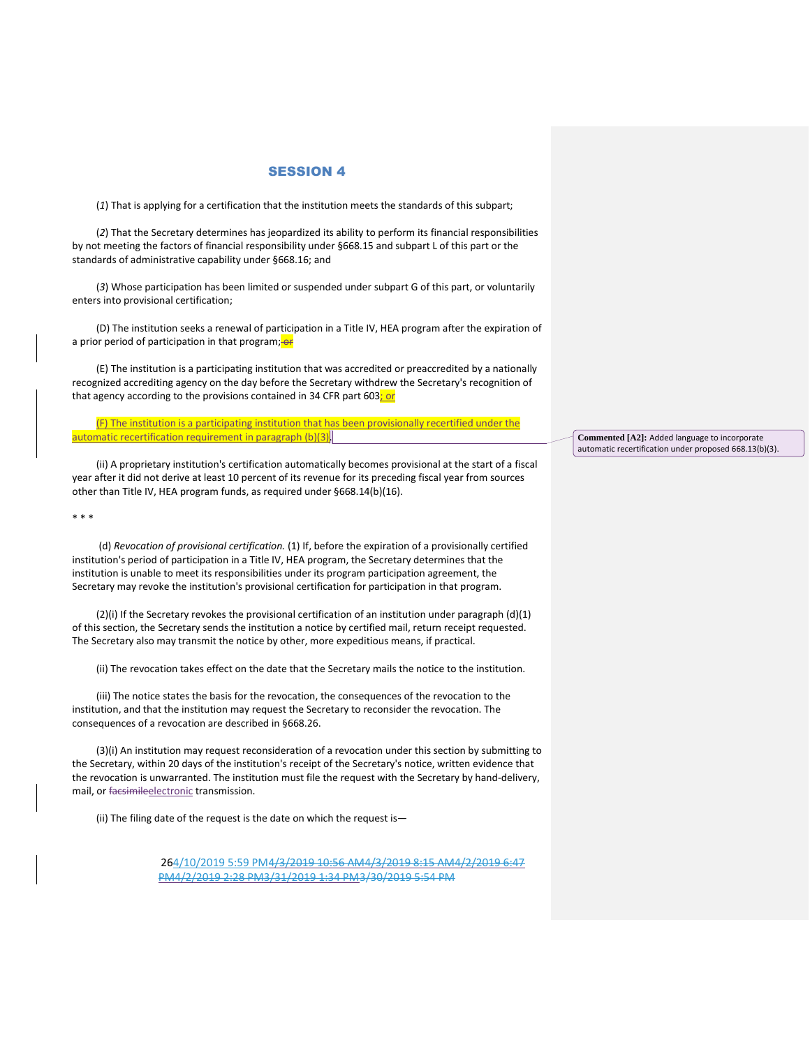(*1*) That is applying for a certification that the institution meets the standards of this subpart;

(*2*) That the Secretary determines has jeopardized its ability to perform its financial responsibilities by not meeting the factors of financial responsibility under §668.15 and subpart L of this part or the standards of administrative capability under §668.16; and

(*3*) Whose participation has been limited or suspended under subpart G of this part, or voluntarily enters into provisional certification;

(D) The institution seeks a renewal of participation in a Title IV, HEA program after the expiration of a prior period of participation in that program; **or** 

(E) The institution is a participating institution that was accredited or preaccredited by a nationally recognized accrediting agency on the day before the Secretary withdrew the Secretary's recognition of that agency according to the provisions contained in 34 CFR part 603; or

(F) The institution is a participating institution that has been provisionally recertified under the automatic recertification requirement in paragraph (b)(3).

(ii) A proprietary institution's certification automatically becomes provisional at the start of a fiscal year after it did not derive at least 10 percent of its revenue for its preceding fiscal year from sources other than Title IV, HEA program funds, as required under §668.14(b)(16).

\* \* \*

(d) *Revocation of provisional certification.* (1) If, before the expiration of a provisionally certified institution's period of participation in a Title IV, HEA program, the Secretary determines that the institution is unable to meet its responsibilities under its program participation agreement, the Secretary may revoke the institution's provisional certification for participation in that program.

 $(2)(i)$  If the Secretary revokes the provisional certification of an institution under paragraph  $(d)(1)$ of this section, the Secretary sends the institution a notice by certified mail, return receipt requested. The Secretary also may transmit the notice by other, more expeditious means, if practical.

(ii) The revocation takes effect on the date that the Secretary mails the notice to the institution.

(iii) The notice states the basis for the revocation, the consequences of the revocation to the institution, and that the institution may request the Secretary to reconsider the revocation. The consequences of a revocation are described in §668.26.

(3)(i) An institution may request reconsideration of a revocation under this section by submitting to the Secretary, within 20 days of the institution's receipt of the Secretary's notice, written evidence that the revocation is unwarranted. The institution must file the request with the Secretary by hand-delivery, mail, or facsimileelectronic transmission.

(ii) The filing date of the request is the date on which the request is—

264/10/2019 5:59 PM4/3/2019 10:56 AM4/3/2019 8:15 AM4/2/2019 6:47 PM4/2/2019 2:28 PM3/31/2019 1:34 PM3/30/2019 5:54 PM

**Commented [A2]:** Added language to incorporate automatic recertification under proposed 668.13(b)(3).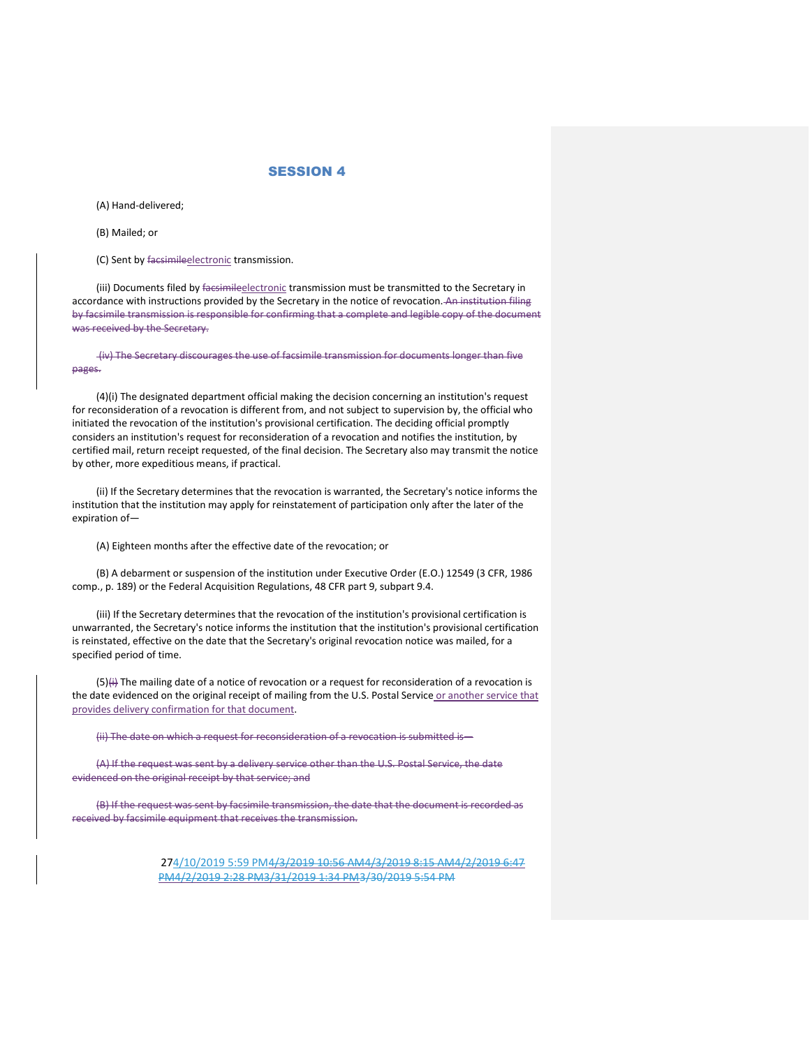(A) Hand-delivered;

(B) Mailed; or

(C) Sent by facsimileelectronic transmission.

(iii) Documents filed by facsimile electronic transmission must be transmitted to the Secretary in accordance with instructions provided by the Secretary in the notice of revocation. An institution filing by facsimile transmission is responsible for confirming that a complete and legible copy of the document was received by the Secretary.

(iv) The Secretary discourages the use of facsimile transmission for documents longer than five pages.

(4)(i) The designated department official making the decision concerning an institution's request for reconsideration of a revocation is different from, and not subject to supervision by, the official who initiated the revocation of the institution's provisional certification. The deciding official promptly considers an institution's request for reconsideration of a revocation and notifies the institution, by certified mail, return receipt requested, of the final decision. The Secretary also may transmit the notice by other, more expeditious means, if practical.

(ii) If the Secretary determines that the revocation is warranted, the Secretary's notice informs the institution that the institution may apply for reinstatement of participation only after the later of the expiration of—

(A) Eighteen months after the effective date of the revocation; or

(B) A debarment or suspension of the institution under Executive Order (E.O.) 12549 (3 CFR, 1986 comp., p. 189) or the Federal Acquisition Regulations, 48 CFR part 9, subpart 9.4.

(iii) If the Secretary determines that the revocation of the institution's provisional certification is unwarranted, the Secretary's notice informs the institution that the institution's provisional certification is reinstated, effective on the date that the Secretary's original revocation notice was mailed, for a specified period of time.

 $(5)$  $(4)$  The mailing date of a notice of revocation or a request for reconsideration of a revocation is the date evidenced on the original receipt of mailing from the U.S. Postal Service or another service that provides delivery confirmation for that document.

(ii) The date on which a request for reconsideration of a revocation is submitted is—

(A) If the request was sent by a delivery service other than the U.S. Postal Service, the date evidenced on the original receipt by that service; and

(B) If the request was sent by facsimile transmission, the date that the document is recorded as received by facsimile equipment that receives the transmission.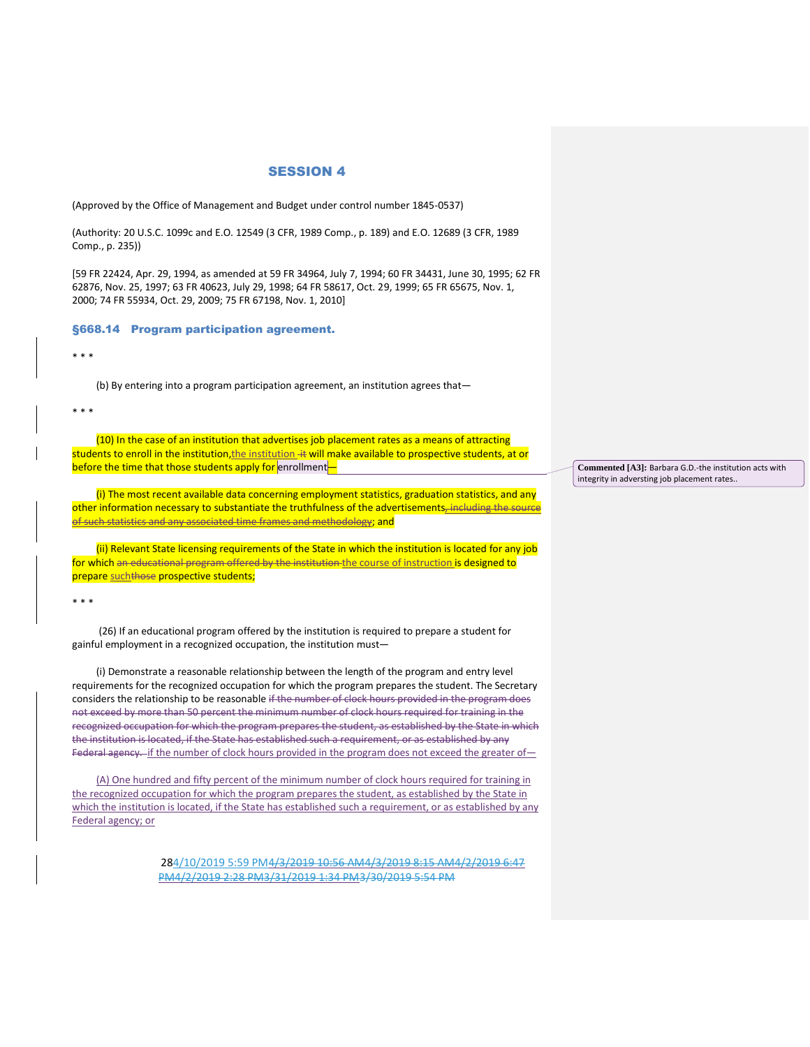(Approved by the Office of Management and Budget under control number 1845-0537)

(Authority: 20 U.S.C. 1099c and E.O. 12549 (3 CFR, 1989 Comp., p. 189) and E.O. 12689 (3 CFR, 1989 Comp., p. 235))

[59 FR 22424, Apr. 29, 1994, as amended at 59 FR 34964, July 7, 1994; 60 FR 34431, June 30, 1995; 62 FR 62876, Nov. 25, 1997; 63 FR 40623, July 29, 1998; 64 FR 58617, Oct. 29, 1999; 65 FR 65675, Nov. 1, 2000; 74 FR 55934, Oct. 29, 2009; 75 FR 67198, Nov. 1, 2010]

#### §668.14 Program participation agreement.

\* \* \*

(b) By entering into a program participation agreement, an institution agrees that—

\* \* \*

(10) In the case of an institution that advertises job placement rates as a means of attracting students to enroll in the institution, the institution  $+$ t will make available to prospective students, at or before the time that those students apply for enrollment $\frac{1}{2}$ 

(i) The most recent available data concerning employment statistics, graduation statistics, and any other information necessary to substantiate the truthfulness of the advertisements, including the source of such statistics and any associated time frames and methodology; and

(ii) Relevant State licensing requirements of the State in which the institution is located for any job for which an educational program offered by the institution the course of instruction is designed to prepare suchthose prospective students;

\* \* \*

(26) If an educational program offered by the institution is required to prepare a student for gainful employment in a recognized occupation, the institution must—

(i) Demonstrate a reasonable relationship between the length of the program and entry level requirements for the recognized occupation for which the program prepares the student. The Secretary considers the relationship to be reasonable if the number of clock hours provided in the program does not exceed by more than 50 percent the minimum number of clock hours required for training in the recognized occupation for which the program prepares the student, as established by the State in which the institution is located, if the State has established such a requirement, or as established by any Federal agency. if the number of clock hours provided in the program does not exceed the greater of-

(A) One hundred and fifty percent of the minimum number of clock hours required for training in the recognized occupation for which the program prepares the student, as established by the State in which the institution is located, if the State has established such a requirement, or as established by any Federal agency; or

> 284/10/2019 5:59 PM4/3/2019 10:56 AM4/3/2019 8:15 AM4/2/2019 6:47 PM4/2/2019 2:28 PM3/31/2019 1:34 PM3/30/2019 5:54 PM

**Commented [A3]:** Barbara G.D.-the institution acts with integrity in adversting job placement rates.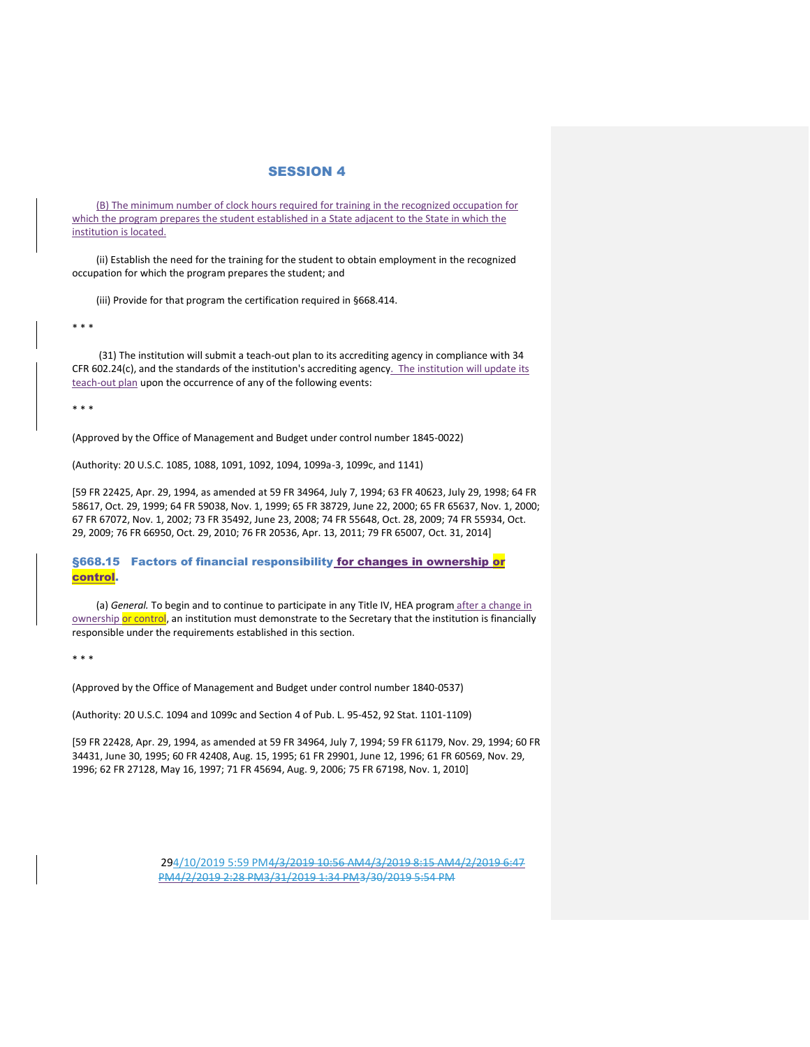(B) The minimum number of clock hours required for training in the recognized occupation for which the program prepares the student established in a State adjacent to the State in which the institution is located.

(ii) Establish the need for the training for the student to obtain employment in the recognized occupation for which the program prepares the student; and

(iii) Provide for that program the certification required in §668.414.

\* \* \*

(31) The institution will submit a teach-out plan to its accrediting agency in compliance with 34 CFR 602.24(c), and the standards of the institution's accrediting agency. The institution will update its teach-out plan upon the occurrence of any of the following events:

\* \* \*

(Approved by the Office of Management and Budget under control number 1845-0022)

(Authority: 20 U.S.C. 1085, 1088, 1091, 1092, 1094, 1099a-3, 1099c, and 1141)

[59 FR 22425, Apr. 29, 1994, as amended at 59 FR 34964, July 7, 1994; 63 FR 40623, July 29, 1998; 64 FR 58617, Oct. 29, 1999; 64 FR 59038, Nov. 1, 1999; 65 FR 38729, June 22, 2000; 65 FR 65637, Nov. 1, 2000; 67 FR 67072, Nov. 1, 2002; 73 FR 35492, June 23, 2008; 74 FR 55648, Oct. 28, 2009; 74 FR 55934, Oct. 29, 2009; 76 FR 66950, Oct. 29, 2010; 76 FR 20536, Apr. 13, 2011; 79 FR 65007, Oct. 31, 2014]

#### §668.15 Factors of financial responsibility for changes in ownership or control.

(a) *General.* To begin and to continue to participate in any Title IV, HEA program after a change in ownership or control, an institution must demonstrate to the Secretary that the institution is financially responsible under the requirements established in this section.

\* \* \*

(Approved by the Office of Management and Budget under control number 1840-0537)

(Authority: 20 U.S.C. 1094 and 1099c and Section 4 of Pub. L. 95-452, 92 Stat. 1101-1109)

[59 FR 22428, Apr. 29, 1994, as amended at 59 FR 34964, July 7, 1994; 59 FR 61179, Nov. 29, 1994; 60 FR 34431, June 30, 1995; 60 FR 42408, Aug. 15, 1995; 61 FR 29901, June 12, 1996; 61 FR 60569, Nov. 29, 1996; 62 FR 27128, May 16, 1997; 71 FR 45694, Aug. 9, 2006; 75 FR 67198, Nov. 1, 2010]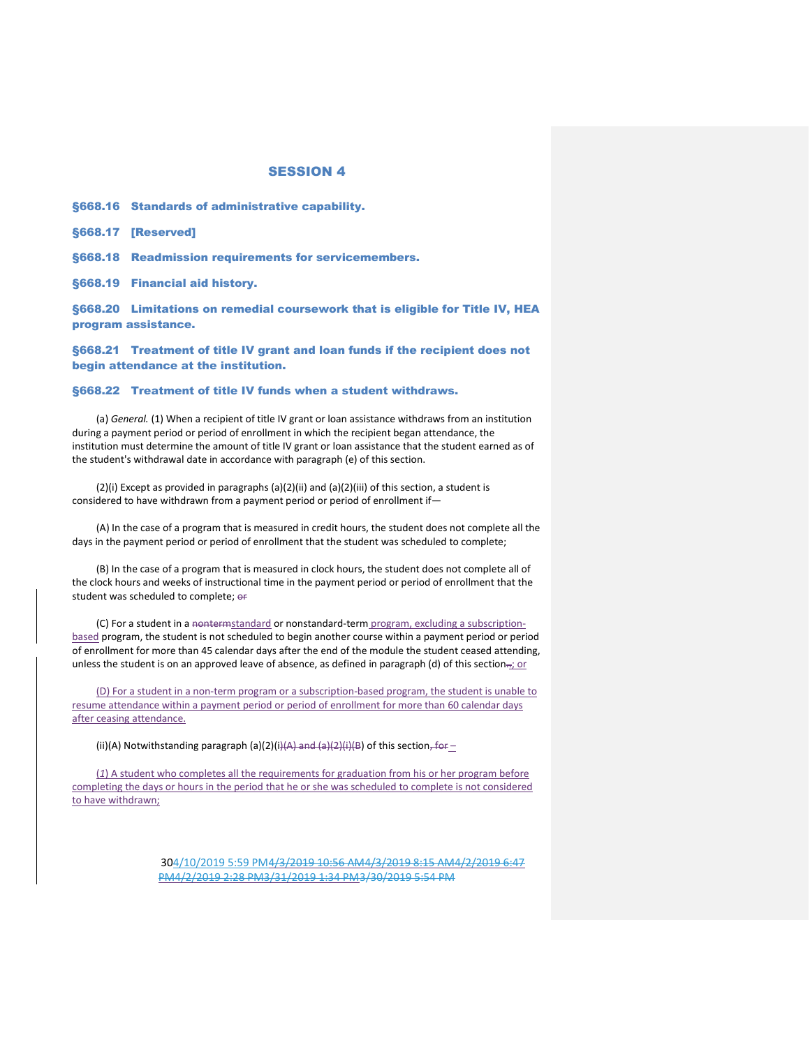§668.16 Standards of administrative capability.

§668.17 [Reserved]

§668.18 Readmission requirements for servicemembers.

§668.19 Financial aid history.

§668.20 Limitations on remedial coursework that is eligible for Title IV, HEA program assistance.

§668.21 Treatment of title IV grant and loan funds if the recipient does not begin attendance at the institution.

#### §668.22 Treatment of title IV funds when a student withdraws.

(a) *General.* (1) When a recipient of title IV grant or loan assistance withdraws from an institution during a payment period or period of enrollment in which the recipient began attendance, the institution must determine the amount of title IV grant or loan assistance that the student earned as of the student's withdrawal date in accordance with paragraph (e) of this section.

(2)(i) Except as provided in paragraphs (a)(2)(ii) and (a)(2)(iii) of this section, a student is considered to have withdrawn from a payment period or period of enrollment if—

(A) In the case of a program that is measured in credit hours, the student does not complete all the days in the payment period or period of enrollment that the student was scheduled to complete;

(B) In the case of a program that is measured in clock hours, the student does not complete all of the clock hours and weeks of instructional time in the payment period or period of enrollment that the student was scheduled to complete; or

(C) For a student in a nontermstandard or nonstandard-term program, excluding a subscriptionbased program, the student is not scheduled to begin another course within a payment period or period of enrollment for more than 45 calendar days after the end of the module the student ceased attending, unless the student is on an approved leave of absence, as defined in paragraph (d) of this section...; or

(D) For a student in a non-term program or a subscription-based program, the student is unable to resume attendance within a payment period or period of enrollment for more than 60 calendar days after ceasing attendance.

(ii)(A) Notwithstanding paragraph (a)(2)(i)(A) and  $(a)(2)(i)(B)$  of this section, for –

(*1*) A student who completes all the requirements for graduation from his or her program before completing the days or hours in the period that he or she was scheduled to complete is not considered to have withdrawn;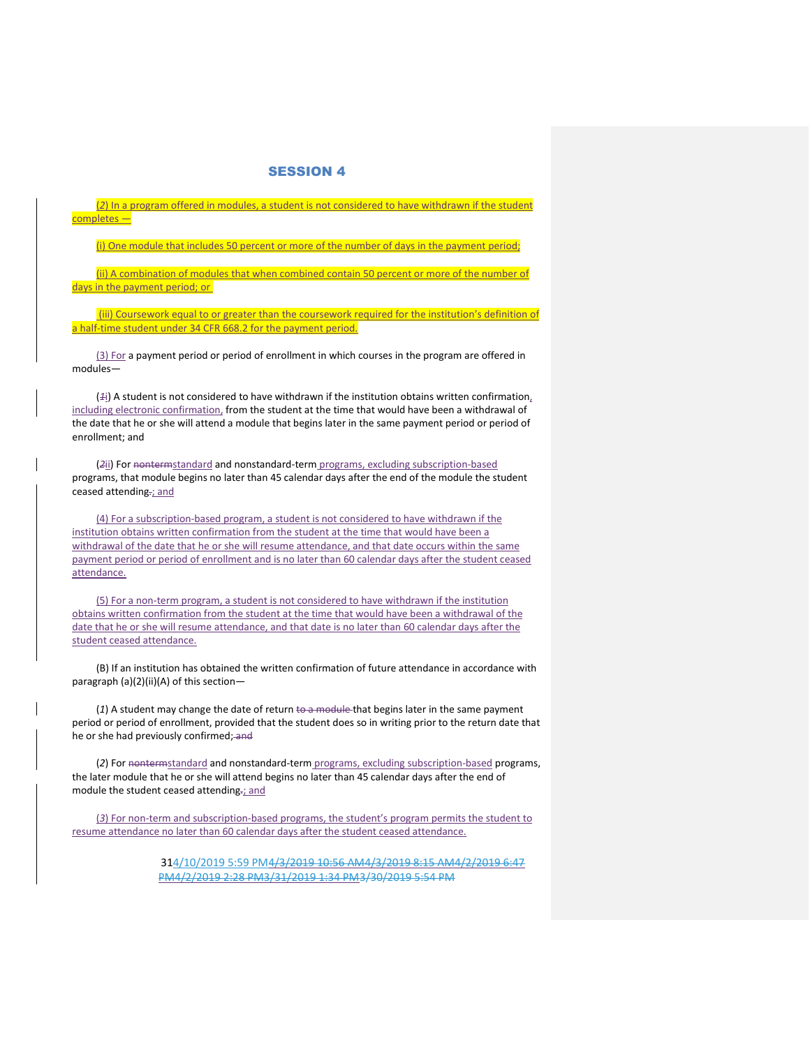(*2*) In a program offered in modules, a student is not considered to have withdrawn if the student completes —

(i) One module that includes 50 percent or more of the number of days in the payment period;

(ii) A combination of modules that when combined contain 50 percent or more of the number of days in the payment period; or

(iii) Coursework equal to or greater than the coursework required for the institution's definition of a half-time student under 34 CFR 668.2 for the payment period.

 $(3)$  For a payment period or period of enrollment in which courses in the program are offered in modules—

 $(4)$  A student is not considered to have withdrawn if the institution obtains written confirmation, including electronic confirmation, from the student at the time that would have been a withdrawal of the date that he or she will attend a module that begins later in the same payment period or period of enrollment; and

( $2$ ii) For nontermstandard and nonstandard-term programs, excluding subscription-based programs, that module begins no later than 45 calendar days after the end of the module the student ceased attending-; and

(4) For a subscription-based program, a student is not considered to have withdrawn if the institution obtains written confirmation from the student at the time that would have been a withdrawal of the date that he or she will resume attendance, and that date occurs within the same payment period or period of enrollment and is no later than 60 calendar days after the student ceased attendance.

(5) For a non-term program, a student is not considered to have withdrawn if the institution obtains written confirmation from the student at the time that would have been a withdrawal of the date that he or she will resume attendance, and that date is no later than 60 calendar days after the student ceased attendance.

(B) If an institution has obtained the written confirmation of future attendance in accordance with paragraph (a)(2)(ii)(A) of this section—

(*1*) A student may change the date of return to a module that begins later in the same payment period or period of enrollment, provided that the student does so in writing prior to the return date that he or she had previously confirmed; and

(2) For nontermstandard and nonstandard-term programs, excluding subscription-based programs, the later module that he or she will attend begins no later than 45 calendar days after the end of module the student ceased attending-; and

(*3*) For non-term and subscription-based programs, the student's program permits the student to resume attendance no later than 60 calendar days after the student ceased attendance.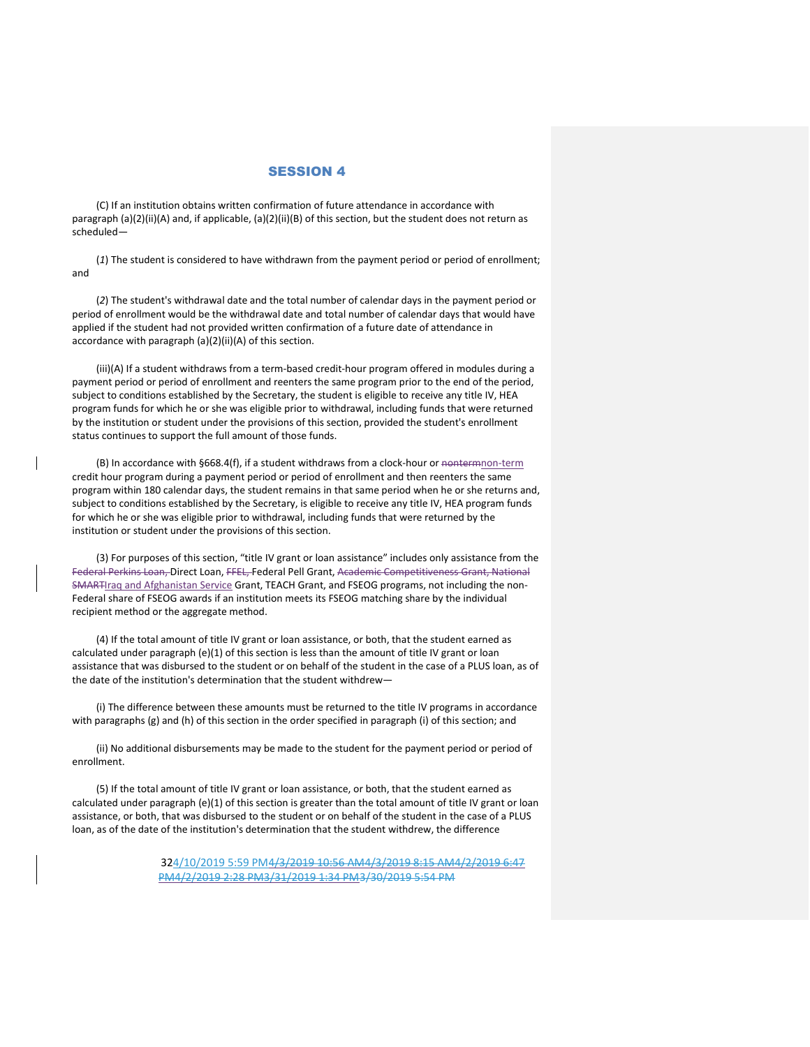(C) If an institution obtains written confirmation of future attendance in accordance with paragraph (a)(2)(ii)(A) and, if applicable, (a)(2)(ii)(B) of this section, but the student does not return as scheduled—

(*1*) The student is considered to have withdrawn from the payment period or period of enrollment; and

(*2*) The student's withdrawal date and the total number of calendar days in the payment period or period of enrollment would be the withdrawal date and total number of calendar days that would have applied if the student had not provided written confirmation of a future date of attendance in accordance with paragraph (a)(2)(ii)(A) of this section.

(iii)(A) If a student withdraws from a term-based credit-hour program offered in modules during a payment period or period of enrollment and reenters the same program prior to the end of the period, subject to conditions established by the Secretary, the student is eligible to receive any title IV, HEA program funds for which he or she was eligible prior to withdrawal, including funds that were returned by the institution or student under the provisions of this section, provided the student's enrollment status continues to support the full amount of those funds.

(B) In accordance with §668.4(f), if a student withdraws from a clock-hour or nontermnon-term credit hour program during a payment period or period of enrollment and then reenters the same program within 180 calendar days, the student remains in that same period when he or she returns and, subject to conditions established by the Secretary, is eligible to receive any title IV, HEA program funds for which he or she was eligible prior to withdrawal, including funds that were returned by the institution or student under the provisions of this section.

(3) For purposes of this section, "title IV grant or loan assistance" includes only assistance from the Federal Perkins Loan, Direct Loan, FFEL, Federal Pell Grant, Academic Competitiveness Grant, National SMARTIraq and Afghanistan Service Grant, TEACH Grant, and FSEOG programs, not including the non-Federal share of FSEOG awards if an institution meets its FSEOG matching share by the individual recipient method or the aggregate method.

(4) If the total amount of title IV grant or loan assistance, or both, that the student earned as calculated under paragraph (e)(1) of this section is less than the amount of title IV grant or loan assistance that was disbursed to the student or on behalf of the student in the case of a PLUS loan, as of the date of the institution's determination that the student withdrew—

(i) The difference between these amounts must be returned to the title IV programs in accordance with paragraphs (g) and (h) of this section in the order specified in paragraph (i) of this section; and

(ii) No additional disbursements may be made to the student for the payment period or period of enrollment.

(5) If the total amount of title IV grant or loan assistance, or both, that the student earned as calculated under paragraph (e)(1) of this section is greater than the total amount of title IV grant or loan assistance, or both, that was disbursed to the student or on behalf of the student in the case of a PLUS loan, as of the date of the institution's determination that the student withdrew, the difference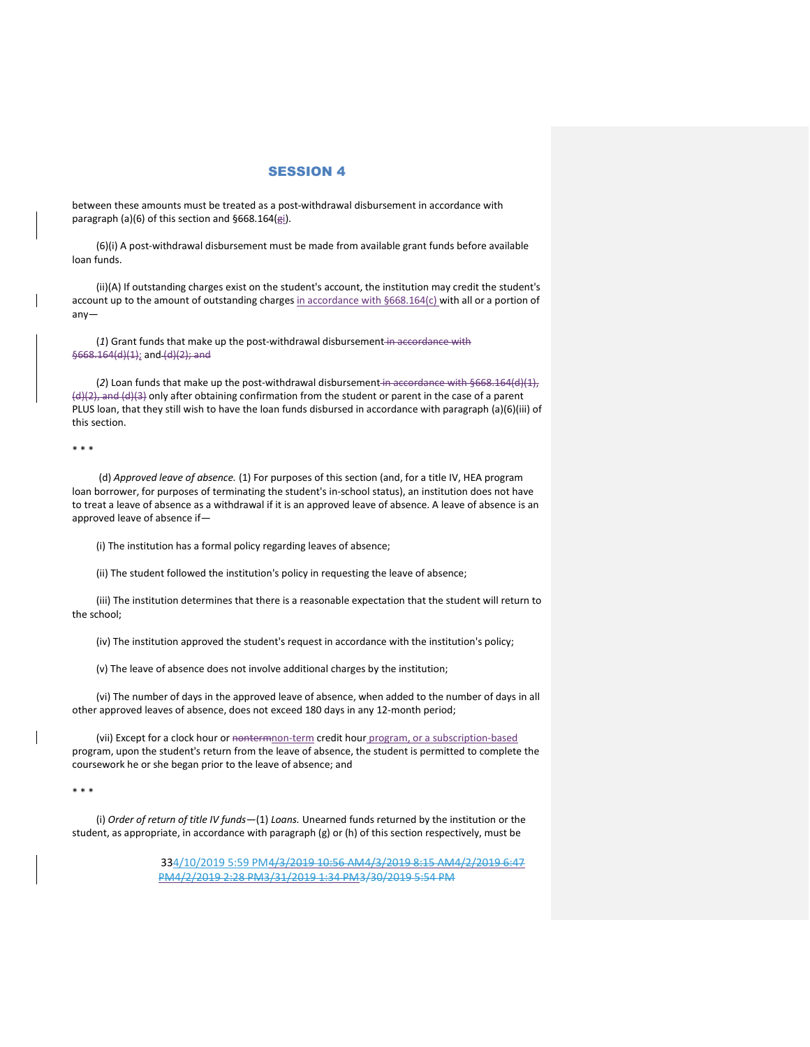between these amounts must be treated as a post-withdrawal disbursement in accordance with paragraph (a)(6) of this section and §668.164(gi).

(6)(i) A post-withdrawal disbursement must be made from available grant funds before available loan funds.

(ii)(A) If outstanding charges exist on the student's account, the institution may credit the student's account up to the amount of outstanding charges in accordance with §668.164(c) with all or a portion of any—

(*1*) Grant funds that make up the post-withdrawal disbursement in accordance with §668.164(d)(1); and (d)(2); and

(*2*) Loan funds that make up the post-withdrawal disbursement in accordance with §668.164(d)(1),  $\left\langle \frac{d}{2}\right\rangle$ , and  $\left\langle \frac{d}{3}\right\rangle$  only after obtaining confirmation from the student or parent in the case of a parent PLUS loan, that they still wish to have the loan funds disbursed in accordance with paragraph (a)(6)(iii) of this section.

\* \* \*

(d) *Approved leave of absence.* (1) For purposes of this section (and, for a title IV, HEA program loan borrower, for purposes of terminating the student's in-school status), an institution does not have to treat a leave of absence as a withdrawal if it is an approved leave of absence. A leave of absence is an approved leave of absence if—

(i) The institution has a formal policy regarding leaves of absence;

(ii) The student followed the institution's policy in requesting the leave of absence;

(iii) The institution determines that there is a reasonable expectation that the student will return to the school;

(iv) The institution approved the student's request in accordance with the institution's policy;

(v) The leave of absence does not involve additional charges by the institution;

(vi) The number of days in the approved leave of absence, when added to the number of days in all other approved leaves of absence, does not exceed 180 days in any 12-month period;

(vii) Except for a clock hour or nontermnon-term credit hour program, or a subscription-based program, upon the student's return from the leave of absence, the student is permitted to complete the coursework he or she began prior to the leave of absence; and

\* \* \*

(i) *Order of return of title IV funds*—(1) *Loans.* Unearned funds returned by the institution or the student, as appropriate, in accordance with paragraph (g) or (h) of this section respectively, must be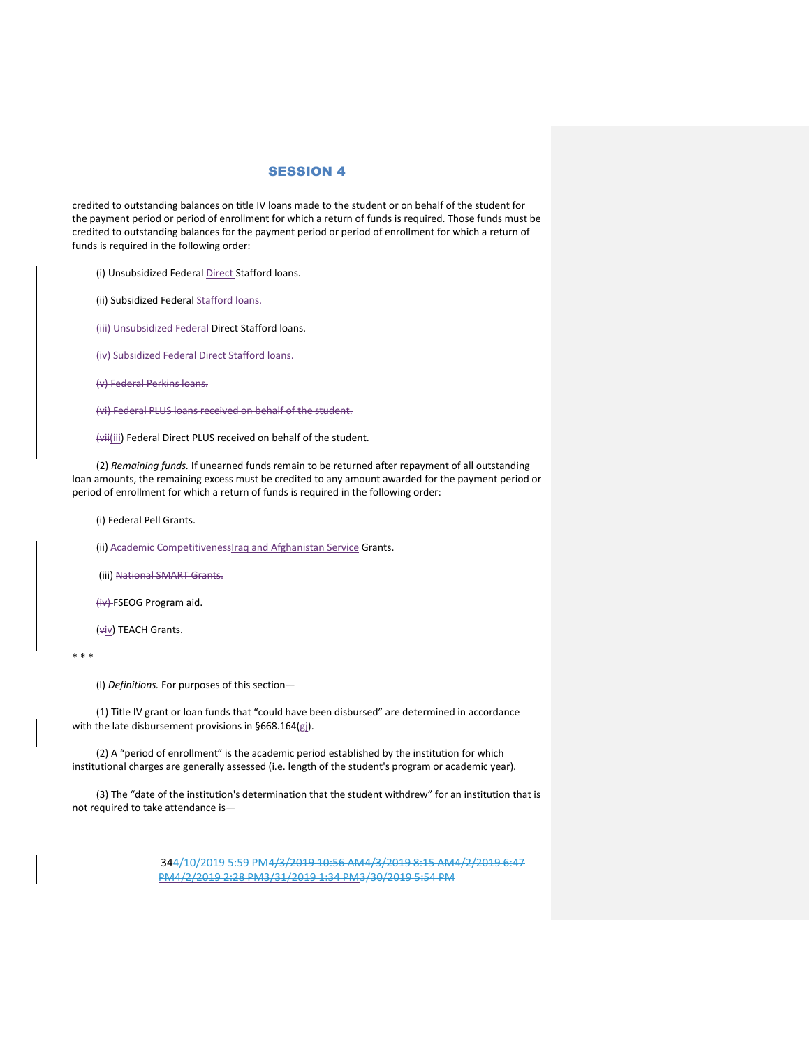credited to outstanding balances on title IV loans made to the student or on behalf of the student for the payment period or period of enrollment for which a return of funds is required. Those funds must be credited to outstanding balances for the payment period or period of enrollment for which a return of funds is required in the following order:

(i) Unsubsidized Federal Direct Stafford loans.

(ii) Subsidized Federal Stafford loans.

(iii) Unsubsidized Federal Direct Stafford loans.

(iv) Subsidized Federal Direct Stafford loans.

(v) Federal Perkins loans.

(vi) Federal PLUS loans received on behalf of the student.

(vii(iii) Federal Direct PLUS received on behalf of the student.

(2) *Remaining funds.* If unearned funds remain to be returned after repayment of all outstanding loan amounts, the remaining excess must be credited to any amount awarded for the payment period or period of enrollment for which a return of funds is required in the following order:

(i) Federal Pell Grants.

(ii) Academic CompetitivenessIraq and Afghanistan Service Grants.

(iii) National SMART Grants.

(iv) FSEOG Program aid.

(viv) TEACH Grants.

\* \* \*

(l) *Definitions.* For purposes of this section—

(1) Title IV grant or loan funds that "could have been disbursed" are determined in accordance with the late disbursement provisions in §668.164(gj).

(2) A "period of enrollment" is the academic period established by the institution for which institutional charges are generally assessed (i.e. length of the student's program or academic year).

(3) The "date of the institution's determination that the student withdrew" for an institution that is not required to take attendance is—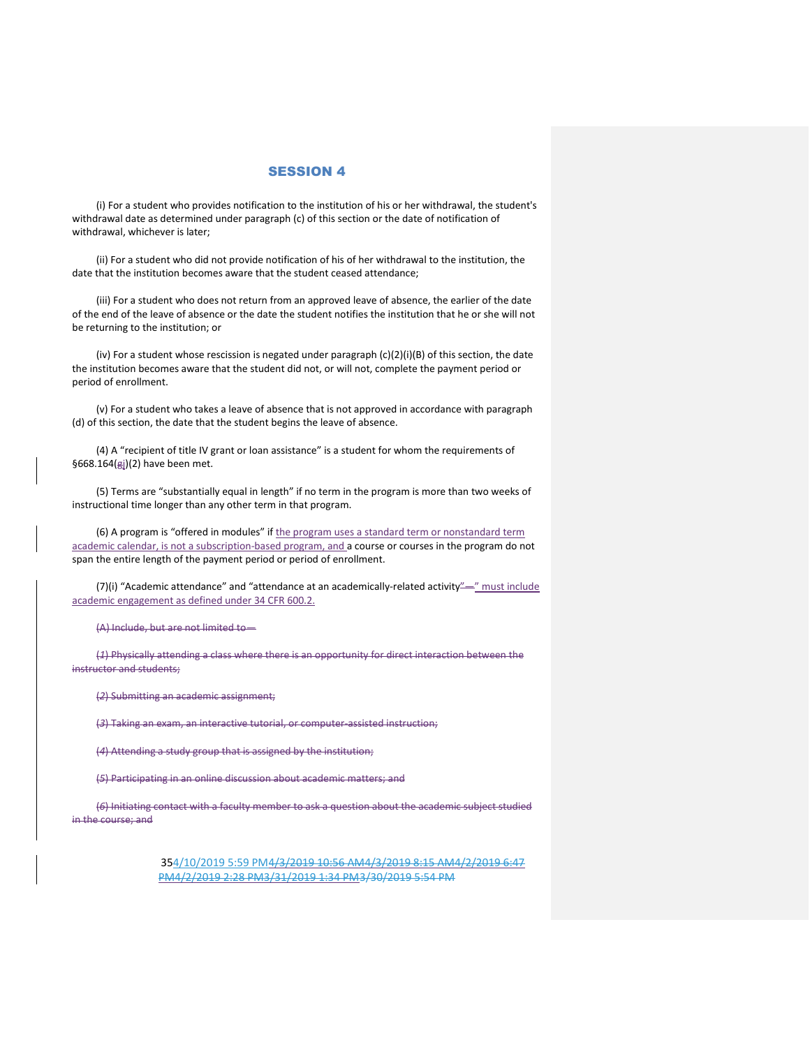(i) For a student who provides notification to the institution of his or her withdrawal, the student's withdrawal date as determined under paragraph (c) of this section or the date of notification of withdrawal, whichever is later;

(ii) For a student who did not provide notification of his of her withdrawal to the institution, the date that the institution becomes aware that the student ceased attendance;

(iii) For a student who does not return from an approved leave of absence, the earlier of the date of the end of the leave of absence or the date the student notifies the institution that he or she will not be returning to the institution; or

(iv) For a student whose rescission is negated under paragraph (c)(2)(i)(B) of this section, the date the institution becomes aware that the student did not, or will not, complete the payment period or period of enrollment.

(v) For a student who takes a leave of absence that is not approved in accordance with paragraph (d) of this section, the date that the student begins the leave of absence.

(4) A "recipient of title IV grant or loan assistance" is a student for whom the requirements of §668.164(gj)(2) have been met.

(5) Terms are "substantially equal in length" if no term in the program is more than two weeks of instructional time longer than any other term in that program.

(6) A program is "offered in modules" if the program uses a standard term or nonstandard term academic calendar, is not a subscription-based program, and a course or courses in the program do not span the entire length of the payment period or period of enrollment.

(7)(i) "Academic attendance" and "attendance at an academically-related activity"—" must include academic engagement as defined under 34 CFR 600.2.

(A) Include, but are not limited to—

(*1*) Physically attending a class where there is an opportunity for direct interaction between the instructor and students;

(*2*) Submitting an academic assignment;

(*3*) Taking an exam, an interactive tutorial, or computer-assisted instruction;

(*4*) Attending a study group that is assigned by the institution;

(*5*) Participating in an online discussion about academic matters; and

(*6*) Initiating contact with a faculty member to ask a question about the academic subject studied in the course; and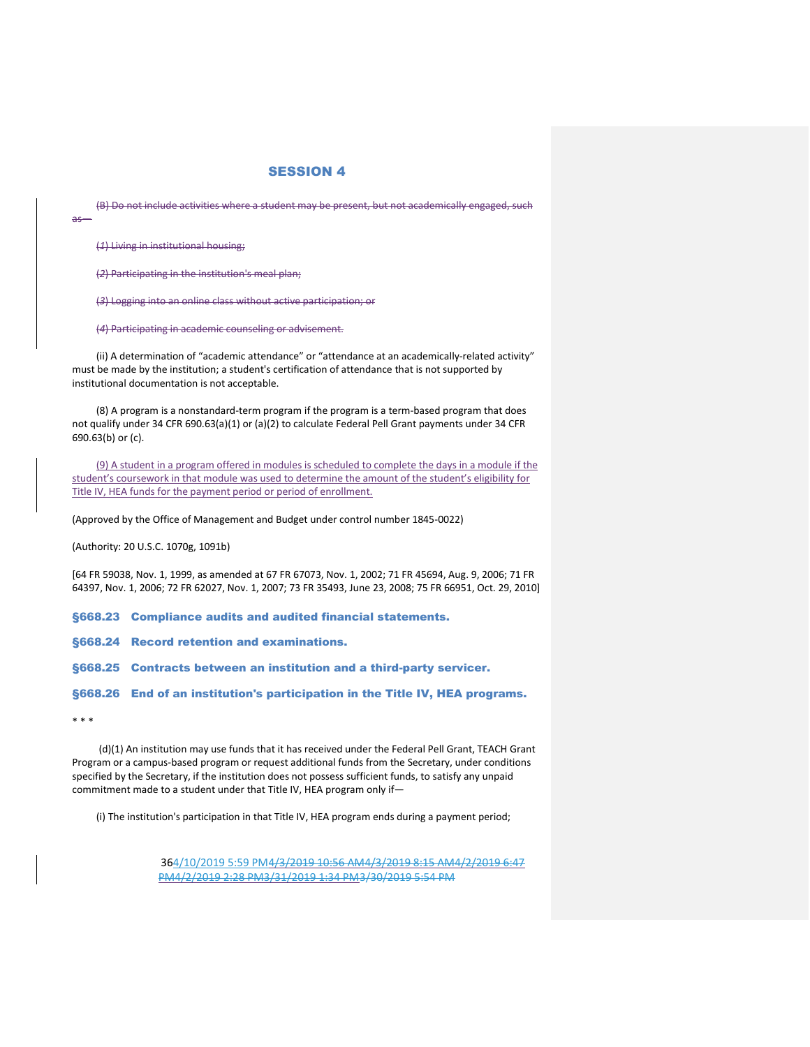(B) Do not include activities where a student may be present, but not academically engaged, such

(*1*) Living in institutional housing;

as—

(*2*) Participating in the institution's meal plan;

(*3*) Logging into an online class without active participation; or

(*4*) Participating in academic counseling or advisement.

(ii) A determination of "academic attendance" or "attendance at an academically-related activity" must be made by the institution; a student's certification of attendance that is not supported by institutional documentation is not acceptable.

(8) A program is a nonstandard-term program if the program is a term-based program that does not qualify under 34 CFR 690.63(a)(1) or (a)(2) to calculate Federal Pell Grant payments under 34 CFR 690.63(b) or (c).

(9) A student in a program offered in modules is scheduled to complete the days in a module if the student's coursework in that module was used to determine the amount of the student's eligibility for Title IV, HEA funds for the payment period or period of enrollment.

(Approved by the Office of Management and Budget under control number 1845-0022)

(Authority: 20 U.S.C. 1070g, 1091b)

[64 FR 59038, Nov. 1, 1999, as amended at 67 FR 67073, Nov. 1, 2002; 71 FR 45694, Aug. 9, 2006; 71 FR 64397, Nov. 1, 2006; 72 FR 62027, Nov. 1, 2007; 73 FR 35493, June 23, 2008; 75 FR 66951, Oct. 29, 2010]

§668.23 Compliance audits and audited financial statements.

§668.24 Record retention and examinations.

§668.25 Contracts between an institution and a third-party servicer.

§668.26 End of an institution's participation in the Title IV, HEA programs.

\* \* \*

(d)(1) An institution may use funds that it has received under the Federal Pell Grant, TEACH Grant Program or a campus-based program or request additional funds from the Secretary, under conditions specified by the Secretary, if the institution does not possess sufficient funds, to satisfy any unpaid commitment made to a student under that Title IV, HEA program only if—

(i) The institution's participation in that Title IV, HEA program ends during a payment period;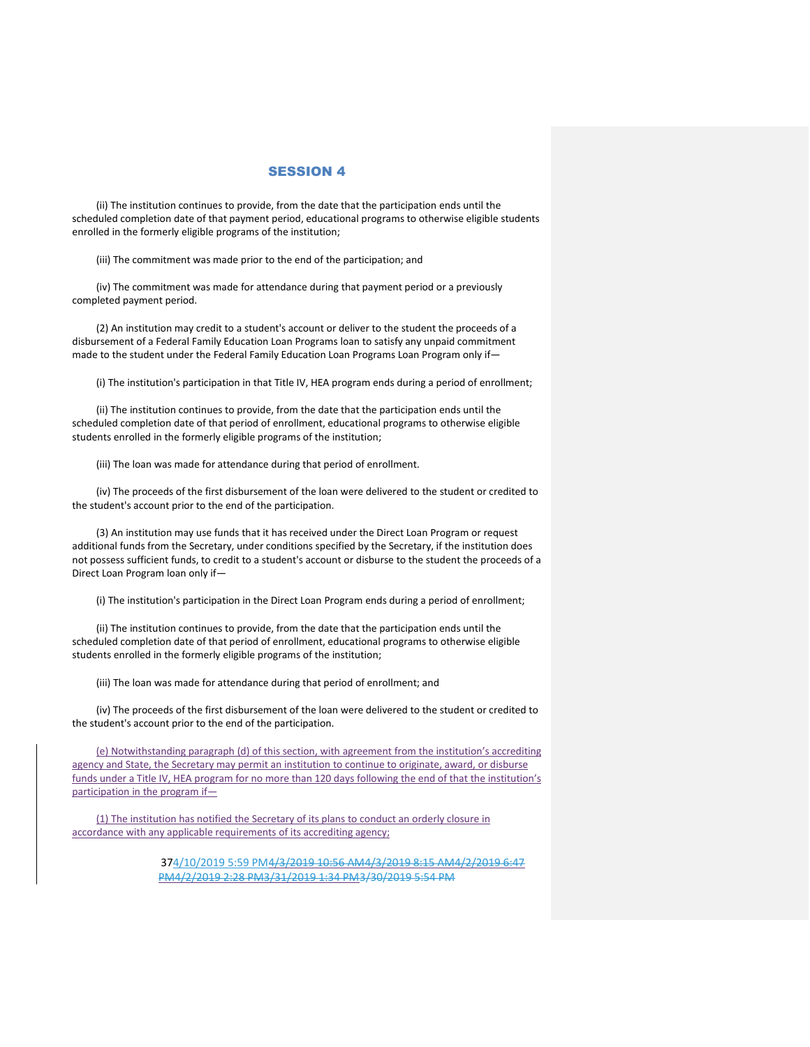(ii) The institution continues to provide, from the date that the participation ends until the scheduled completion date of that payment period, educational programs to otherwise eligible students enrolled in the formerly eligible programs of the institution;

(iii) The commitment was made prior to the end of the participation; and

(iv) The commitment was made for attendance during that payment period or a previously completed payment period.

(2) An institution may credit to a student's account or deliver to the student the proceeds of a disbursement of a Federal Family Education Loan Programs loan to satisfy any unpaid commitment made to the student under the Federal Family Education Loan Programs Loan Program only if-

(i) The institution's participation in that Title IV, HEA program ends during a period of enrollment;

(ii) The institution continues to provide, from the date that the participation ends until the scheduled completion date of that period of enrollment, educational programs to otherwise eligible students enrolled in the formerly eligible programs of the institution;

(iii) The loan was made for attendance during that period of enrollment.

(iv) The proceeds of the first disbursement of the loan were delivered to the student or credited to the student's account prior to the end of the participation.

(3) An institution may use funds that it has received under the Direct Loan Program or request additional funds from the Secretary, under conditions specified by the Secretary, if the institution does not possess sufficient funds, to credit to a student's account or disburse to the student the proceeds of a Direct Loan Program loan only if—

(i) The institution's participation in the Direct Loan Program ends during a period of enrollment;

(ii) The institution continues to provide, from the date that the participation ends until the scheduled completion date of that period of enrollment, educational programs to otherwise eligible students enrolled in the formerly eligible programs of the institution;

(iii) The loan was made for attendance during that period of enrollment; and

(iv) The proceeds of the first disbursement of the loan were delivered to the student or credited to the student's account prior to the end of the participation.

(e) Notwithstanding paragraph (d) of this section, with agreement from the institution's accrediting agency and State, the Secretary may permit an institution to continue to originate, award, or disburse funds under a Title IV, HEA program for no more than 120 days following the end of that the institution's participation in the program if-

(1) The institution has notified the Secretary of its plans to conduct an orderly closure in accordance with any applicable requirements of its accrediting agency;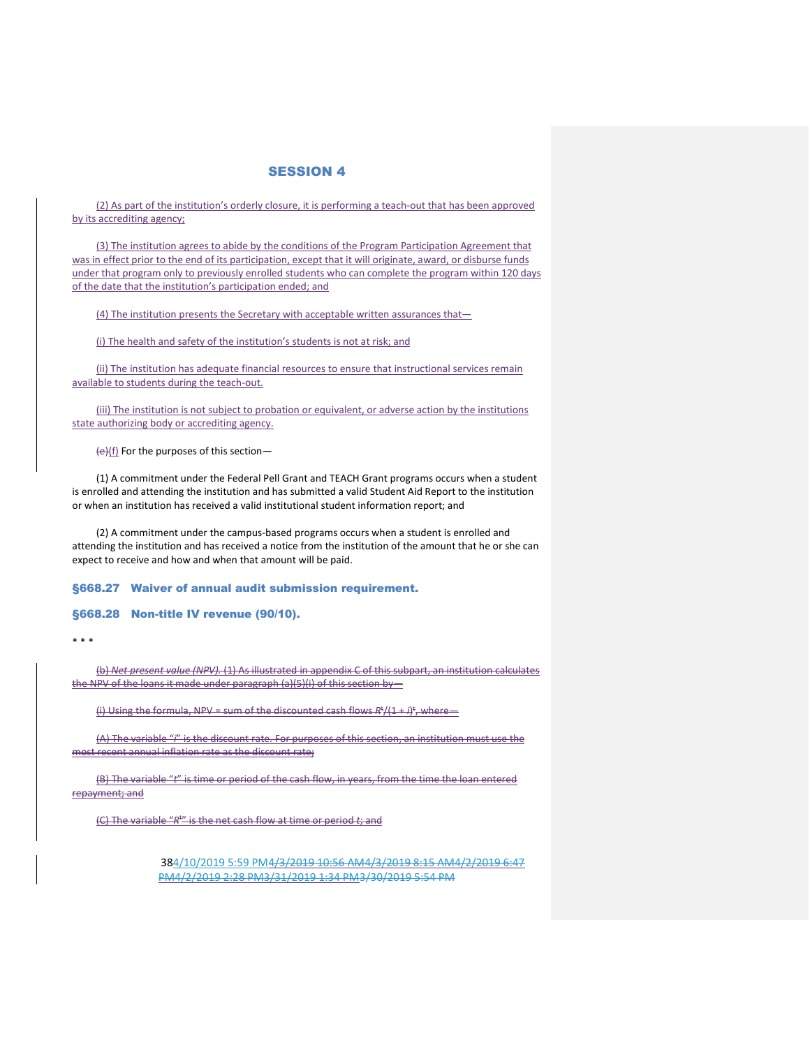(2) As part of the institution's orderly closure, it is performing a teach-out that has been approved by its accrediting agency;

(3) The institution agrees to abide by the conditions of the Program Participation Agreement that was in effect prior to the end of its participation, except that it will originate, award, or disburse funds under that program only to previously enrolled students who can complete the program within 120 days of the date that the institution's participation ended; and

(4) The institution presents the Secretary with acceptable written assurances that—

(i) The health and safety of the institution's students is not at risk; and

(ii) The institution has adequate financial resources to ensure that instructional services remain available to students during the teach-out.

(iii) The institution is not subject to probation or equivalent, or adverse action by the institutions state authorizing body or accrediting agency.

 $\frac{\text{e}}{\text{f}}$  For the purposes of this section-

(1) A commitment under the Federal Pell Grant and TEACH Grant programs occurs when a student is enrolled and attending the institution and has submitted a valid Student Aid Report to the institution or when an institution has received a valid institutional student information report; and

(2) A commitment under the campus-based programs occurs when a student is enrolled and attending the institution and has received a notice from the institution of the amount that he or she can expect to receive and how and when that amount will be paid.

§668.27 Waiver of annual audit submission requirement.

§668.28 Non-title IV revenue (90/10).

\* \* \*

(b) *Net present value (NPV).* (1) As illustrated in appendix C of this subpart, an institution calculates the NPV of the loans it made under paragraph (a)(5)(i) of this section by-

(i) Using the formula, NPV = sum of the discounted cash flows  $R^t/(1+i)^t$ , where—

(A) The variable "*i*" is the discount rate. For purposes of this section, an institution must use the most recent annual inflation rate as the discount rate;

(B) The variable "*t*" is time or period of the cash flow, in years, from the time the loan entered repayment; and

(C) The variable "R<sup>t</sup>" is the net cash flow at time or period *t;* and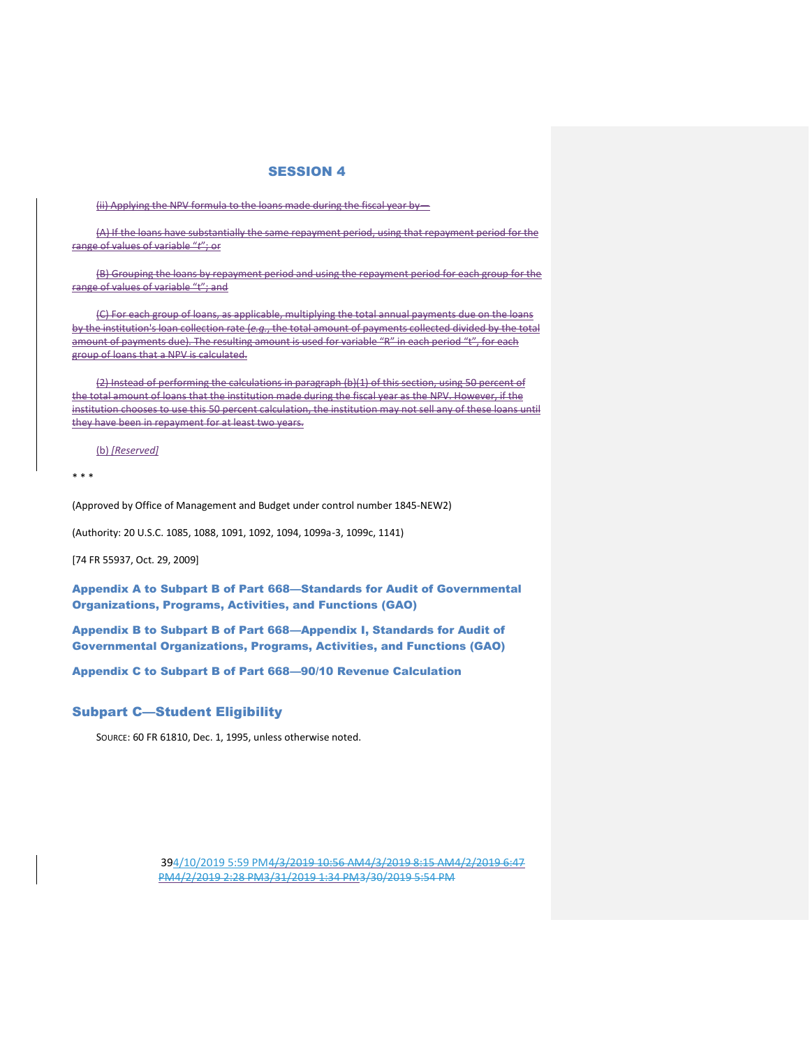(ii) Applying the NPV formula to the loans made during the fiscal year by—

(A) If the loans have substantially the same repayment period, using that repayment period for the range of values of variable "*t*"; or

(B) Grouping the loans by repayment period and using the repayment period for each group for the range of values of variable "t"; and

(C) For each group of loans, as applicable, multiplying the total annual payments due on the loans by the institution's loan collection rate (*e.g.*, the total amount of payments collected divided by the total amount of payments due). The resulting amount is used for variable "R" in each period "t", for each group of loans that a NPV is calculated.

(2) Instead of performing the calculations in paragraph (b)(1) of this section, using 50 percent of the total amount of loans that the institution made during the fiscal year as the NPV. However, if the institution chooses to use this 50 percent calculation, the institution may not sell any of these loans until they have been in repayment for at least two years.

#### (b) *[Reserved]*

\* \* \*

(Approved by Office of Management and Budget under control number 1845-NEW2)

(Authority: 20 U.S.C. 1085, 1088, 1091, 1092, 1094, 1099a-3, 1099c, 1141)

[74 FR 55937, Oct. 29, 2009]

Appendix A to Subpart B of Part 668—Standards for Audit of Governmental Organizations, Programs, Activities, and Functions (GAO)

Appendix B to Subpart B of Part 668—Appendix I, Standards for Audit of Governmental Organizations, Programs, Activities, and Functions (GAO)

Appendix C to Subpart B of Part 668—90/10 Revenue Calculation

# Subpart C—Student Eligibility

SOURCE: 60 FR 61810, Dec. 1, 1995, unless otherwise noted.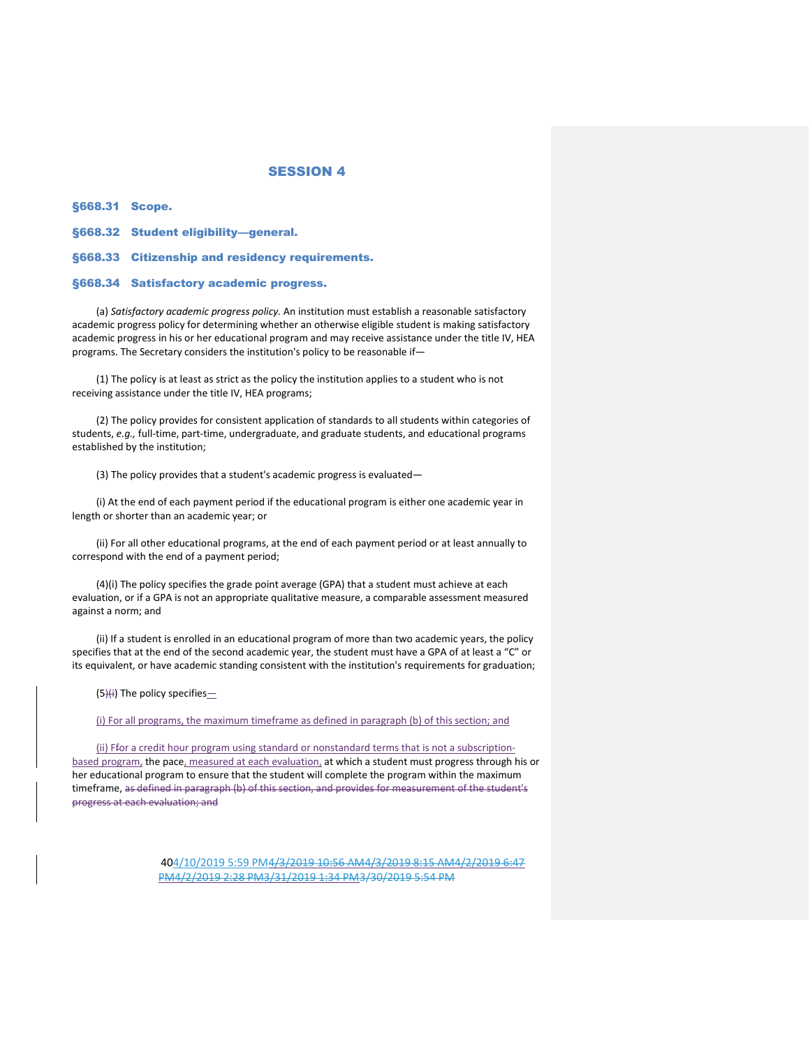§668.31 Scope.

§668.32 Student eligibility—general.

§668.33 Citizenship and residency requirements.

#### §668.34 Satisfactory academic progress.

(a) *Satisfactory academic progress policy.* An institution must establish a reasonable satisfactory academic progress policy for determining whether an otherwise eligible student is making satisfactory academic progress in his or her educational program and may receive assistance under the title IV, HEA programs. The Secretary considers the institution's policy to be reasonable if—

(1) The policy is at least as strict as the policy the institution applies to a student who is not receiving assistance under the title IV, HEA programs;

(2) The policy provides for consistent application of standards to all students within categories of students, *e.g.,* full-time, part-time, undergraduate, and graduate students, and educational programs established by the institution;

(3) The policy provides that a student's academic progress is evaluated—

(i) At the end of each payment period if the educational program is either one academic year in length or shorter than an academic year; or

(ii) For all other educational programs, at the end of each payment period or at least annually to correspond with the end of a payment period;

(4)(i) The policy specifies the grade point average (GPA) that a student must achieve at each evaluation, or if a GPA is not an appropriate qualitative measure, a comparable assessment measured against a norm; and

(ii) If a student is enrolled in an educational program of more than two academic years, the policy specifies that at the end of the second academic year, the student must have a GPA of at least a "C" or its equivalent, or have academic standing consistent with the institution's requirements for graduation;

 $(5)$ (i) The policy specifies—

(i) For all programs, the maximum timeframe as defined in paragraph (b) of this section; and

(ii) Ffor a credit hour program using standard or nonstandard terms that is not a subscriptionbased program, the pace, measured at each evaluation, at which a student must progress through his or her educational program to ensure that the student will complete the program within the maximum timeframe, as defined in paragraph (b) of this section, and provides for measurement of the student's progress at each evaluation; and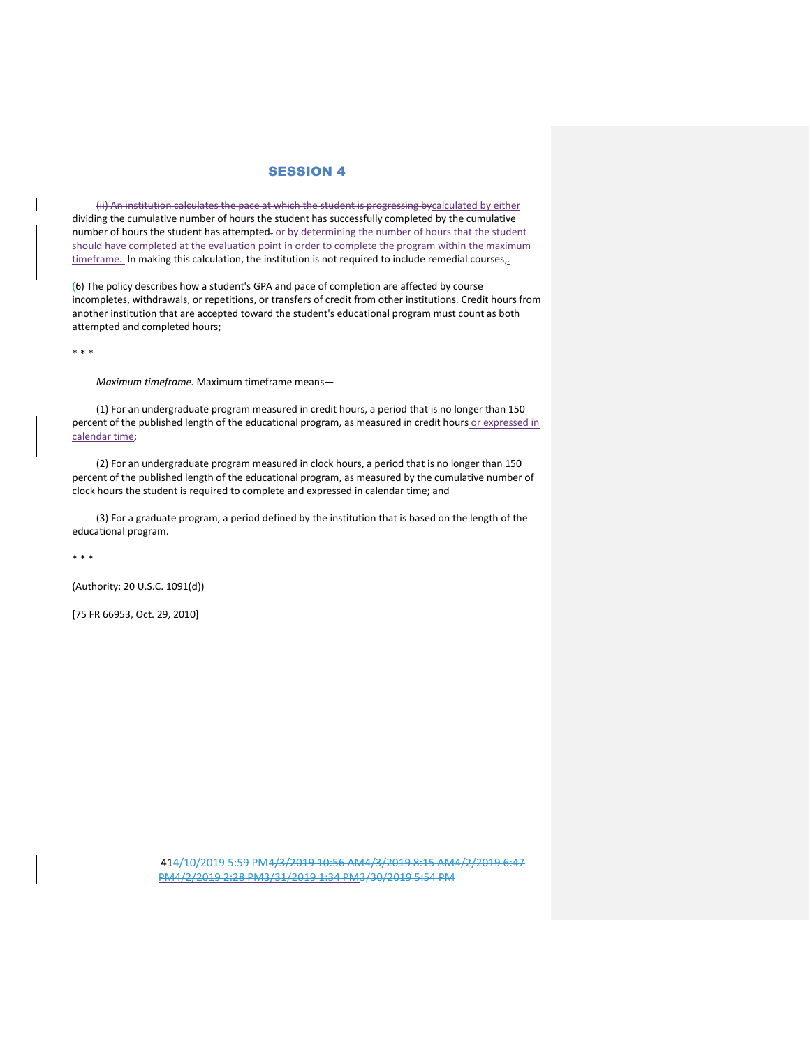(ii) An institution calculates the pace at which the student is progressing bycalculated by either dividing the cumulative number of hours the student has successfully completed by the cumulative number of hours the student has attempted- or by determining the number of hours that the student should have completed at the evaluation point in order to complete the program within the maximum timeframe. In making this calculation, the institution is not required to include remedial courses;

(6) The policy describes how a student's GPA and pace of completion are affected by course incompletes, withdrawals, or repetitions, or transfers of credit from other institutions. Credit hours from another institution that are accepted toward the student's educational program must count as both attempted and completed hours;

\* \* \*

*Maximum timeframe.* Maximum timeframe means—

(1) For an undergraduate program measured in credit hours, a period that is no longer than 150 percent of the published length of the educational program, as measured in credit hours or expressed in calendar time;

(2) For an undergraduate program measured in clock hours, a period that is no longer than 150 percent of the published length of the educational program, as measured by the cumulative number of clock hours the student is required to complete and expressed in calendar time; and

(3) For a graduate program, a period defined by the institution that is based on the length of the educational program.

\* \* \*

(Authority: 20 U.S.C. 1091(d))

[75 FR 66953, Oct. 29, 2010]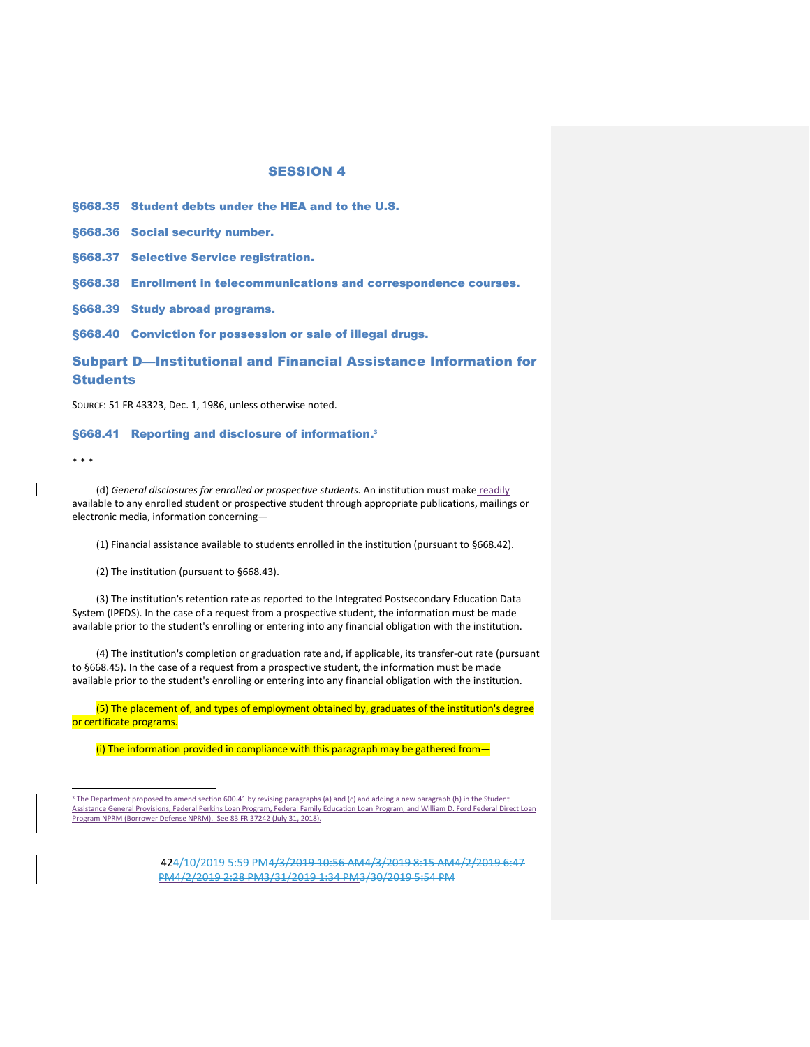§668.35 Student debts under the HEA and to the U.S.

§668.36 Social security number.

§668.37 Selective Service registration.

§668.38 Enrollment in telecommunications and correspondence courses.

§668.39 Study abroad programs.

§668.40 Conviction for possession or sale of illegal drugs.

Subpart D—Institutional and Financial Assistance Information for **Students** 

SOURCE: 51 FR 43323, Dec. 1, 1986, unless otherwise noted.

#### §668.41 Reporting and disclosure of information. **3**

\* \* \*

j

(d) General disclosures for enrolled or prospective students. An institution must make readily available to any enrolled student or prospective student through appropriate publications, mailings or electronic media, information concerning—

(1) Financial assistance available to students enrolled in the institution (pursuant to §668.42).

(2) The institution (pursuant to §668.43).

(3) The institution's retention rate as reported to the Integrated Postsecondary Education Data System (IPEDS). In the case of a request from a prospective student, the information must be made available prior to the student's enrolling or entering into any financial obligation with the institution.

(4) The institution's completion or graduation rate and, if applicable, its transfer-out rate (pursuant to §668.45). In the case of a request from a prospective student, the information must be made available prior to the student's enrolling or entering into any financial obligation with the institution.

(5) The placement of, and types of employment obtained by, graduates of the institution's degree or certificate programs.

(i) The information provided in compliance with this paragraph may be gathered from—

<sup>&</sup>lt;sup>3</sup> The Department proposed to amend section 600.41 by revising paragraphs (a) and (c) and adding a new paragraph (h) in the Student Assistance General Provisions, Federal Perkins Loan Program, Federal Family Education Loan Program, and William D. Ford Federal Direct Loan Program NPRM (Borrower Defense NPRM). See 83 FR 37242 (July 31, 2018).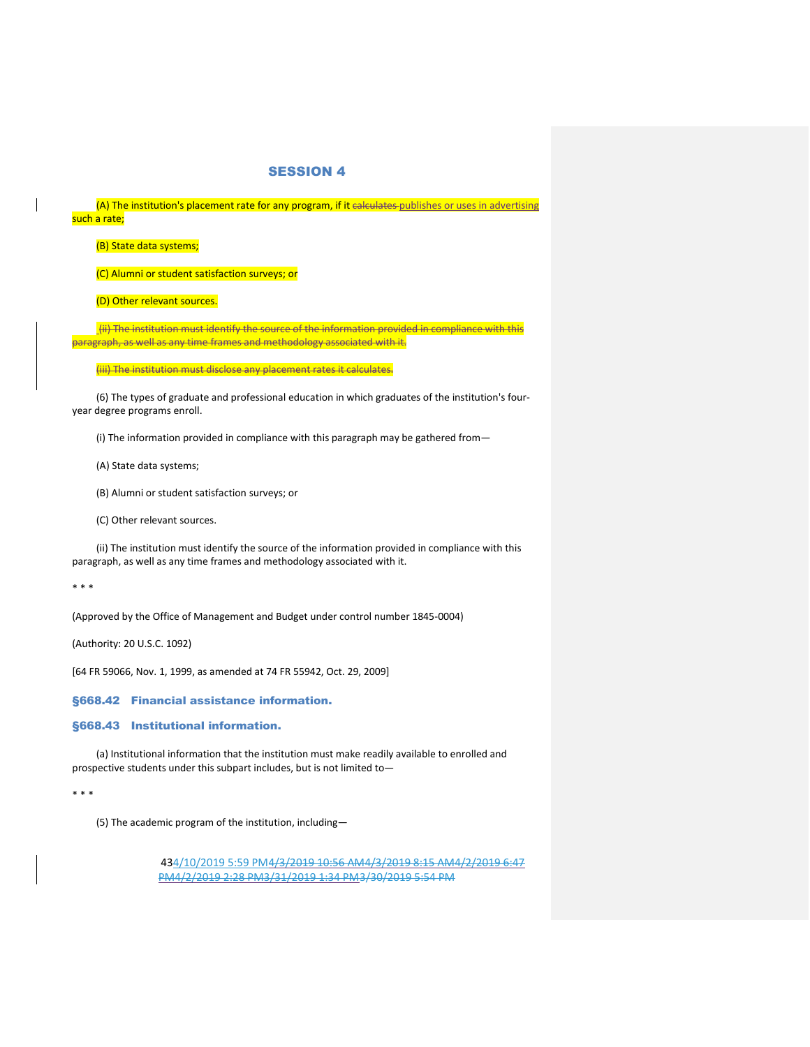(A) The institution's placement rate for any program, if it calculates-publishes or uses in advertising such a rate;

(B) State data systems;

(C) Alumni or student satisfaction surveys; or

(D) Other relevant sources.

(ii) The institution must identify the source of the information provided in compliance with this paragraph, as well as any time frames and methodology associated with it.

(iii) The institution must disclose any placement rates it calculates.

(6) The types of graduate and professional education in which graduates of the institution's fouryear degree programs enroll.

(i) The information provided in compliance with this paragraph may be gathered from—

(A) State data systems;

(B) Alumni or student satisfaction surveys; or

(C) Other relevant sources.

(ii) The institution must identify the source of the information provided in compliance with this paragraph, as well as any time frames and methodology associated with it.

\* \* \*

(Approved by the Office of Management and Budget under control number 1845-0004)

(Authority: 20 U.S.C. 1092)

[64 FR 59066, Nov. 1, 1999, as amended at 74 FR 55942, Oct. 29, 2009]

§668.42 Financial assistance information.

§668.43 Institutional information.

(a) Institutional information that the institution must make readily available to enrolled and prospective students under this subpart includes, but is not limited to—

\* \* \*

(5) The academic program of the institution, including—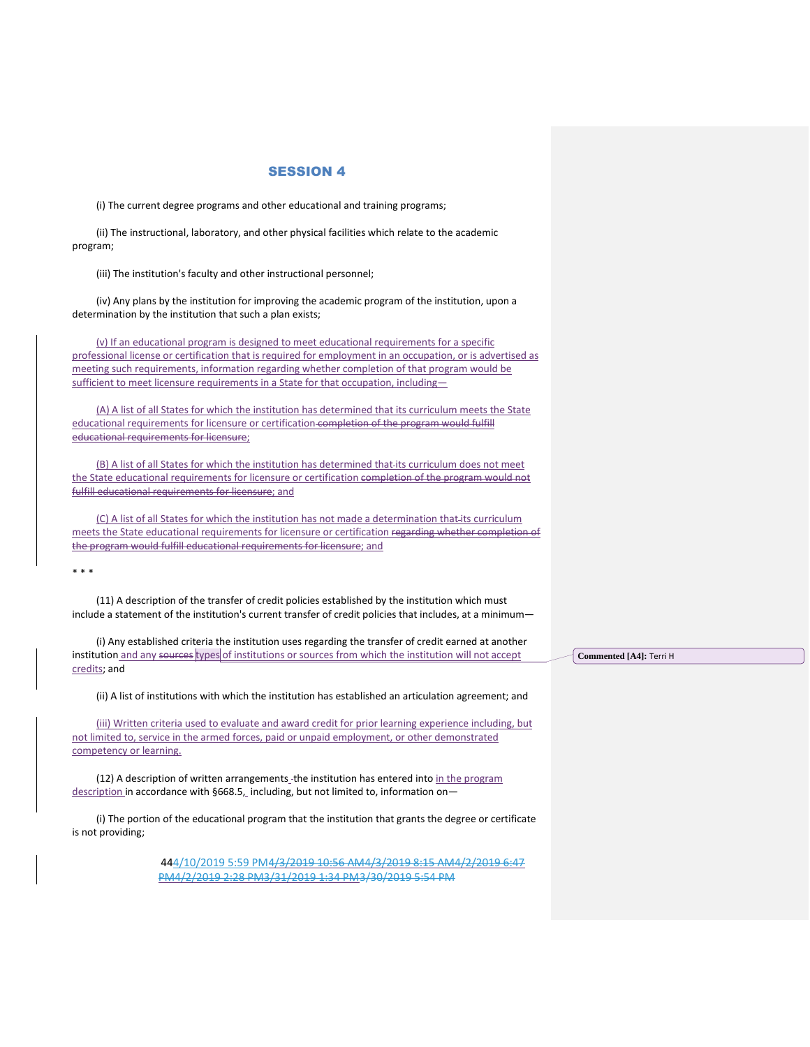(i) The current degree programs and other educational and training programs;

(ii) The instructional, laboratory, and other physical facilities which relate to the academic program;

(iii) The institution's faculty and other instructional personnel;

(iv) Any plans by the institution for improving the academic program of the institution, upon a determination by the institution that such a plan exists;

(v) If an educational program is designed to meet educational requirements for a specific professional license or certification that is required for employment in an occupation, or is advertised as meeting such requirements, information regarding whether completion of that program would be sufficient to meet licensure requirements in a State for that occupation, including-

(A) A list of all States for which the institution has determined that its curriculum meets the State educational requirements for licensure or certification completion of the program would fulfill educational requirements for licensure;

(B) A list of all States for which the institution has determined that its curriculum does not meet the State educational requirements for licensure or certification completion of the program would not fulfill educational requirements for licensure; and

(C) A list of all States for which the institution has not made a determination that its curriculum meets the State educational requirements for licensure or certification regarding whether completion of the program would fulfill educational requirements for licensure; and

\* \* \*

(11) A description of the transfer of credit policies established by the institution which must include a statement of the institution's current transfer of credit policies that includes, at a minimum—

(i) Any established criteria the institution uses regarding the transfer of credit earned at another institution and any sources types of institutions or sources from which the institution will not accept credits; and

(ii) A list of institutions with which the institution has established an articulation agreement; and

(iii) Written criteria used to evaluate and award credit for prior learning experience including, but not limited to, service in the armed forces, paid or unpaid employment, or other demonstrated competency or learning.

(12) A description of written arrangements the institution has entered into in the program description in accordance with §668.5, including, but not limited to, information on-

(i) The portion of the educational program that the institution that grants the degree or certificate is not providing;

> 444/10/2019 5:59 PM4/3/2019 10:56 AM4/3/2019 8:15 AM4/2/2019 6:47 PM4/2/2019 2:28 PM3/31/2019 1:34 PM3/30/2019 5:54 PM

**Commented [A4]:** Terri H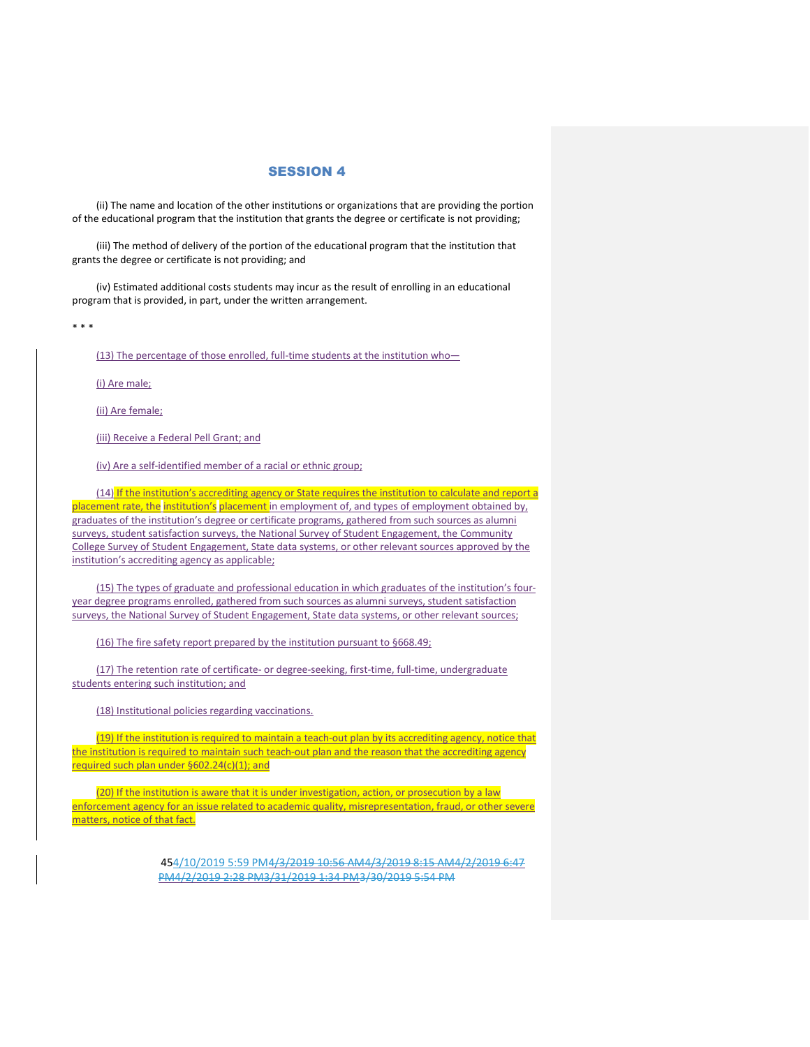(ii) The name and location of the other institutions or organizations that are providing the portion of the educational program that the institution that grants the degree or certificate is not providing;

(iii) The method of delivery of the portion of the educational program that the institution that grants the degree or certificate is not providing; and

(iv) Estimated additional costs students may incur as the result of enrolling in an educational program that is provided, in part, under the written arrangement.

\* \* \*

(13) The percentage of those enrolled, full-time students at the institution who—

(i) Are male;

(ii) Are female;

(iii) Receive a Federal Pell Grant; and

(iv) Are a self-identified member of a racial or ethnic group;

(14) If the institution's accrediting agency or State requires the institution to calculate and report a placement rate, the institution's placement in employment of, and types of employment obtained by, graduates of the institution's degree or certificate programs, gathered from such sources as alumni surveys, student satisfaction surveys, the National Survey of Student Engagement, the Community College Survey of Student Engagement, State data systems, or other relevant sources approved by the institution's accrediting agency as applicable;

(15) The types of graduate and professional education in which graduates of the institution's fouryear degree programs enrolled, gathered from such sources as alumni surveys, student satisfaction surveys, the National Survey of Student Engagement, State data systems, or other relevant sources;

(16) The fire safety report prepared by the institution pursuant to §668.49;

(17) The retention rate of certificate- or degree-seeking, first-time, full-time, undergraduate students entering such institution; and

(18) Institutional policies regarding vaccinations.

(19) If the institution is required to maintain a teach-out plan by its accrediting agency, notice that the institution is required to maintain such teach-out plan and the reason that the accrediting agency required such plan under §602.24(c)(1); and

(20) If the institution is aware that it is under investigation, action, or prosecution by a law enforcement agency for an issue related to academic quality, misrepresentation, fraud, or other severe matters, notice of that fact.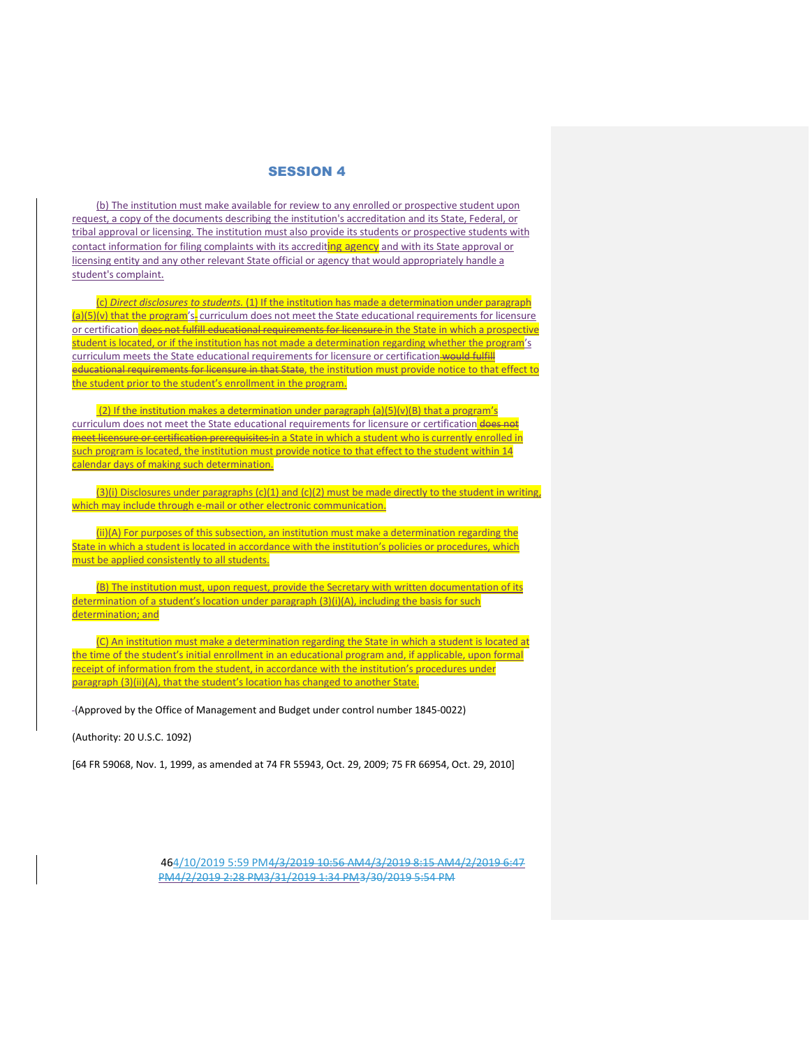(b) The institution must make available for review to any enrolled or prospective student upon request, a copy of the documents describing the institution's accreditation and its State, Federal, or tribal approval or licensing. The institution must also provide its students or prospective students with contact information for filing complaints with its accrediting agency and with its State approval or licensing entity and any other relevant State official or agency that would appropriately handle a student's complaint.

(c) *Direct disclosures to students.* (1) If the institution has made a determination under paragraph (a)(5)(v) that the program's- curriculum does not meet the State educational requirements for licensure or certification does not fulfill educational requirements for licensure in the State in which a prospective student is located, or if the institution has not made a determination regarding whether the program's curriculum meets the State educational requirements for licensure or certification would fulfill educational requirements for licensure in that State, the institution must provide notice to that effect to the student prior to the student's enrollment in the program.

(2) If the institution makes a determination under paragraph  $(a)(5)(v)(B)$  that a program's curriculum does not meet the State educational requirements for licensure or certification does not meet licensure or certification prerequisites in a State in which a student who is currently enrolled in such program is located, the institution must provide notice to that effect to the student within 14 calendar days of making such determination.

(3)(i) Disclosures under paragraphs (c)(1) and (c)(2) must be made directly to the student in writing, which may include through e-mail or other electronic communication.

(ii)(A) For purposes of this subsection, an institution must make a determination regarding the State in which a student is located in accordance with the institution's policies or procedures, which must be applied consistently to all students.

(B) The institution must, upon request, provide the Secretary with written documentation of its determination of a student's location under paragraph (3)(i)(A), including the basis for such determination; and

(C) An institution must make a determination regarding the State in which a student is located at the time of the student's initial enrollment in an educational program and, if applicable, upon formal receipt of information from the student, in accordance with the institution's procedures under paragraph (3)(ii)(A), that the student's location has changed to another State.

(Approved by the Office of Management and Budget under control number 1845-0022)

(Authority: 20 U.S.C. 1092)

[64 FR 59068, Nov. 1, 1999, as amended at 74 FR 55943, Oct. 29, 2009; 75 FR 66954, Oct. 29, 2010]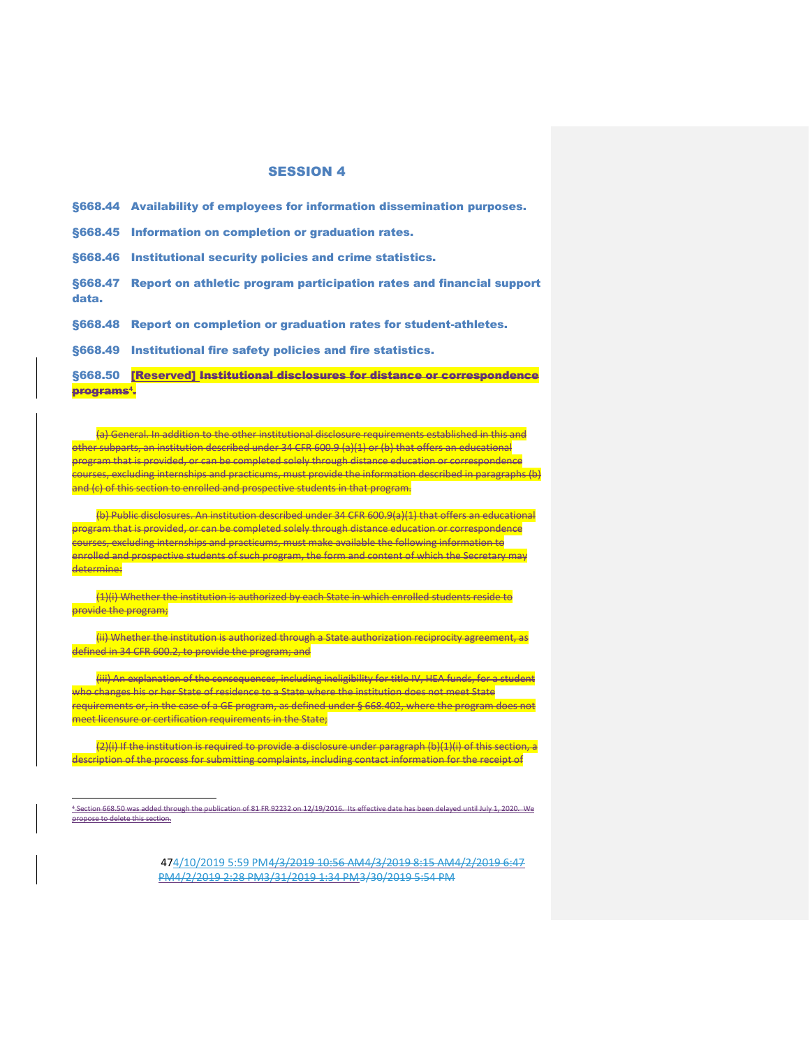§668.44 Availability of employees for information dissemination purposes.

§668.45 Information on completion or graduation rates.

§668.46 Institutional security policies and crime statistics.

§668.47 Report on athletic program participation rates and financial support data.

§668.48 Report on completion or graduation rates for student-athletes.

§668.49 Institutional fire safety policies and fire statistics.

§668.50 [Reserved] Institutional disclosures for distance or correspondence programs**<sup>4</sup>** .

(a) General. In addition to the other institutional disclosure requirements established in this and other subparts, an institution described under 34 CFR 600.9 (a)(1) or (b) that offers an educational program that is provided, or can be completed solely through distance education or correspondence courses, excluding internships and practicums, must provide the information described in paragraphs (b) and (c) of this section to enrolled and prospective students in that program.

(b) Public disclosures. An institution described under 34 CFR 600.9(a)(1) that offers an educational program that is provided, or can be completed solely through distance education or correspondence courses, excluding internships and practicums, must make available the following information to enrolled and prospective students of such program, the form and content of which the Secretary may determine:

(1)(i) Whether the institution is authorized by each State in which enrolled students reside to provide the program;

(ii) Whether the institution is authorized through a State authorization reciprocity agreement, as defined in 34 CFR 600.2, to provide the program; and

(iii) An explanation of the consequences, including ineligibility for title IV, HEA funds, for a student who changes his or her State of residence to a State where the institution does not meet State requirements or, in the case of a GE program, as defined under § 668.402, where the program does not meet licensure or certification requirements in the State;

(2)(i) If the institution is required to provide a disclosure under paragraph (b)(1)(i) of this section, a description of the process for submitting complaints, including contact information for the receipt of

<sup>4</sup> Section 668.50 was added through the publication of 81 FR 92232 on 12/19/2016. Its effective date has been delayed until July 1, 2020. We propose to delete this section.

j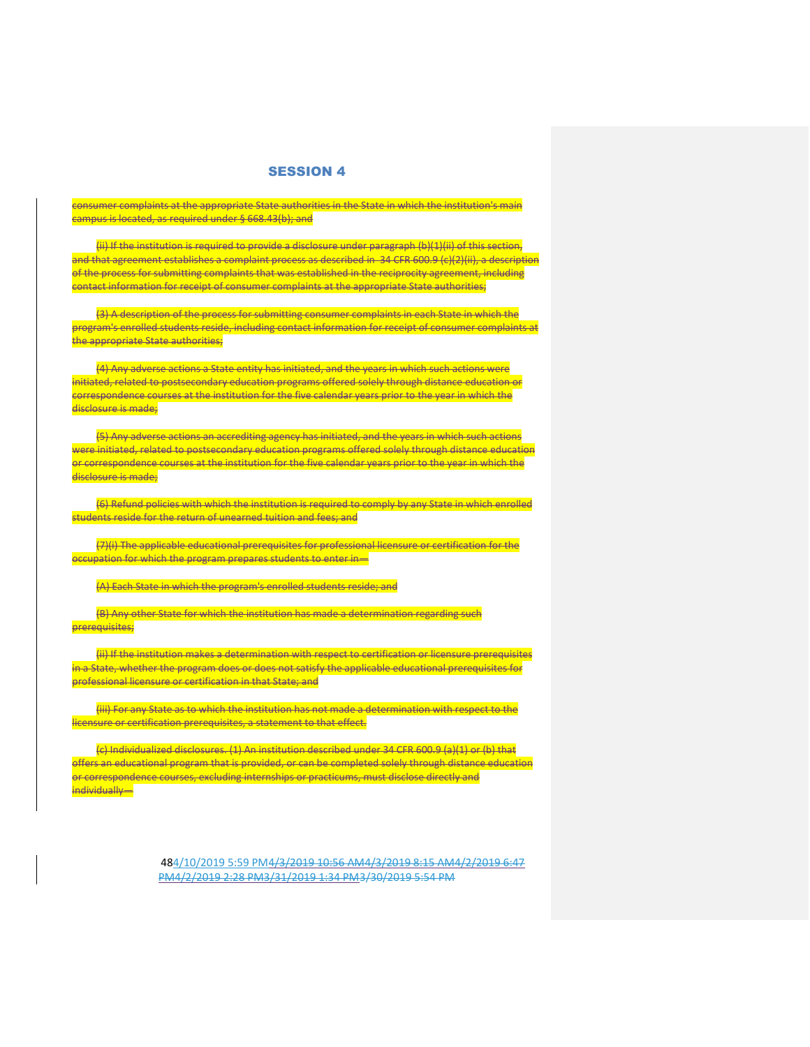consumer complaints at the appropriate State authorities in the State in which the institution's main campus is located, as required under § 668.43(b); and

(ii) If the institution is required to provide a disclosure under paragraph (b)(1)(ii) of this section, and that agreement establishes a complaint process as described in 34 CFR 600.9 (c)(2)(ii), a description of the process for submitting complaints that was established in the reciprocity agreement, including contact information for receipt of consumer complaints at the appropriate State authorities;

(3) A description of the process for submitting consumer complaints in each State in which the program's enrolled students reside, including contact information for receipt of consumer complaints at the appropriate State authorities;

(4) Any adverse actions a State entity has initiated, and the years in which such actions were initiated, related to postsecondary education programs offered solely through distance education or correspondence courses at the institution for the five calendar years prior to the year in which the disclosure is made;

(5) Any adverse actions an accrediting agency has initiated, and the years in which such actions were initiated, related to postsecondary education programs offered solely through distance education or correspondence courses at the institution for the five calendar years prior to the year in which the disclosure is made;

(6) Refund policies with which the institution is required to comply by any State in which enrolled students reside for the return of unearned tuition and fees; and

(7)(i) The applicable educational prerequisites for professional licensure or certification for the occupation for which the program prepares students to enter in—

(A) Each State in which the program's enrolled students reside; and

(B) Any other State for which the institution has made a determination regarding such prerequisites;

(ii) If the institution makes a determination with respect to certification or licensure prerequisites in a State, whether the program does or does not satisfy the applicable educational prerequisites for professional licensure or certification in that State; and

(iii) For any State as to which the institution has not made a determination with respect to the licensure or certification prerequisites, a statement to that effect.

(c) Individualized disclosures. (1) An institution described under 34 CFR 600.9 (a)(1) or (b) that offers an educational program that is provided, or can be completed solely through distance education or correspondence courses, excluding internships or practicums, must disclose directly and individually—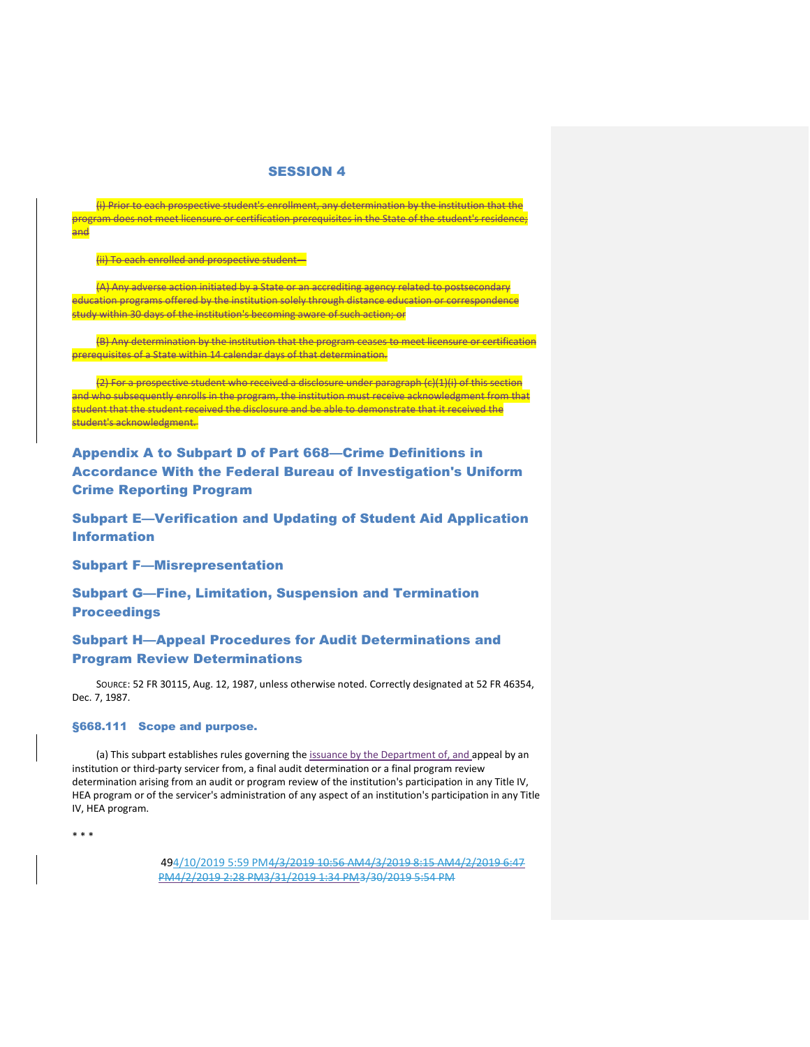(i) Prior to each prospective student's enrollment, any determination by the institution that the program does not meet licensure or certification prerequisites in the State of the student's residence; and

(ii) To each enrolled and prospective student—

(A) Any adverse action initiated by a State or an accrediting agency related to postsecondary education programs offered by the institution solely through distance education or correspondence study within 30 days of the institution's becoming aware of such action; or

(B) Any determination by the institution that the program ceases to meet licensure or certification prerequisites of a State within 14 calendar days of that determination.

(2) For a prospective student who received a disclosure under paragraph (c)(1)(i) of this section and who subsequently enrolls in the program, the institution must receive acknowledgment from that student that the student received the disclosure and be able to demonstrate that it received the student's acknowledgment.

Appendix A to Subpart D of Part 668—Crime Definitions in Accordance With the Federal Bureau of Investigation's Uniform Crime Reporting Program

Subpart E—Verification and Updating of Student Aid Application Information

Subpart F—Misrepresentation

Subpart G—Fine, Limitation, Suspension and Termination **Proceedings** 

# Subpart H—Appeal Procedures for Audit Determinations and Program Review Determinations

SOURCE: 52 FR 30115, Aug. 12, 1987, unless otherwise noted. Correctly designated at 52 FR 46354, Dec. 7, 1987.

# §668.111 Scope and purpose.

(a) This subpart establishes rules governing the issuance by the Department of, and appeal by an institution or third-party servicer from, a final audit determination or a final program review determination arising from an audit or program review of the institution's participation in any Title IV, HEA program or of the servicer's administration of any aspect of an institution's participation in any Title IV, HEA program.

\* \* \*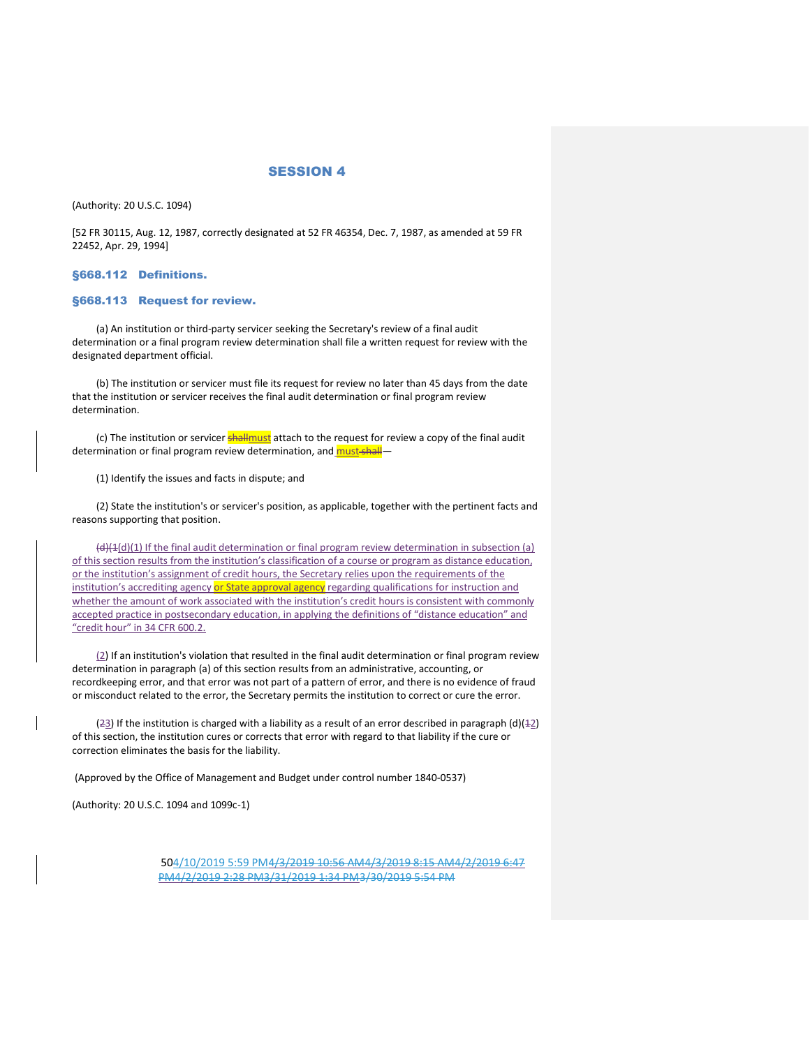(Authority: 20 U.S.C. 1094)

[52 FR 30115, Aug. 12, 1987, correctly designated at 52 FR 46354, Dec. 7, 1987, as amended at 59 FR 22452, Apr. 29, 1994]

§668.112 Definitions.

#### §668.113 Request for review.

(a) An institution or third-party servicer seeking the Secretary's review of a final audit determination or a final program review determination shall file a written request for review with the designated department official.

(b) The institution or servicer must file its request for review no later than 45 days from the date that the institution or servicer receives the final audit determination or final program review determination.

(c) The institution or servicer **shallmust** attach to the request for review a copy of the final audit determination or final program review determination, and **must-shall**—

(1) Identify the issues and facts in dispute; and

(2) State the institution's or servicer's position, as applicable, together with the pertinent facts and reasons supporting that position.

 $\frac{d}{d}$ (d)(1) If the final audit determination or final program review determination in subsection (a) of this section results from the institution's classification of a course or program as distance education, or the institution's assignment of credit hours, the Secretary relies upon the requirements of the institution's accrediting agency or State approval agency regarding qualifications for instruction and whether the amount of work associated with the institution's credit hours is consistent with commonly accepted practice in postsecondary education, in applying the definitions of "distance education" and "credit hour" in 34 CFR 600.2.

 $(2)$  If an institution's violation that resulted in the final audit determination or final program review determination in paragraph (a) of this section results from an administrative, accounting, or recordkeeping error, and that error was not part of a pattern of error, and there is no evidence of fraud or misconduct related to the error, the Secretary permits the institution to correct or cure the error.

(23) If the institution is charged with a liability as a result of an error described in paragraph (d)(12) of this section, the institution cures or corrects that error with regard to that liability if the cure or correction eliminates the basis for the liability.

(Approved by the Office of Management and Budget under control number 1840-0537)

(Authority: 20 U.S.C. 1094 and 1099c-1)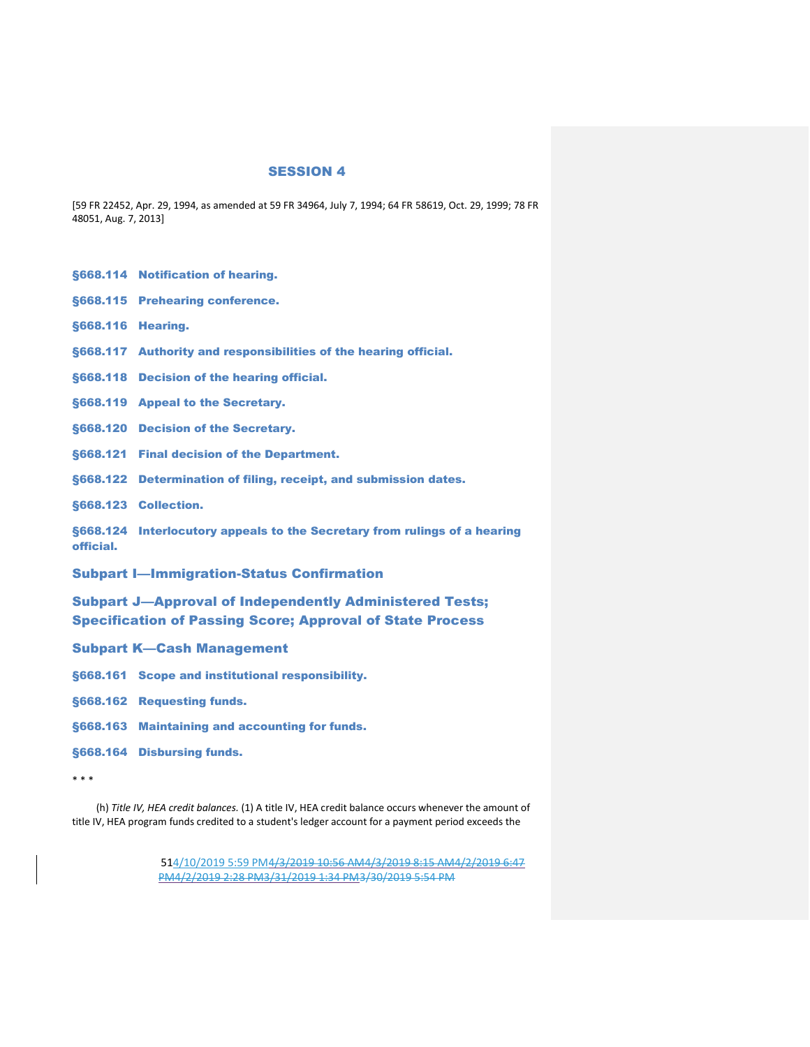[59 FR 22452, Apr. 29, 1994, as amended at 59 FR 34964, July 7, 1994; 64 FR 58619, Oct. 29, 1999; 78 FR 48051, Aug. 7, 2013]

- §668.114 Notification of hearing.
- §668.115 Prehearing conference.
- §668.116 Hearing.
- §668.117 Authority and responsibilities of the hearing official.
- §668.118 Decision of the hearing official.
- §668.119 Appeal to the Secretary.
- §668.120 Decision of the Secretary.
- §668.121 Final decision of the Department.
- §668.122 Determination of filing, receipt, and submission dates.
- §668.123 Collection.

§668.124 Interlocutory appeals to the Secretary from rulings of a hearing official.

Subpart I—Immigration-Status Confirmation

Subpart J—Approval of Independently Administered Tests; Specification of Passing Score; Approval of State Process

- Subpart K—Cash Management
- §668.161 Scope and institutional responsibility.
- §668.162 Requesting funds.
- §668.163 Maintaining and accounting for funds.
- §668.164 Disbursing funds.

\* \* \*

(h) *Title IV, HEA credit balances.* (1) A title IV, HEA credit balance occurs whenever the amount of title IV, HEA program funds credited to a student's ledger account for a payment period exceeds the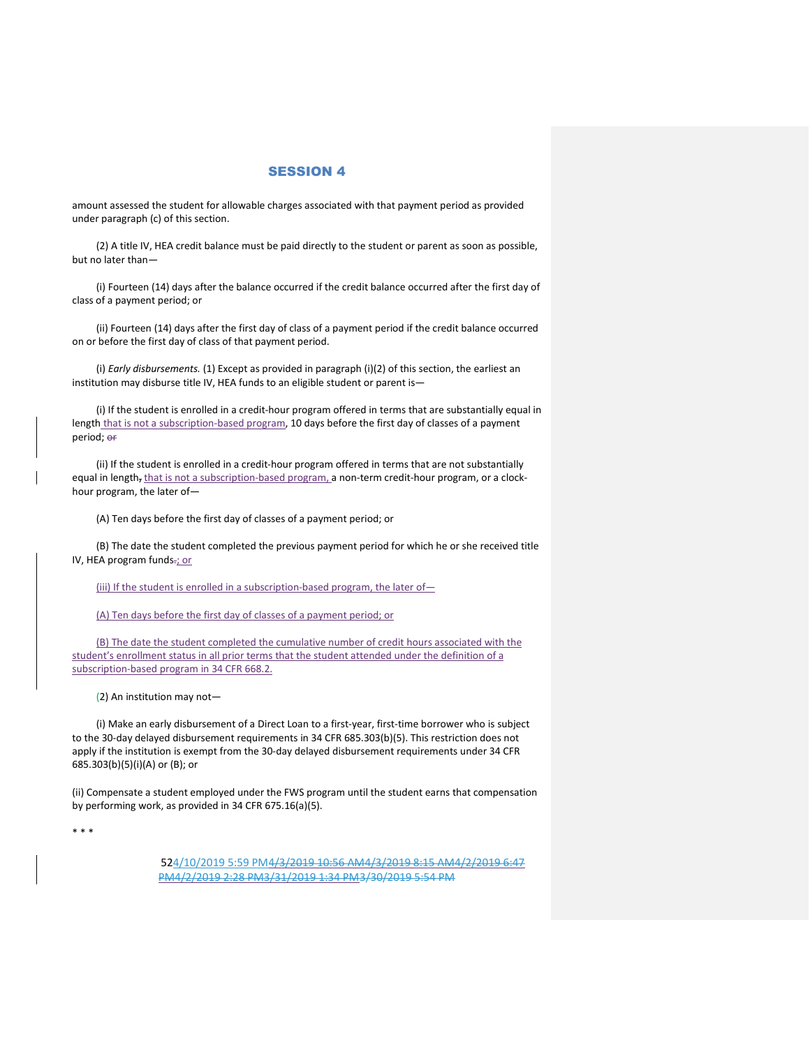amount assessed the student for allowable charges associated with that payment period as provided under paragraph (c) of this section.

(2) A title IV, HEA credit balance must be paid directly to the student or parent as soon as possible, but no later than—

(i) Fourteen (14) days after the balance occurred if the credit balance occurred after the first day of class of a payment period; or

(ii) Fourteen (14) days after the first day of class of a payment period if the credit balance occurred on or before the first day of class of that payment period.

(i) *Early disbursements.* (1) Except as provided in paragraph (i)(2) of this section, the earliest an institution may disburse title IV, HEA funds to an eligible student or parent is—

(i) If the student is enrolled in a credit-hour program offered in terms that are substantially equal in length that is not a subscription-based program, 10 days before the first day of classes of a payment period; or

(ii) If the student is enrolled in a credit-hour program offered in terms that are not substantially equal in length, that is not a subscription-based program, a non-term credit-hour program, or a clockhour program, the later of—

(A) Ten days before the first day of classes of a payment period; or

(B) The date the student completed the previous payment period for which he or she received title IV, HEA program funds-; or

(iii) If the student is enrolled in a subscription-based program, the later of-

(A) Ten days before the first day of classes of a payment period; or

(B) The date the student completed the cumulative number of credit hours associated with the student's enrollment status in all prior terms that the student attended under the definition of a subscription-based program in 34 CFR 668.2.

(2) An institution may not—

(i) Make an early disbursement of a Direct Loan to a first-year, first-time borrower who is subject to the 30-day delayed disbursement requirements in 34 CFR 685.303(b)(5). This restriction does not apply if the institution is exempt from the 30-day delayed disbursement requirements under 34 CFR 685.303(b)(5)(i)(A) or (B); or

(ii) Compensate a student employed under the FWS program until the student earns that compensation by performing work, as provided in 34 CFR 675.16(a)(5).

\* \* \*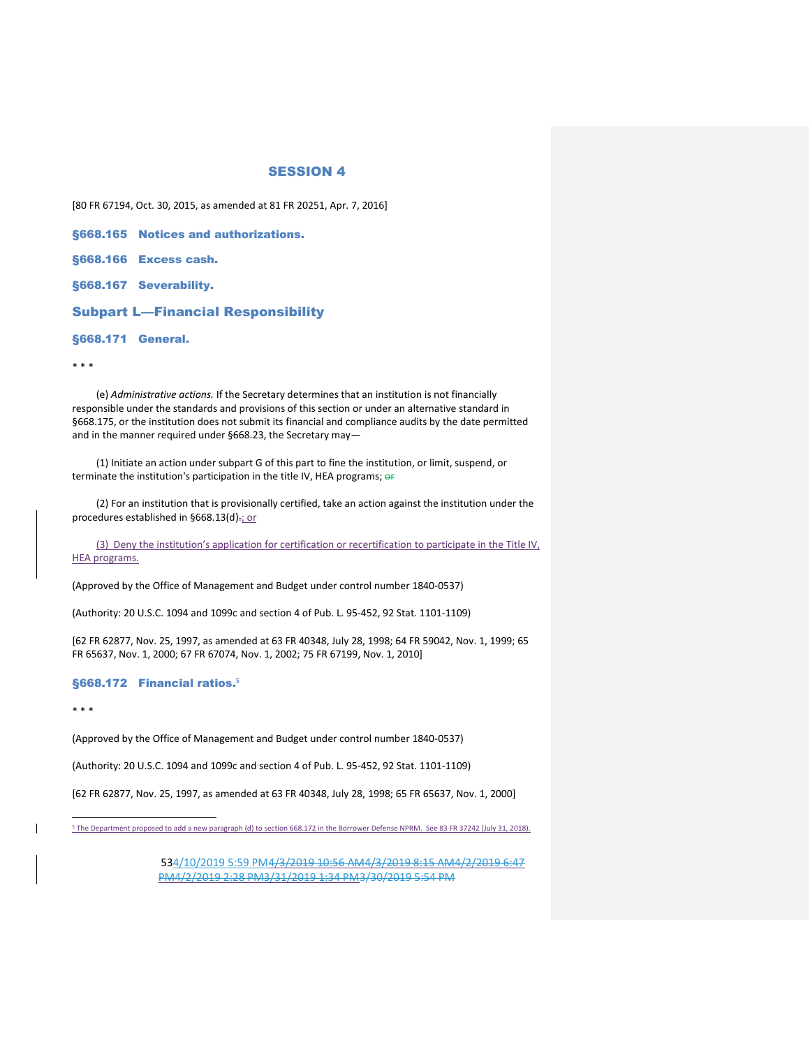[80 FR 67194, Oct. 30, 2015, as amended at 81 FR 20251, Apr. 7, 2016]

| §668.165 Notices and authorizations.      |
|-------------------------------------------|
| §668.166 Excess cash.                     |
| §668.167 Severability.                    |
| <b>Subpart L-Financial Responsibility</b> |
| §668.171 General.                         |

\* \* \*

(e) *Administrative actions.* If the Secretary determines that an institution is not financially responsible under the standards and provisions of this section or under an alternative standard in §668.175, or the institution does not submit its financial and compliance audits by the date permitted and in the manner required under §668.23, the Secretary may—

(1) Initiate an action under subpart G of this part to fine the institution, or limit, suspend, or terminate the institution's participation in the title IV, HEA programs; or

(2) For an institution that is provisionally certified, take an action against the institution under the procedures established in §668.13(d)-; or

(3) Deny the institution's application for certification or recertification to participate in the Title IV, HEA programs.

(Approved by the Office of Management and Budget under control number 1840-0537)

(Authority: 20 U.S.C. 1094 and 1099c and section 4 of Pub. L. 95-452, 92 Stat. 1101-1109)

[62 FR 62877, Nov. 25, 1997, as amended at 63 FR 40348, July 28, 1998; 64 FR 59042, Nov. 1, 1999; 65 FR 65637, Nov. 1, 2000; 67 FR 67074, Nov. 1, 2002; 75 FR 67199, Nov. 1, 2010]

#### §668.172 Financial ratios. **5**

\* \* \*

(Approved by the Office of Management and Budget under control number 1840-0537)

(Authority: 20 U.S.C. 1094 and 1099c and section 4 of Pub. L. 95-452, 92 Stat. 1101-1109)

[62 FR 62877, Nov. 25, 1997, as amended at 63 FR 40348, July 28, 1998; 65 FR 65637, Nov. 1, 2000]

<sup>5</sup> The Department proposed to add a new paragraph (d) to section 668.172 in the Borrower Defense NPRM. See 83 FR 37242 (July 31, 2018).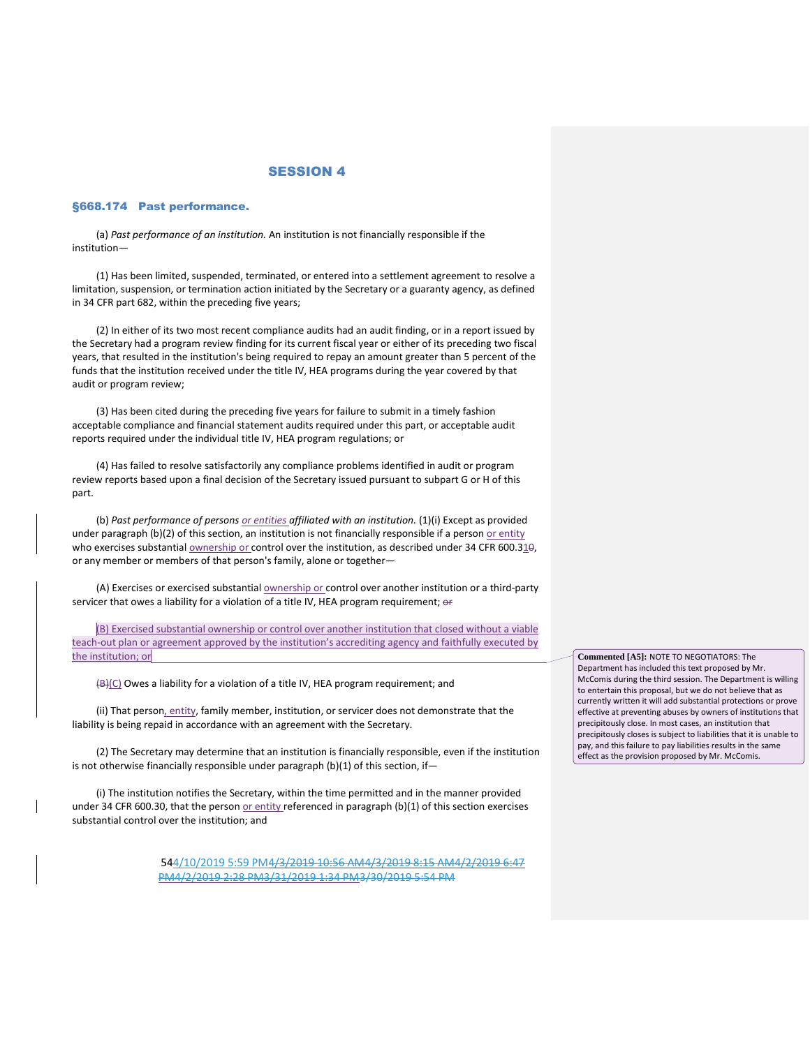#### §668.174 Past performance.

(a) *Past performance of an institution.* An institution is not financially responsible if the institution—

(1) Has been limited, suspended, terminated, or entered into a settlement agreement to resolve a limitation, suspension, or termination action initiated by the Secretary or a guaranty agency, as defined in 34 CFR part 682, within the preceding five years;

(2) In either of its two most recent compliance audits had an audit finding, or in a report issued by the Secretary had a program review finding for its current fiscal year or either of its preceding two fiscal years, that resulted in the institution's being required to repay an amount greater than 5 percent of the funds that the institution received under the title IV, HEA programs during the year covered by that audit or program review;

(3) Has been cited during the preceding five years for failure to submit in a timely fashion acceptable compliance and financial statement audits required under this part, or acceptable audit reports required under the individual title IV, HEA program regulations; or

(4) Has failed to resolve satisfactorily any compliance problems identified in audit or program review reports based upon a final decision of the Secretary issued pursuant to subpart G or H of this part.

(b) *Past performance of persons or entities affiliated with an institution.* (1)(i) Except as provided under paragraph (b)(2) of this section, an institution is not financially responsible if a person or entity who exercises substantial ownership or control over the institution, as described under 34 CFR 600.310, or any member or members of that person's family, alone or together—

(A) Exercises or exercised substantial **ownership or control over another institution** or a third-party servicer that owes a liability for a violation of a title IV, HEA program requirement; or

(B) Exercised substantial ownership or control over another institution that closed without a viable teach-out plan or agreement approved by the institution's accrediting agency and faithfully executed by the institution; or

(B)(C) Owes a liability for a violation of a title IV, HEA program requirement; and

(ii) That person, entity, family member, institution, or servicer does not demonstrate that the liability is being repaid in accordance with an agreement with the Secretary.

(2) The Secretary may determine that an institution is financially responsible, even if the institution is not otherwise financially responsible under paragraph (b)(1) of this section, if—

(i) The institution notifies the Secretary, within the time permitted and in the manner provided under 34 CFR 600.30, that the person or entity referenced in paragraph (b)(1) of this section exercises substantial control over the institution; and

> 544/10/2019 5:59 PM4/3/2019 10:56 AM4/3/2019 8:15 AM4/2/2019 6:47 PM4/2/2019 2:28 PM3/31/2019 1:34 PM3/30/2019 5:54 PM

**Commented [A5]:** NOTE TO NEGOTIATORS: The Department has included this text proposed by Mr. McComis during the third session. The Department is willing to entertain this proposal, but we do not believe that as currently written it will add substantial protections or prove effective at preventing abuses by owners of institutions that precipitously close. In most cases, an institution that precipitously closes is subject to liabilities that it is unable to pay, and this failure to pay liabilities results in the same effect as the provision proposed by Mr. McComis.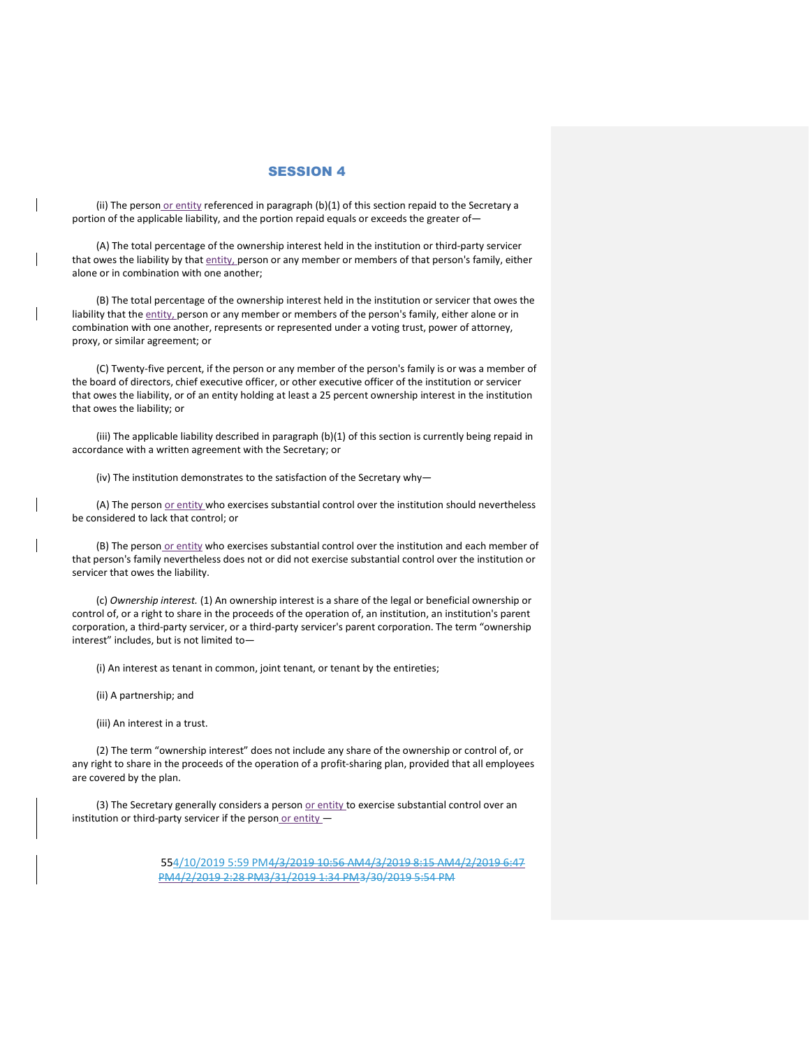(ii) The person or entity referenced in paragraph  $(b)(1)$  of this section repaid to the Secretary a portion of the applicable liability, and the portion repaid equals or exceeds the greater of—

(A) The total percentage of the ownership interest held in the institution or third-party servicer that owes the liability by that entity, person or any member or members of that person's family, either alone or in combination with one another;

(B) The total percentage of the ownership interest held in the institution or servicer that owes the liability that the entity, person or any member or members of the person's family, either alone or in combination with one another, represents or represented under a voting trust, power of attorney, proxy, or similar agreement; or

(C) Twenty-five percent, if the person or any member of the person's family is or was a member of the board of directors, chief executive officer, or other executive officer of the institution or servicer that owes the liability, or of an entity holding at least a 25 percent ownership interest in the institution that owes the liability; or

(iii) The applicable liability described in paragraph (b)(1) of this section is currently being repaid in accordance with a written agreement with the Secretary; or

(iv) The institution demonstrates to the satisfaction of the Secretary why—

(A) The person or entity who exercises substantial control over the institution should nevertheless be considered to lack that control; or

(B) The person or entity who exercises substantial control over the institution and each member of that person's family nevertheless does not or did not exercise substantial control over the institution or servicer that owes the liability.

(c) *Ownership interest.* (1) An ownership interest is a share of the legal or beneficial ownership or control of, or a right to share in the proceeds of the operation of, an institution, an institution's parent corporation, a third-party servicer, or a third-party servicer's parent corporation. The term "ownership interest" includes, but is not limited to—

(i) An interest as tenant in common, joint tenant, or tenant by the entireties;

(ii) A partnership; and

(iii) An interest in a trust.

(2) The term "ownership interest" does not include any share of the ownership or control of, or any right to share in the proceeds of the operation of a profit-sharing plan, provided that all employees are covered by the plan.

(3) The Secretary generally considers a person  $or entity$  to exercise substantial control over an</u> institution or third-party servicer if the person or entity -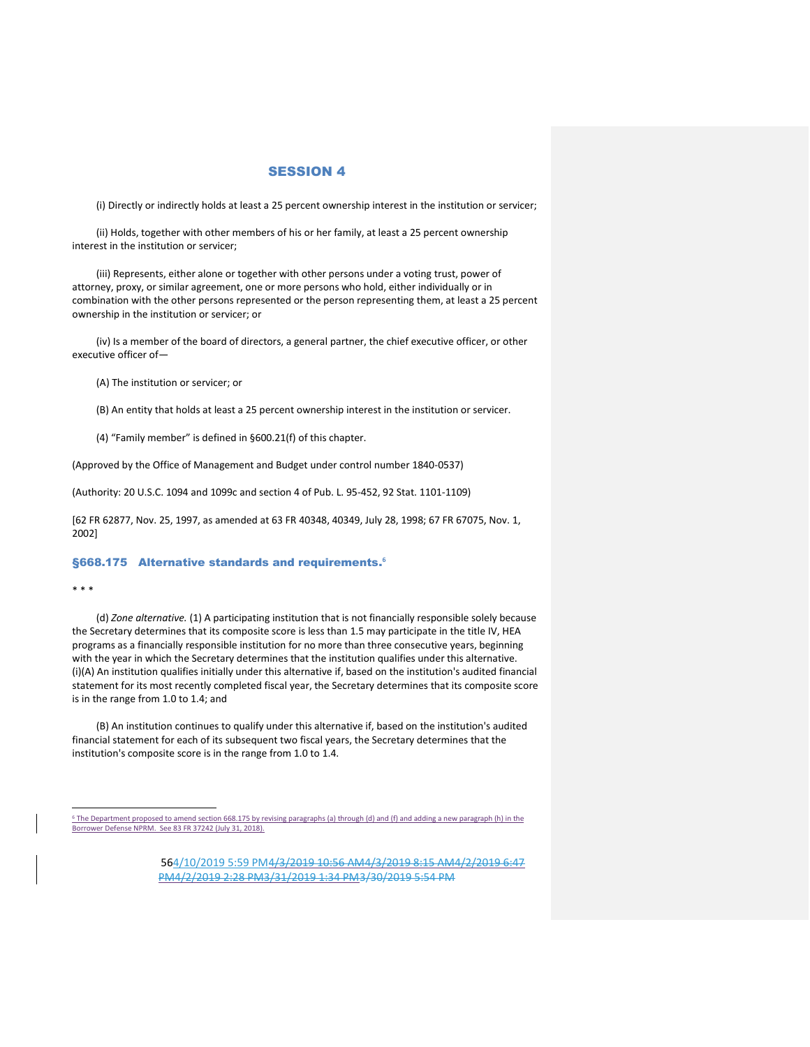(i) Directly or indirectly holds at least a 25 percent ownership interest in the institution or servicer;

(ii) Holds, together with other members of his or her family, at least a 25 percent ownership interest in the institution or servicer;

(iii) Represents, either alone or together with other persons under a voting trust, power of attorney, proxy, or similar agreement, one or more persons who hold, either individually or in combination with the other persons represented or the person representing them, at least a 25 percent ownership in the institution or servicer; or

(iv) Is a member of the board of directors, a general partner, the chief executive officer, or other executive officer of—

(A) The institution or servicer; or

(B) An entity that holds at least a 25 percent ownership interest in the institution or servicer.

(4) "Family member" is defined in §600.21(f) of this chapter.

(Approved by the Office of Management and Budget under control number 1840-0537)

(Authority: 20 U.S.C. 1094 and 1099c and section 4 of Pub. L. 95-452, 92 Stat. 1101-1109)

[62 FR 62877, Nov. 25, 1997, as amended at 63 FR 40348, 40349, July 28, 1998; 67 FR 67075, Nov. 1, 2002]

#### §668.175 Alternative standards and requirements. **6**

#### \* \* \*

(d) *Zone alternative.* (1) A participating institution that is not financially responsible solely because the Secretary determines that its composite score is less than 1.5 may participate in the title IV, HEA programs as a financially responsible institution for no more than three consecutive years, beginning with the year in which the Secretary determines that the institution qualifies under this alternative. (i)(A) An institution qualifies initially under this alternative if, based on the institution's audited financial statement for its most recently completed fiscal year, the Secretary determines that its composite score is in the range from 1.0 to 1.4; and

(B) An institution continues to qualify under this alternative if, based on the institution's audited financial statement for each of its subsequent two fiscal years, the Secretary determines that the institution's composite score is in the range from 1.0 to 1.4.

<sup>&</sup>lt;sup>6</sup> The Department proposed to amend section 668.175 by revising paragraphs (a) through (d) and (f) and adding a new paragraph (h) in the<br>Borrower Defense NPRM. See 83 FR 37242 (July 31, 2018).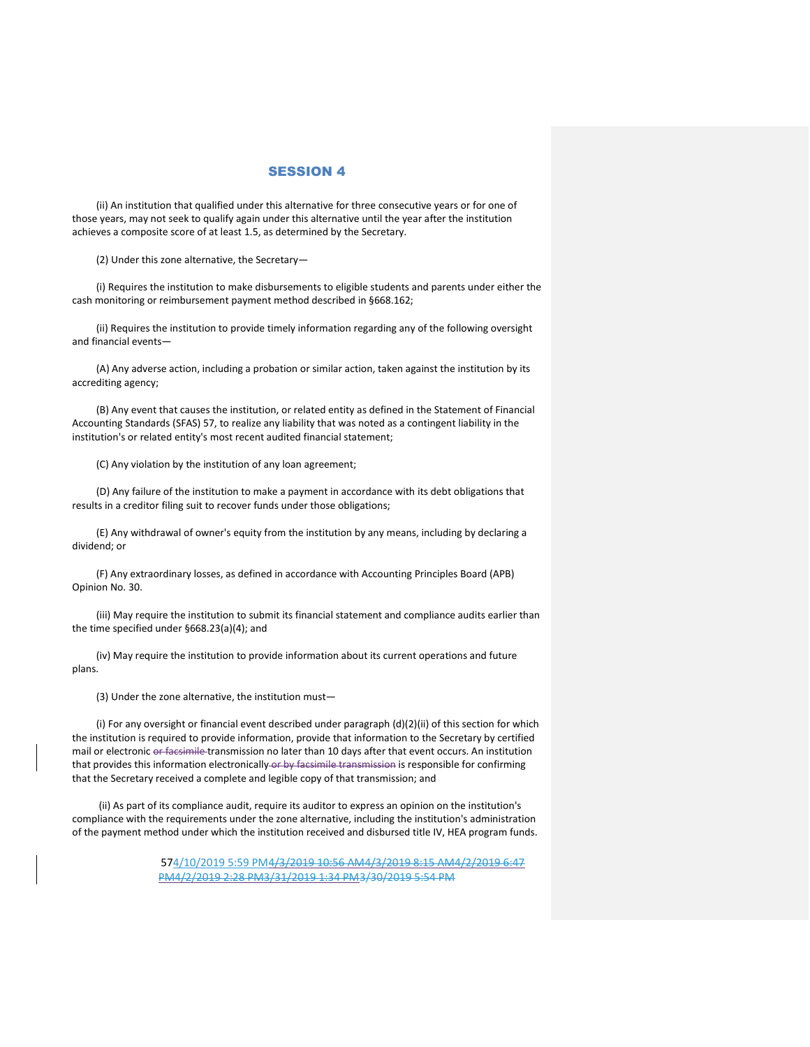(ii) An institution that qualified under this alternative for three consecutive years or for one of those years, may not seek to qualify again under this alternative until the year after the institution achieves a composite score of at least 1.5, as determined by the Secretary.

(2) Under this zone alternative, the Secretary—

(i) Requires the institution to make disbursements to eligible students and parents under either the cash monitoring or reimbursement payment method described in §668.162;

(ii) Requires the institution to provide timely information regarding any of the following oversight and financial events—

(A) Any adverse action, including a probation or similar action, taken against the institution by its accrediting agency;

(B) Any event that causes the institution, or related entity as defined in the Statement of Financial Accounting Standards (SFAS) 57, to realize any liability that was noted as a contingent liability in the institution's or related entity's most recent audited financial statement;

(C) Any violation by the institution of any loan agreement;

(D) Any failure of the institution to make a payment in accordance with its debt obligations that results in a creditor filing suit to recover funds under those obligations;

(E) Any withdrawal of owner's equity from the institution by any means, including by declaring a dividend; or

(F) Any extraordinary losses, as defined in accordance with Accounting Principles Board (APB) Opinion No. 30.

(iii) May require the institution to submit its financial statement and compliance audits earlier than the time specified under §668.23(a)(4); and

(iv) May require the institution to provide information about its current operations and future plans.

(3) Under the zone alternative, the institution must—

(i) For any oversight or financial event described under paragraph (d)(2)(ii) of this section for which the institution is required to provide information, provide that information to the Secretary by certified mail or electronic or facsimile transmission no later than 10 days after that event occurs. An institution that provides this information electronically or by facsimile transmission is responsible for confirming that the Secretary received a complete and legible copy of that transmission; and

(ii) As part of its compliance audit, require its auditor to express an opinion on the institution's compliance with the requirements under the zone alternative, including the institution's administration of the payment method under which the institution received and disbursed title IV, HEA program funds.